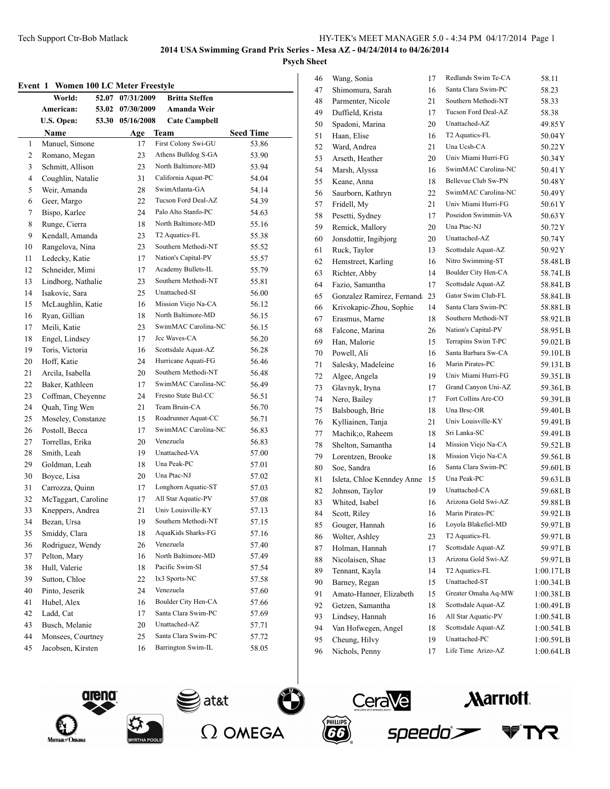## **Psych Sheet**

#### **Event 1 Women 100 LC Meter Freestyle**

| елені і        | women two live meter preestyle<br>World: | 52.07 07/31/2009 | <b>Britta Steffen</b>                     |                           |
|----------------|------------------------------------------|------------------|-------------------------------------------|---------------------------|
|                | American:<br>53.02                       | 07/30/2009       | Amanda Weir                               |                           |
|                | U.S. Open:<br>53.30                      | 05/16/2008       | <b>Cate Campbell</b>                      |                           |
|                |                                          |                  |                                           |                           |
| 1              | Name<br>Manuel, Simone                   | Age<br>17        | Team<br>First Colony Swi-GU               | <b>Seed Time</b><br>53.86 |
| $\overline{c}$ | Romano, Megan                            | 23               | Athens Bulldog S-GA                       | 53.90                     |
| 3              | Schmitt, Allison                         | 23               | North Baltimore-MD                        | 53.94                     |
| 4              | Coughlin, Natalie                        | 31               | California Aquat-PC                       | 54.04                     |
| 5              | Weir, Amanda                             | 28               | SwimAtlanta-GA                            | 54.14                     |
| 6              | Geer, Margo                              | 22               | Tucson Ford Deal-AZ                       | 54.39                     |
| 7              | Bispo, Karlee                            | 24               | Palo Alto Stanfo-PC                       | 54.63                     |
| 8              | Runge, Cierra                            | 18               | North Baltimore-MD                        | 55.16                     |
| 9              | Kendall, Amanda                          | 23               | T2 Aquatics-FL                            |                           |
|                |                                          |                  | Southern Methodi-NT                       | 55.38                     |
| 10<br>11       | Rangelova, Nina                          | 23               | Nation's Capital-PV                       | 55.52                     |
|                | Ledecky, Katie                           | 17               | Academy Bullets-IL                        | 55.57                     |
| 12             | Schneider, Mimi                          | 17               | Southern Methodi-NT                       | 55.79                     |
| 13             | Lindborg, Nathalie                       | 23               |                                           | 55.81                     |
| 14             | Isakovic, Sara                           | 25               | Unattached-SI                             | 56.00                     |
| 15             | McLaughlin, Katie                        | 16               | Mission Viejo Na-CA                       | 56.12                     |
| 16             | Ryan, Gillian                            | 18               | North Baltimore-MD<br>SwimMAC Carolina-NC | 56.15                     |
| 17             | Meili, Katie                             | 23               |                                           | 56.15                     |
| 18             | Engel, Lindsey                           | 17               | Jcc Waves-CA                              | 56.20                     |
| 19             | Toris, Victoria                          | 16               | Scottsdale Aquat-AZ                       | 56.28                     |
| 20             | Hoff, Katie                              | 24               | Hurricane Aquati-FG                       | 56.46                     |
| 21             | Arcila, Isabella                         | 20               | Southern Methodi-NT                       | 56.48                     |
| 22             | Baker, Kathleen                          | 17               | SwimMAC Carolina-NC                       | 56.49                     |
| 23             | Coffman, Cheyenne                        | 24               | Fresno State Bul-CC                       | 56.51                     |
| 24             | Quah, Ting Wen                           | 21               | Team Bruin-CA                             | 56.70                     |
| 25             | Moseley, Constanze                       | 15               | Roadrunner Aquat-CC                       | 56.71                     |
| 26             | Postoll, Becca                           | 17               | SwimMAC Carolina-NC                       | 56.83                     |
| 27             | Torrellas, Erika                         | 20               | Venezuela                                 | 56.83                     |
| 28             | Smith, Leah                              | 19               | Unattached-VA                             | 57.00                     |
| 29             | Goldman, Leah                            | 18               | Una Peak-PC                               | 57.01                     |
| 30             | Boyce, Lisa                              | 20               | Una Ptac-NJ                               | 57.02                     |
| 31             | Carrozza, Quinn                          | 17               | Longhorn Aquatic-ST                       | 57.03                     |
| 32             | McTaggart, Caroline                      | 17               | All Star Aquatic-PV                       | 57.08                     |
| 33             | Kneppers, Andrea                         | 21               | Univ Louisville-KY                        | 57.13                     |
| 34             | Bezan, Ursa                              | 19               | Southern Methodi-NT                       | 57.15                     |
| 35             | Smiddy, Clara                            | $18\,$           | AquaKids Sharks-FG                        | 57.16                     |
| 36             | Rodriguez, Wendy                         | 26               | Venezuela                                 | 57.40                     |
| 37             | Pelton, Mary                             | 16               | North Baltimore-MD                        | 57.49                     |
| 38             | Hull, Valerie                            | 18               | Pacific Swim-SI                           | 57.54                     |
| 39             | Sutton, Chloe                            | 22               | Ix3 Sports-NC                             | 57.58                     |
| 40             | Pinto, Jeserik                           | 24               | Venezuela                                 | 57.60                     |
| 41             | Hubel, Alex                              | 16               | <b>Boulder City Hen-CA</b>                | 57.66                     |
| 42             | Ladd, Cat                                | 17               | Santa Clara Swim-PC                       | 57.69                     |
| 43             | Busch, Melanie                           | 20               | Unattached-AZ                             | 57.71                     |
| 44             | Monsees, Courtney                        | 25               | Santa Clara Swim-PC                       | 57.72                     |
| 45             | Jacobsen, Kirsten                        | 16               | Barrington Swim-IL                        | 58.05                     |
|                |                                          |                  |                                           |                           |

| 46      | Wang, Sonia                | 17 | Redlands Swim Te-CA | 58.11      |
|---------|----------------------------|----|---------------------|------------|
| 47      | Shimomura, Sarah           | 16 | Santa Clara Swim-PC | 58.23      |
| 48      | Parmenter, Nicole          | 21 | Southern Methodi-NT | 58.33      |
| 49      | Duffield, Krista           | 17 | Tucson Ford Deal-AZ | 58.38      |
| 50      | Spadoni, Marina            | 20 | Unattached-AZ       | 49.85 Y    |
| 51      | Haan, Elise                | 16 | T2 Aquatics-FL      | 50.04Y     |
| 52      | Ward, Andrea               | 21 | Una Ucsb-CA         | 50.22Y     |
| 53      | Arseth, Heather            | 20 | Univ Miami Hurri-FG | 50.34Y     |
| 54      | Marsh, Alyssa              | 16 | SwimMAC Carolina-NC | 50.41Y     |
| 55      | Keane, Anna                | 18 | Bellevue Club Sw-PN | 50.48 Y    |
| 56      | Saurborn, Kathryn          | 22 | SwimMAC Carolina-NC | 50.49Y     |
| 57      | Fridell, My                | 21 | Univ Miami Hurri-FG | 50.61Y     |
| 58      | Pesetti, Sydney            | 17 | Poseidon Swimmin-VA | 50.63 Y    |
| 59      | Remick, Mallory            | 20 | Una Ptac-NJ         | 50.72Y     |
| 60      | Jonsdottir, Ingibjorg      | 20 | Unattached-AZ       | 50.74Y     |
| 61      | Ruck, Taylor               | 13 | Scottsdale Aquat-AZ | 50.92Y     |
| 62      | Hemstreet, Karling         | 16 | Nitro Swimming-ST   | 58.48LB    |
| 63      | Richter, Abby              | 14 | Boulder City Hen-CA | 58.74LB    |
| 64      | Fazio, Samantha            | 17 | Scottsdale Aquat-AZ | 58.84LB    |
| 65      | Gonzalez Ramirez, Fernand  | 23 | Gator Swim Club-FL  | 58.84LB    |
| 66      | Krivokapic-Zhou, Sophie    | 14 | Santa Clara Swim-PC | 58.88LB    |
| 67      | Erasmus, Marne             | 18 | Southern Methodi-NT | 58.92LB    |
| 68      | Falcone, Marina            | 26 | Nation's Capital-PV | 58.95LB    |
| 69      | Han, Malorie               | 15 | Terrapins Swim T-PC | 59.02LB    |
| 70      | Powell, Ali                | 16 | Santa Barbara Sw-CA | 59.10LB    |
| 71      | Salesky, Madeleine         | 16 | Marin Pirates-PC    | 59.13LB    |
| 72      | Algee, Angela              | 19 | Univ Miami Hurri-FG | 59.35LB    |
| 73      | Glavnyk, Iryna             | 17 | Grand Canyon Uni-AZ | 59.36LB    |
| 74      | Nero, Bailey               | 17 | Fort Collins Are-CO | 59.39LB    |
| 75      | Balsbough, Brie            | 18 | Una Brsc-OR         | 59.40LB    |
| 76      | Kylliainen, Tanja          | 21 | Univ Louisville-KY  | 59.49LB    |
| $77 \,$ | Machik;o, Raheem           | 18 | Sri Lanka-SC        | 59.49LB    |
| 78      | Shelton, Samantha          | 14 | Mission Viejo Na-CA | 59.52LB    |
| 79      | Lorentzen, Brooke          | 18 | Mission Viejo Na-CA | 59.56LB    |
| 80      | Soe, Sandra                | 16 | Santa Clara Swim-PC | 59.60LB    |
| 81      | Isleta, Chloe Kenndey Anne | 15 | Una Peak-PC         | 59.63LB    |
| 82      | Johnson, Taylor            | 19 | Unattached-CA       | 59.68LB    |
| 83      | Whited, Isabel             | 16 | Arizona Gold Swi-AZ | 59.88LB    |
| 84      | Scott, Riley               | 16 | Marin Pirates-PC    | 59.92LB    |
| 85      | Gouger, Hannah             | 16 | Loyola Blakefiel-MD | 59.97 L B  |
| 86      | Wolter, Ashley             | 23 | T2 Aquatics-FL      | 59.97LB    |
| 87      | Holman, Hannah             | 17 | Scottsdale Aquat-AZ | 59.97LB    |
| 88      | Nicolaisen, Shae           | 13 | Arizona Gold Swi-AZ | 59.97LB    |
| 89      | Tennant, Kayla             | 14 | T2 Aquatics-FL      | 1:00.17L B |
| 90      | Barney, Regan              | 15 | Unattached-ST       | 1:00.34L B |
| 91      | Amato-Hanner, Elizabeth    | 15 | Greater Omaha Aq-MW | 1:00.38L B |
| 92      | Getzen, Samantha           | 18 | Scottsdale Aquat-AZ | 1:00.49L B |
| 93      | Lindsey, Hannah            | 16 | All Star Aquatic-PV | 1:00.54L B |
| 94      | Van Hofwegen, Angel        | 18 | Scottsdale Aquat-AZ | 1:00.54L B |
| 95      | Cheung, Hilvy              | 19 | Unattached-PC       | 1:00.59LB  |
| 96      | Nichols, Penny             | 17 | Life Time Arizo-AZ  | 1:00.64L B |
|         |                            |    |                     |            |







 $\partial$  at&t



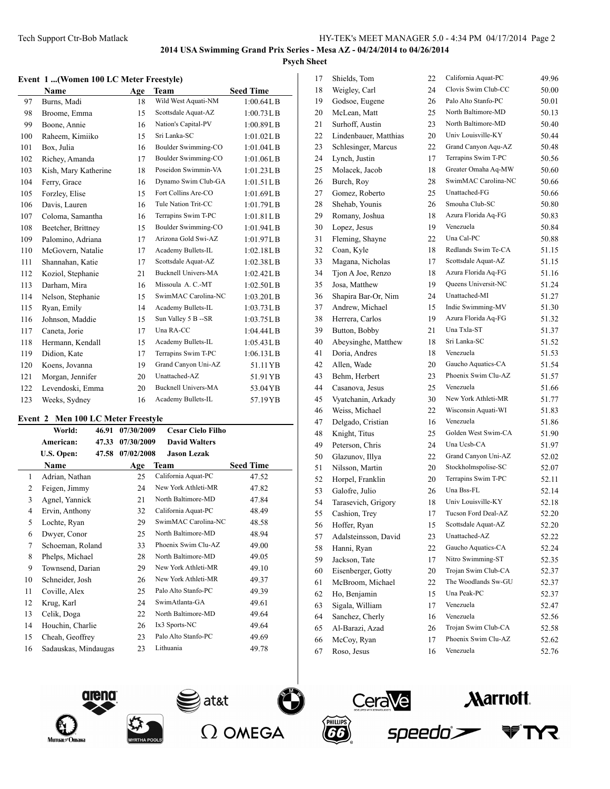### **Event 1 ...(Women 100 LC Meter Freestyle)**

|     | $\ldots$ , $\ldots$ and $\ldots$ $\ldots$ $\ldots$<br>Name | Age | <b>Team</b>                | <b>Seed Time</b> |
|-----|------------------------------------------------------------|-----|----------------------------|------------------|
| 97  | Burns, Madi                                                | 18  | Wild West Aquati-NM        | 1:00.64L B       |
| 98  | Broome, Emma                                               | 15  | Scottsdale Aquat-AZ        | 1:00.73L B       |
|     |                                                            |     |                            |                  |
| 99  | Boone, Annie                                               | 16  | Nation's Capital-PV        | 1:00.89L B       |
| 100 | Raheem, Kimiiko                                            | 15  | Sri Lanka-SC               | $1:01.02$ LB     |
| 101 | Box, Julia                                                 | 16  | Boulder Swimming-CO        | 1:01.04L B       |
| 102 | Richey, Amanda                                             | 17  | Boulder Swimming-CO        | 1:01.06LB        |
| 103 | Kish, Mary Katherine                                       | 18  | Poseidon Swimmin-VA        | 1:01.23LB        |
| 104 | Ferry, Grace                                               | 16  | Dynamo Swim Club-GA        | 1:01.51LB        |
| 105 | Forzley, Elise                                             | 15  | Fort Collins Are-CO        | 1:01.69LB        |
| 106 | Davis, Lauren                                              | 16  | Tule Nation Trit-CC        | 1:01.79L B       |
| 107 | Coloma, Samantha                                           | 16  | Terrapins Swim T-PC        | 1:01.81LB        |
| 108 | Beetcher, Brittney                                         | 15  | Boulder Swimming-CO        | 1:01.94LB        |
| 109 | Palomino, Adriana                                          | 17  | Arizona Gold Swi-AZ        | 1:01.97L B       |
| 110 | McGovern, Natalie                                          | 17  | Academy Bullets-IL         | $1:02.18$ LB     |
| 111 | Shannahan, Katie                                           | 17  | Scottsdale Aquat-AZ        | 1:02.38L B       |
| 112 | Koziol, Stephanie                                          | 21  | <b>Bucknell Univers-MA</b> | 1:02.42L B       |
| 113 | Darham, Mira                                               | 16  | Missoula A. C.-MT          | 1:02.50L B       |
| 114 | Nelson, Stephanie                                          | 15  | SwimMAC Carolina-NC        | 1:03.20L B       |
| 115 | Ryan, Emily                                                | 14  | Academy Bullets-IL         | 1:03.73L B       |
| 116 | Johnson, Maddie                                            | 15  | Sun Valley 5 B -- SR       | 1:03.75LB        |
| 117 | Caneta, Jorie                                              | 17  | Una RA-CC                  | 1:04.44L B       |
| 118 | Hermann, Kendall                                           | 15  | Academy Bullets-IL         | 1:05.43L B       |
| 119 | Didion, Kate                                               | 17  | Terrapins Swim T-PC        | 1:06.13LB        |
| 120 | Koens, Jovanna                                             | 19  | Grand Canyon Uni-AZ        | 51.11 YB         |
| 121 | Morgan, Jennifer                                           | 20  | Unattached-AZ              | 51.91 YB         |
| 122 | Levendoski, Emma                                           | 20  | <b>Bucknell Univers-MA</b> | 53.04 YB         |
| 123 | Weeks, Sydney                                              | 16  | Academy Bullets-IL         | 57.19YB          |

### **Event 2 Men 100 LC Meter Freestyle**

|    | World:               | 46.91 | 07/30/2009 | <b>Cesar Cielo Filho</b> |                  |
|----|----------------------|-------|------------|--------------------------|------------------|
|    | American:            | 47.33 | 07/30/2009 | <b>David Walters</b>     |                  |
|    | U.S. Open:           | 47.58 | 07/02/2008 | <b>Jason Lezak</b>       |                  |
|    | Name                 |       | Age        | Team                     | <b>Seed Time</b> |
| 1  | Adrian, Nathan       |       | 25         | California Aquat-PC      | 47.52            |
| 2  | Feigen, Jimmy        |       | 24         | New York Athleti-MR      | 47.82            |
| 3  | Agnel, Yannick       |       | 21         | North Baltimore-MD       | 47.84            |
| 4  | Ervin, Anthony       |       | 32         | California Aquat-PC      | 48.49            |
| 5  | Lochte, Ryan         |       | 29         | SwimMAC Carolina-NC      | 48.58            |
| 6  | Dwyer, Conor         |       | 25         | North Baltimore-MD       | 48.94            |
| 7  | Schoeman, Roland     |       | 33         | Phoenix Swim Clu-AZ      | 49.00            |
| 8  | Phelps, Michael      |       | 28         | North Baltimore-MD       | 49.05            |
| 9  | Townsend, Darian     |       | 29         | New York Athleti-MR      | 49.10            |
| 10 | Schneider, Josh      |       | 26         | New York Athleti-MR      | 49.37            |
| 11 | Coville, Alex        |       | 25         | Palo Alto Stanfo-PC      | 49.39            |
| 12 | Krug, Karl           |       | 24         | SwimAtlanta-GA           | 49.61            |
| 13 | Celik, Doga          |       | 22         | North Baltimore-MD       | 49.64            |
| 14 | Houchin, Charlie     |       | 26         | Ix3 Sports-NC            | 49.64            |
| 15 | Cheah, Geoffrey      |       | 23         | Palo Alto Stanfo-PC      | 49.69            |
| 16 | Sadauskas, Mindaugas |       | 23         | Lithuania                | 49.78            |

| 17 | Shields, Tom          | 22 | California Aquat-PC | 49.96 |
|----|-----------------------|----|---------------------|-------|
| 18 | Weigley, Carl         | 24 | Clovis Swim Club-CC | 50.00 |
| 19 | Godsoe, Eugene        | 26 | Palo Alto Stanfo-PC | 50.01 |
| 20 | McLean, Matt          | 25 | North Baltimore-MD  | 50.13 |
| 21 | Surhoff, Austin       | 23 | North Baltimore-MD  | 50.40 |
| 22 | Lindenbauer, Matthias | 20 | Univ Louisville-KY  | 50.44 |
| 23 | Schlesinger, Marcus   | 22 | Grand Canyon Aqu-AZ | 50.48 |
| 24 | Lynch, Justin         | 17 | Terrapins Swim T-PC | 50.56 |
| 25 | Molacek, Jacob        | 18 | Greater Omaha Aq-MW | 50.60 |
| 26 | Burch, Roy            | 28 | SwimMAC Carolina-NC | 50.66 |
| 27 | Gomez, Roberto        | 25 | Unattached-FG       | 50.66 |
| 28 | Shehab, Younis        | 26 | Smouha Club-SC      | 50.80 |
| 29 | Romany, Joshua        | 18 | Azura Florida Aq-FG | 50.83 |
| 30 | Lopez, Jesus          | 19 | Venezuela           | 50.84 |
| 31 | Fleming, Shayne       | 22 | Una Cal-PC          | 50.88 |
| 32 | Coan, Kyle            | 18 | Redlands Swim Te-CA | 51.15 |
| 33 | Magana, Nicholas      | 17 | Scottsdale Aquat-AZ | 51.15 |
| 34 | Tjon A Joe, Renzo     | 18 | Azura Florida Aq-FG | 51.16 |
| 35 | Josa, Matthew         | 19 | Queens Universit-NC | 51.24 |
| 36 | Shapira Bar-Or, Nim   | 24 | Unattached-MI       | 51.27 |
| 37 | Andrew, Michael       | 15 | Indie Swimming-MV   | 51.30 |
| 38 | Herrera, Carlos       | 19 | Azura Florida Aq-FG | 51.32 |
| 39 | Button, Bobby         | 21 | Una Txla-ST         | 51.37 |
| 40 | Abeysinghe, Matthew   | 18 | Sri Lanka-SC        | 51.52 |
| 41 | Doria, Andres         | 18 | Venezuela           | 51.53 |
| 42 | Allen, Wade           | 20 | Gaucho Aquatics-CA  | 51.54 |
| 43 | Behm, Herbert         | 23 | Phoenix Swim Clu-AZ | 51.57 |
| 44 | Casanova, Jesus       | 25 | Venezuela           | 51.66 |
| 45 | Vyatchanin, Arkady    | 30 | New York Athleti-MR | 51.77 |
| 46 | Weiss, Michael        | 22 | Wisconsin Aquati-WI | 51.83 |
| 47 | Delgado, Cristian     | 16 | Venezuela           | 51.86 |
| 48 | Knight, Titus         | 25 | Golden West Swim-CA | 51.90 |
| 49 | Peterson, Chris       | 24 | Una Ucsb-CA         | 51.97 |
| 50 | Glazunov, Illya       | 22 | Grand Canyon Uni-AZ | 52.02 |
| 51 | Nilsson, Martin       | 20 | Stockholmspolise-SC | 52.07 |
| 52 | Horpel, Franklin      | 20 | Terrapins Swim T-PC | 52.11 |
| 53 | Galofre, Julio        | 26 | Una Bss-FL          | 52.14 |
| 54 | Tarasevich, Grigory   | 18 | Univ Louisville-KY  | 52.18 |
| 55 | Cashion, Trey         | 17 | Tucson Ford Deal-AZ | 52.20 |
| 56 | Hoffer, Ryan          | 15 | Scottsdale Aquat-AZ | 52.20 |
| 57 | Adalsteinsson, David  | 23 | Unattached-AZ       | 52.22 |
| 58 | Hanni, Ryan           | 22 | Gaucho Aquatics-CA  | 52.24 |
| 59 | Jackson, Tate         | 17 | Nitro Swimming-ST   | 52.35 |
| 60 | Eisenberger, Gotty    | 20 | Trojan Swim Club-CA | 52.37 |
| 61 | McBroom, Michael      | 22 | The Woodlands Sw-GU | 52.37 |
| 62 | Ho, Benjamin          | 15 | Una Peak-PC         | 52.37 |
| 63 | Sigala, William       | 17 | Venezuela           | 52.47 |
| 64 | Sanchez, Cherly       | 16 | Venezuela           | 52.56 |
| 65 | Al-Barazi, Azad       | 26 | Trojan Swim Club-CA | 52.58 |
| 66 | McCoy, Ryan           | 17 | Phoenix Swim Clu-AZ | 52.62 |
| 67 | Roso, Jesus           | 16 | Venezuela           | 52.76 |
|    |                       |    |                     |       |











**YR**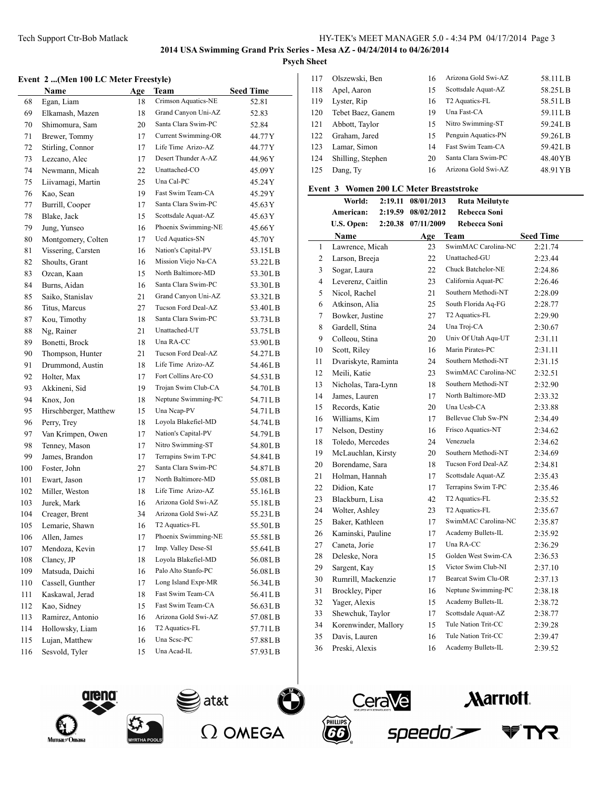$\frac{1}{2}$ 

## **Event 2 ...(Men 100 LC Meter Freestyle)**

|     | Name                  | Age | Team                       | <b>Seed Time</b> |
|-----|-----------------------|-----|----------------------------|------------------|
| 68  | Egan, Liam            | 18  | Crimson Aquatics-NE        | 52.81            |
| 69  | Elkamash, Mazen       | 18  | Grand Canyon Uni-AZ        | 52.83            |
| 70  | Shimomura, Sam        | 20  | Santa Clara Swim-PC        | 52.84            |
| 71  | Brewer, Tommy         | 17  | <b>Current Swimming-OR</b> | 44.77 Y          |
| 72  | Stirling, Connor      | 17  | Life Time Arizo-AZ         | 44.77 Y          |
| 73  | Lezcano, Alec         | 17  | Desert Thunder A-AZ        | 44.96 Y          |
| 74  | Newmann, Micah        | 22  | Unattached-CO              | 45.09 Y          |
| 75  | Liivamagi, Martin     | 25  | Una Cal-PC                 | 45.24Y           |
| 76  | Kao, Sean             | 19  | Fast Swim Team-CA          | 45.29 Y          |
| 77  | Burrill, Cooper       | 17  | Santa Clara Swim-PC        | 45.63 Y          |
| 78  | Blake, Jack           | 15  | Scottsdale Aquat-AZ        | 45.63 Y          |
| 79  | Jung, Yunseo          | 16  | Phoenix Swimming-NE        | 45.66 Y          |
| 80  | Montgomery, Colten    | 17  | Ucd Aquatics-SN            | 45.70 Y          |
| 81  | Vissering, Carsten    | 16  | Nation's Capital-PV        | 53.15LB          |
| 82  | Shoults, Grant        | 16  | Mission Viejo Na-CA        | 53.22LB          |
| 83  | Ozcan, Kaan           | 15  | North Baltimore-MD         | 53.30LB          |
| 84  | Burns, Aidan          | 16  | Santa Clara Swim-PC        | 53.30LB          |
| 85  | Saiko, Stanislav      | 21  | Grand Canyon Uni-AZ        | 53.32LB          |
| 86  | Titus, Marcus         | 27  | Tucson Ford Deal-AZ        | 53.40LB          |
| 87  | Kou, Timothy          | 18  | Santa Clara Swim-PC        | 53.73 L B        |
| 88  | Ng, Rainer            | 21  | Unattached-UT              | 53.75 L B        |
| 89  | Bonetti, Brock        | 18  | Una RA-CC                  | 53.90LB          |
| 90  | Thompson, Hunter      | 21  | Tucson Ford Deal-AZ        | 54.27LB          |
| 91  | Drummond, Austin      | 18  | Life Time Arizo-AZ         | 54.46LB          |
| 92  | Holter, Max           | 17  | Fort Collins Are-CO        | 54.53 L B        |
| 93  | Akkineni, Sid         | 19  | Trojan Swim Club-CA        | 54.70LB          |
| 94  | Knox, Jon             | 18  | Neptune Swimming-PC        | 54.71 L B        |
| 95  | Hirschberger, Matthew | 15  | Una Ncap-PV                | 54.71 L B        |
| 96  | Perry, Trey           | 18  | Loyola Blakefiel-MD        | 54.74LB          |
| 97  | Van Krimpen, Owen     | 17  | Nation's Capital-PV        | 54.79 L B        |
| 98  | Tenney, Mason         | 17  | Nitro Swimming-ST          | 54.80LB          |
| 99  | James, Brandon        | 17  | Terrapins Swim T-PC        | 54.84LB          |
| 100 | Foster, John          | 27  | Santa Clara Swim-PC        | 54.87LB          |
| 101 | Ewart, Jason          | 17  | North Baltimore-MD         | 55.08LB          |
| 102 | Miller, Weston        | 18  | Life Time Arizo-AZ         | 55.16LB          |
| 103 | Jurek, Mark           | 16  | Arizona Gold Swi-AZ        | 55.18LB          |
| 104 | Creager, Brent        | 34  | Arizona Gold Swi-AZ        | 55.23LB          |
| 105 | Lemarie, Shawn        | 16  | T <sub>2</sub> Aquatics-FL | 55.50LB          |
| 106 | Allen, James          | 17  | Phoenix Swimming-NE        | 55.58LB          |
| 107 | Mendoza, Kevin        | 17  | Imp. Valley Dese-SI        | 55.64LB          |
| 108 | Clancy, JP            | 18  | Loyola Blakefiel-MD        | 56.08LB          |
| 109 | Matsuda, Daichi       | 16  | Palo Alto Stanfo-PC        | 56.08LB          |
| 110 | Cassell, Gunther      | 17  | Long Island Expr-MR        | 56.34LB          |
| 111 | Kaskawal, Jerad       | 18  | Fast Swim Team-CA          | 56.41LB          |
| 112 | Kao, Sidney           | 15  | Fast Swim Team-CA          | 56.63LB          |
| 113 | Ramirez, Antonio      | 16  | Arizona Gold Swi-AZ        | 57.08LB          |
| 114 | Hollowsky, Liam       | 16  | T2 Aquatics-FL             | 57.71LB          |
| 115 | Lujan, Matthew        | 16  | Una Scsc-PC                | 57.88LB          |
| 116 | Sesvold, Tyler        | 15  | Una Acad-IL                | 57.93LB          |
|     |                       |     |                            |                  |

| 117 | Olszewski, Ben    | 16 | Arizona Gold Swi-AZ        | 58.11LB  |
|-----|-------------------|----|----------------------------|----------|
| 118 | Apel, Aaron       | 15 | Scottsdale Aquat-AZ        | 58.25LB  |
| 119 | Lyster, Rip       | 16 | T <sub>2</sub> Aquatics-FL | 58.51LB  |
| 120 | Tebet Baez, Ganem | 19 | Una Fast-CA                | 59.11LB  |
| 121 | Abbott, Taylor    | 15 | Nitro Swimming-ST          | 59.24LB  |
| 122 | Graham, Jared     | 15 | Penguin Aquatics-PN        | 59.26LB  |
| 123 | Lamar, Simon      | 14 | Fast Swim Team-CA          | 59.42LB  |
| 124 | Shilling, Stephen | 20 | Santa Clara Swim-PC        | 48.40YB  |
| 125 | Dang, Ty          | 16 | Arizona Gold Swi-AZ        | 48.91 YB |

### **Event 3 Women 200 LC Meter Breaststroke**

|    | World:               | 2:19.11 | 08/01/2013 | <b>Ruta Meilutyte</b>      |                  |
|----|----------------------|---------|------------|----------------------------|------------------|
|    | American:            | 2:19.59 | 08/02/2012 | Rebecca Soni               |                  |
|    | U.S. Open:           | 2:20.38 | 07/11/2009 | Rebecca Soni               |                  |
|    | <b>Name</b>          |         | Age        | Team                       | <b>Seed Time</b> |
| 1  | Lawrence, Micah      |         | 23         | SwimMAC Carolina-NC        | 2:21.74          |
| 2  | Larson, Breeja       |         | 22         | Unattached-GU              | 2:23.44          |
| 3  | Sogar, Laura         |         | 22         | Chuck Batchelor-NE         | 2:24.86          |
| 4  | Leverenz, Caitlin    |         | 23         | California Aquat-PC        | 2:26.46          |
| 5  | Nicol, Rachel        |         | 21         | Southern Methodi-NT        | 2:28.09          |
| 6  | Atkinson, Alia       |         | 25         | South Florida Aq-FG        | 2:28.77          |
| 7  | Bowker, Justine      |         | 27         | T <sub>2</sub> Aquatics-FL | 2:29.90          |
| 8  | Gardell, Stina       |         | 24         | Una Troj-CA                | 2:30.67          |
| 9  | Colleou, Stina       |         | 20         | Univ Of Utah Aqu-UT        | 2:31.11          |
| 10 | Scott, Riley         |         | 16         | Marin Pirates-PC           | 2:31.11          |
| 11 | Dvariskyte, Raminta  |         | 24         | Southern Methodi-NT        | 2:31.15          |
| 12 | Meili, Katie         |         | 23         | SwimMAC Carolina-NC        | 2:32.51          |
| 13 | Nicholas, Tara-Lynn  |         | 18         | Southern Methodi-NT        | 2:32.90          |
| 14 | James, Lauren        |         | 17         | North Baltimore-MD         | 2:33.32          |
| 15 | Records, Katie       |         | 20         | Una Ucsb-CA                | 2:33.88          |
| 16 | Williams, Kim        |         | 17         | Bellevue Club Sw-PN        | 2:34.49          |
| 17 | Nelson, Destiny      |         | 16         | Frisco Aquatics-NT         | 2:34.62          |
| 18 | Toledo, Mercedes     |         | 24         | Venezuela                  | 2:34.62          |
| 19 | McLauchlan, Kirsty   |         | 20         | Southern Methodi-NT        | 2:34.69          |
| 20 | Borendame, Sara      |         | 18         | Tucson Ford Deal-AZ        | 2:34.81          |
| 21 | Holman, Hannah       |         | 17         | Scottsdale Aquat-AZ        | 2:35.43          |
| 22 | Didion, Kate         |         | 17         | Terrapins Swim T-PC        | 2:35.46          |
| 23 | Blackburn, Lisa      |         | 42         | T2 Aquatics-FL             | 2:35.52          |
| 24 | Wolter, Ashley       |         | 23         | T2 Aquatics-FL             | 2:35.67          |
| 25 | Baker, Kathleen      |         | 17         | SwimMAC Carolina-NC        | 2:35.87          |
| 26 | Kaminski, Pauline    |         | 17         | Academy Bullets-IL         | 2:35.92          |
| 27 | Caneta, Jorie        |         | 17         | Una RA-CC                  | 2:36.29          |
| 28 | Deleske, Nora        |         | 15         | Golden West Swim-CA        | 2:36.53          |
| 29 | Sargent, Kay         |         | 15         | Victor Swim Club-NI        | 2:37.10          |
| 30 | Rumrill, Mackenzie   |         | 17         | Bearcat Swim Clu-OR        | 2:37.13          |
| 31 | Brockley, Piper      |         | 16         | Neptune Swimming-PC        | 2:38.18          |
| 32 | Yager, Alexis        |         | 15         | Academy Bullets-IL         | 2:38.72          |
| 33 | Shewchuk, Taylor     |         | 17         | Scottsdale Aquat-AZ        | 2:38.77          |
| 34 | Korenwinder, Mallory |         | 15         | Tule Nation Trit-CC        | 2:39.28          |
| 35 | Davis, Lauren        |         | 16         | Tule Nation Trit-CC        | 2:39.47          |
| 36 | Preski, Alexis       |         | 16         | Academy Bullets-IL         | 2:39.52          |









**Narriott**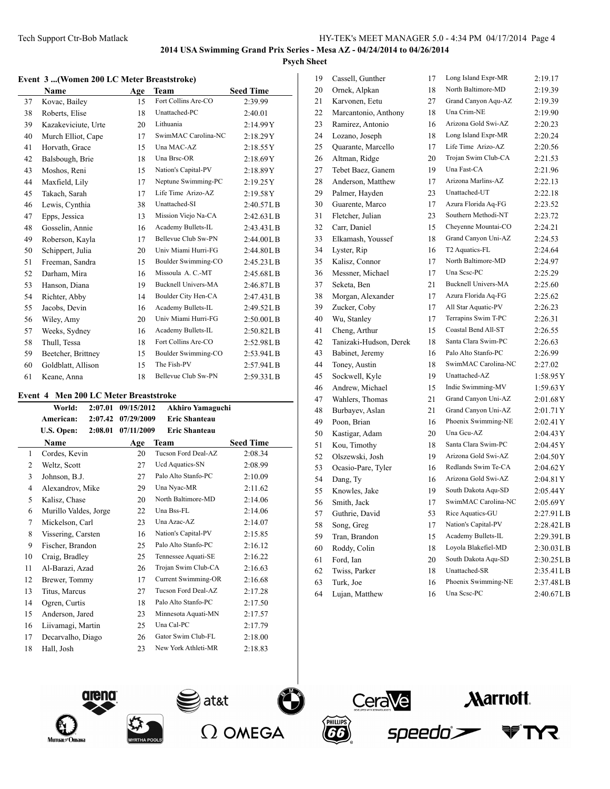#### **Event 3 ...(Women 200 LC Meter Breaststroke)**

|    | Name                | Age | Team                       | <b>Seed Time</b> |
|----|---------------------|-----|----------------------------|------------------|
| 37 | Kovac, Bailey       | 15  | Fort Collins Are-CO        | 2:39.99          |
| 38 | Roberts, Elise      | 18  | Unattached-PC              | 2:40.01          |
| 39 | Kazakeviciute, Urte | 20  | Lithuania                  | 2:14.99Y         |
| 40 | Murch Elliot, Cape  | 17  | SwimMAC Carolina-NC        | 2:18.29Y         |
| 41 | Horvath, Grace      | 15  | Una MAC-AZ                 | 2:18.55Y         |
| 42 | Balsbough, Brie     | 18  | Una Brsc-OR                | 2:18.69Y         |
| 43 | Moshos, Reni        | 15  | Nation's Capital-PV        | 2:18.89Y         |
| 44 | Maxfield, Lily      | 17  | Neptune Swimming-PC        | 2:19.25Y         |
| 45 | Takach, Sarah       | 17  | Life Time Arizo-AZ         | 2:19.58Y         |
| 46 | Lewis, Cynthia      | 38  | Unattached-SI              | 2:40.57LB        |
| 47 | Epps, Jessica       | 13  | Mission Viejo Na-CA        | 2:42.63L B       |
| 48 | Gosselin, Annie     | 16  | Academy Bullets-IL         | 2:43.43LB        |
| 49 | Roberson, Kayla     | 17  | Bellevue Club Sw-PN        | 2:44.00L B       |
| 50 | Schippert, Julia    | 20  | Univ Miami Hurri-FG        | 2:44.80L B       |
| 51 | Freeman, Sandra     | 15  | Boulder Swimming-CO        | 2:45.23LB        |
| 52 | Darham, Mira        | 16  | Missoula A. C.-MT          | 2:45.68LB        |
| 53 | Hanson, Diana       | 19  | <b>Bucknell Univers-MA</b> | 2:46.87L B       |
| 54 | Richter, Abby       | 14  | Boulder City Hen-CA        | $2:47.43$ LB     |
| 55 | Jacobs, Devin       | 16  | Academy Bullets-IL         | 2:49.52L B       |
| 56 | Wiley, Amy          | 20  | Univ Miami Hurri-FG        | 2:50.00L B       |
| 57 | Weeks, Sydney       | 16  | Academy Bullets-IL         | 2:50.82L B       |
| 58 | Thull, Tessa        | 18  | Fort Collins Are-CO        | 2:52.98LB        |
| 59 | Beetcher, Brittney  | 15  | Boulder Swimming-CO        | 2:53.94LB        |
| 60 | Goldblatt, Allison  | 15  | The Fish-PV                | 2:57.94L B       |
| 61 | Keane, Anna         | 18  | Bellevue Club Sw-PN        | 2:59.33LB        |

## **Event 4 Men 200 LC Meter Breaststroke**

|    | World:                | 2:07.01 | 09/15/2012 | <b>Akhiro Yamaguchi</b>    |                  |
|----|-----------------------|---------|------------|----------------------------|------------------|
|    | American:             | 2:07.42 | 07/29/2009 | <b>Eric Shanteau</b>       |                  |
|    | U.S. Open:            | 2:08.01 | 07/11/2009 | <b>Eric Shanteau</b>       |                  |
|    | Name                  |         | Age        | Team                       | <b>Seed Time</b> |
| 1  | Cordes, Kevin         |         | 20         | Tucson Ford Deal-AZ        | 2:08.34          |
| 2  | Weltz, Scott          |         | 27         | Ucd Aquatics-SN            | 2:08.99          |
| 3  | Johnson, B.J.         |         | 27         | Palo Alto Stanfo-PC        | 2:10.09          |
| 4  | Alexandrov, Mike      |         | 29         | Una Nyac-MR                | 2:11.62          |
| 5  | Kalisz, Chase         |         | 20         | North Baltimore-MD         | 2:14.06          |
| 6  | Murillo Valdes, Jorge |         | 22         | Una Bss-FL                 | 2:14.06          |
| 7  | Mickelson, Carl       |         | 23         | Una Azac-AZ                | 2:14.07          |
| 8  | Vissering, Carsten    |         | 16         | Nation's Capital-PV        | 2:15.85          |
| 9  | Fischer, Brandon      |         | 25         | Palo Alto Stanfo-PC        | 2:16.12          |
| 10 | Craig, Bradley        |         | 25         | Tennessee Aquati-SE        | 2:16.22          |
| 11 | Al-Barazi, Azad       |         | 26         | Trojan Swim Club-CA        | 2:16.63          |
| 12 | Brewer, Tommy         |         | 17         | <b>Current Swimming-OR</b> | 2:16.68          |
| 13 | Titus, Marcus         |         | 27         | Tucson Ford Deal-AZ        | 2:17.28          |
| 14 | Ogren, Curtis         |         | 18         | Palo Alto Stanfo-PC        | 2:17.50          |
| 15 | Anderson, Jared       |         | 23         | Minnesota Aquati-MN        | 2:17.57          |
| 16 | Liivamagi, Martin     |         | 25         | Una Cal-PC                 | 2:17.79          |
| 17 | Decarvalho, Diago     |         | 26         | Gator Swim Club-FL         | 2:18.00          |
| 18 | Hall, Josh            |         | 23         | New York Athleti-MR        | 2:18.83          |

| 19 | Cassell, Gunther       | 17 | Long Island Expr-MR        | 2:19.17     |
|----|------------------------|----|----------------------------|-------------|
| 20 | Ornek, Alpkan          | 18 | North Baltimore-MD         | 2:19.39     |
| 21 | Karvonen, Eetu         | 27 | Grand Canyon Aqu-AZ        | 2:19.39     |
| 22 | Marcantonio, Anthony   | 18 | Una Crim-NE                | 2:19.90     |
| 23 | Ramirez, Antonio       | 16 | Arizona Gold Swi-AZ        | 2:20.23     |
| 24 | Lozano, Joseph         | 18 | Long Island Expr-MR        | 2:20.24     |
| 25 | Quarante, Marcello     | 17 | Life Time Arizo-AZ         | 2:20.56     |
| 26 | Altman, Ridge          | 20 | Trojan Swim Club-CA        | 2:21.53     |
| 27 | Tebet Baez, Ganem      | 19 | Una Fast-CA                | 2:21.96     |
| 28 | Anderson, Matthew      | 17 | Arizona Marlins-AZ         | 2:22.13     |
| 29 | Palmer, Hayden         | 23 | Unattached-UT              | 2:22.18     |
| 30 | Guarente, Marco        | 17 | Azura Florida Aq-FG        | 2:23.52     |
| 31 | Fletcher, Julian       | 23 | Southern Methodi-NT        | 2:23.72     |
| 32 | Carr, Daniel           | 15 | Cheyenne Mountai-CO        | 2:24.21     |
| 33 | Elkamash, Youssef      | 18 | Grand Canyon Uni-AZ        | 2:24.53     |
| 34 | Lyster, Rip            | 16 | T2 Aquatics-FL             | 2:24.64     |
| 35 | Kalisz, Connor         | 17 | North Baltimore-MD         | 2:24.97     |
| 36 | Messner, Michael       | 17 | Una Sesc-PC                | 2:25.29     |
| 37 | Seketa, Ben            | 21 | <b>Bucknell Univers-MA</b> | 2:25.60     |
| 38 | Morgan, Alexander      | 17 | Azura Florida Aq-FG        | 2:25.62     |
| 39 | Zucker, Coby           | 17 | All Star Aquatic-PV        | 2:26.23     |
| 40 | Wu, Stanley            | 17 | Terrapins Swim T-PC        | 2:26.31     |
| 41 | Cheng, Arthur          | 15 | Coastal Bend All-ST        | 2:26.55     |
| 42 | Tanizaki-Hudson, Derek | 18 | Santa Clara Swim-PC        | 2:26.63     |
| 43 | Babinet, Jeremy        | 16 | Palo Alto Stanfo-PC        | 2:26.99     |
| 44 | Toney, Austin          | 18 | SwimMAC Carolina-NC        | 2:27.02     |
| 45 | Sockwell, Kyle         | 19 | Unattached-AZ              | 1:58.95Y    |
| 46 | Andrew, Michael        | 15 | Indie Swimming-MV          | 1:59.63Y    |
| 47 | Wahlers, Thomas        | 21 | Grand Canyon Uni-AZ        | 2:01.68Y    |
| 48 | Burbayev, Aslan        | 21 | Grand Canyon Uni-AZ        | 2:01.71Y    |
| 49 | Poon, Brian            | 16 | Phoenix Swimming-NE        | 2:02.41Y    |
| 50 | Kastigar, Adam         | 20 | Una Gcu-AZ                 | 2:04.43Y    |
| 51 | Kou, Timothy           | 18 | Santa Clara Swim-PC        | 2:04.45Y    |
| 52 | Olszewski, Josh        | 19 | Arizona Gold Swi-AZ        | 2:04.50Y    |
| 53 | Ocasio-Pare, Tyler     | 16 | Redlands Swim Te-CA        | 2:04.62Y    |
| 54 | Dang, Ty               | 16 | Arizona Gold Swi-AZ        | 2:04.81Y    |
| 55 | Knowles, Jake          | 19 | South Dakota Aqu-SD        | 2:05.44Y    |
| 56 | Smith, Jack            | 17 | SwimMAC Carolina-NC        | 2:05.69Y    |
| 57 | Guthrie, David         | 53 | Rice Aquatics-GU           | 2:27.91 L B |
| 58 | Song, Greg             | 17 | Nation's Capital-PV        | 2:28.42LB   |
| 59 | Tran, Brandon          | 15 | Academy Bullets-IL         | 2:29.39LB   |
| 60 | Roddy, Colin           | 18 | Loyola Blakefiel-MD        | 2:30.03LB   |
| 61 | Ford, Ian              | 20 | South Dakota Aqu-SD        | 2:30.25LB   |
| 62 | Twiss, Parker          | 18 | Unattached-SR              | 2:35.41LB   |
| 63 | Turk, Joe              | 16 | Phoenix Swimming-NE        | 2:37.48LB   |
| 64 | Lujan, Matthew         | 16 | Una Sesc-PC                | 2:40.67LB   |









*Aarriott.* 

speedo

Y7.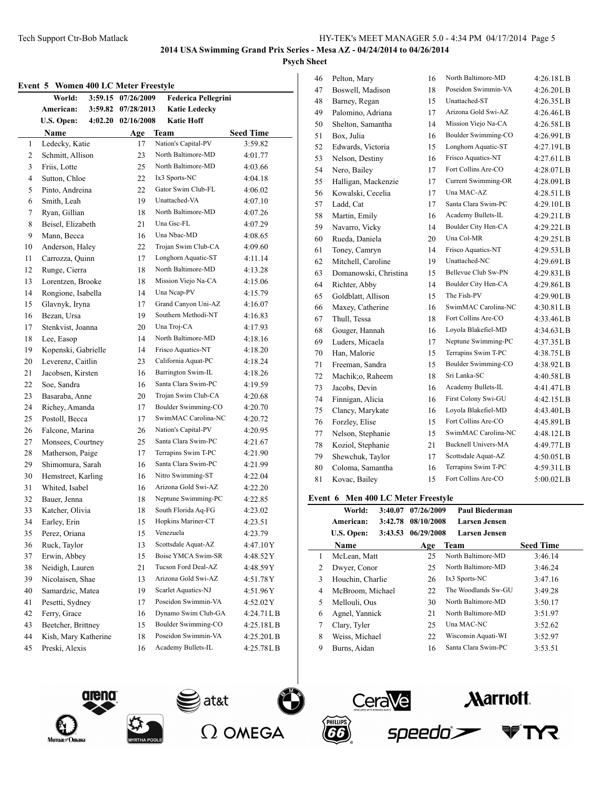**Psych Sheet**

|  |  |  |  |  |  | Event 5 Women 400 LC Meter Freestyle |
|--|--|--|--|--|--|--------------------------------------|
|--|--|--|--|--|--|--------------------------------------|

| елені э | women 400 LC meter r reestyle<br>World: | 3:59.15 07/26/2009 | <b>Federica Pellegrini</b>                 |                    |
|---------|-----------------------------------------|--------------------|--------------------------------------------|--------------------|
|         | American:                               | 3:59.82 07/28/2013 | <b>Katie Ledecky</b>                       |                    |
|         | U.S. Open:                              | 4:02.20 02/16/2008 | <b>Katie Hoff</b>                          |                    |
|         | Name                                    | Age                | Team                                       | <b>Seed Time</b>   |
| 1       | Ledecky, Katie                          | 17                 | Nation's Capital-PV                        | 3:59.82            |
| 2       | Schmitt, Allison                        | 23                 | North Baltimore-MD                         | 4:01.77            |
| 3       | Friis, Lotte                            | 25                 | North Baltimore-MD                         | 4:03.66            |
| 4       | Sutton, Chloe                           | 22                 | Ix3 Sports-NC                              | 4:04.18            |
| 5       | Pinto, Andreina                         | 22                 | Gator Swim Club-FL                         | 4:06.02            |
| 6       | Smith, Leah                             | 19                 | Unattached-VA                              | 4:07.10            |
| 7       | Ryan, Gillian                           | 18                 | North Baltimore-MD                         | 4:07.26            |
| 8       | Beisel, Elizabeth                       | 21                 | Una Gsc-FL                                 | 4:07.29            |
| 9       | Mann, Becca                             | 16                 | Una Nbac-MD                                | 4:08.65            |
| 10      | Anderson, Haley                         | 22                 | Trojan Swim Club-CA                        | 4:09.60            |
| 11      | Carrozza, Quinn                         | 17                 | Longhorn Aquatic-ST                        | 4:11.14            |
| 12      | Runge, Cierra                           | 18                 | North Baltimore-MD                         | 4:13.28            |
| 13      | Lorentzen, Brooke                       | 18                 | Mission Viejo Na-CA                        | 4:15.06            |
| 14      | Rongione, Isabella                      | 14                 | Una Ncap-PV                                | 4:15.79            |
| 15      | Glavnyk, Iryna                          | 17                 | Grand Canyon Uni-AZ                        | 4:16.07            |
| 16      | Bezan, Ursa                             | 19                 | Southern Methodi-NT                        | 4:16.83            |
| 17      | Stenkvist, Joanna                       | 20                 | Una Troj-CA                                | 4:17.93            |
| 18      | Lee, Easop                              | 14                 | North Baltimore-MD                         | 4:18.16            |
| 19      | Kopenski, Gabrielle                     | 14                 | Frisco Aquatics-NT                         | 4:18.20            |
| 20      | Leverenz, Caitlin                       | 23                 | California Aquat-PC                        |                    |
| 21      | Jacobsen, Kirsten                       | 16                 | Barrington Swim-IL                         | 4:18.24<br>4:18.26 |
| 22      | Soe, Sandra                             | 16                 | Santa Clara Swim-PC                        |                    |
| 23      |                                         | 20                 | Trojan Swim Club-CA                        | 4:19.59            |
|         | Basaraba, Anne                          |                    | Boulder Swimming-CO                        | 4:20.68            |
| 24      | Richey, Amanda<br>Postoll, Becca        | 17                 | SwimMAC Carolina-NC                        | 4:20.70            |
| 25      |                                         | 17<br>26           | Nation's Capital-PV                        | 4:20.72            |
| 26      | Falcone, Marina                         |                    | Santa Clara Swim-PC                        | 4:20.95            |
| 27      | Monsees, Courtney                       | 25                 | Terrapins Swim T-PC                        | 4:21.67            |
| 28      | Matherson, Paige                        | 17                 | Santa Clara Swim-PC                        | 4:21.90            |
| 29      | Shimomura, Sarah                        | 16                 | Nitro Swimming-ST                          | 4:21.99            |
| 30      | Hemstreet, Karling                      | 16                 |                                            | 4:22.04            |
| 31      | Whited, Isabel                          | 16                 | Arizona Gold Swi-AZ<br>Neptune Swimming-PC | 4:22.20            |
| 32      | Bauer, Jenna                            | 18                 |                                            | 4:22.85            |
| 33      | Katcher, Olivia                         | 18                 | South Florida Aq-FG<br>Hopkins Mariner-CT  | 4:23.02            |
| 34      | Earley, Erin                            | 15                 |                                            | 4:23.51            |
| 35      | Perez, Oriana                           | 15                 | Venezuela                                  | 4:23.79            |
| 36      | Ruck, Taylor                            | 13                 | Scottsdale Aquat-AZ                        | 4:47.10Y           |
| 37      | Erwin, Abbey                            | 15                 | Boise YMCA Swim-SR                         | 4:48.52Y           |
| 38      | Neidigh, Lauren                         | 21                 | Tucson Ford Deal-AZ                        | 4:48.59 Y          |
| 39      | Nicolaisen, Shae                        | 13                 | Arizona Gold Swi-AZ                        | 4:51.78 Y          |
| 40      | Samardzic, Matea                        | 19                 | Scarlet Aquatics-NJ                        | 4:51.96Y           |
| 41      | Pesetti, Sydney                         | 17                 | Poseidon Swimmin-VA                        | 4:52.02 Y          |
| 42      | Ferry, Grace                            | 16                 | Dynamo Swim Club-GA                        | 4:24.71LB          |
| 43      | Beetcher, Brittney                      | 15                 | Boulder Swimming-CO                        | 4:25.18LB          |
| 44      | Kish, Mary Katherine                    | 18                 | Poseidon Swimmin-VA                        | 4:25.20LB          |
| 45      | Preski, Alexis                          | 16                 | Academy Bullets-IL                         | 4:25.78LB          |
|         |                                         |                    |                                            |                    |

| 46 | Pelton, Mary          | 16 | North Baltimore-MD         | 4:26.18L B  |
|----|-----------------------|----|----------------------------|-------------|
| 47 | Boswell, Madison      | 18 | Poseidon Swimmin-VA        | 4:26.20L B  |
| 48 | Barney, Regan         | 15 | Unattached-ST              | 4:26.35L B  |
| 49 | Palomino, Adriana     | 17 | Arizona Gold Swi-AZ        | 4:26.46L B  |
| 50 | Shelton, Samantha     | 14 | Mission Viejo Na-CA        | 4:26.58L B  |
| 51 | Box, Julia            | 16 | Boulder Swimming-CO        | 4:26.99LB   |
| 52 | Edwards, Victoria     | 15 | Longhorn Aquatic-ST        | 4:27.19LB   |
| 53 | Nelson, Destiny       | 16 | Frisco Aquatics-NT         | 4:27.61 L B |
| 54 | Nero, Bailey          | 17 | Fort Collins Are-CO        | 4:28.07L B  |
| 55 | Halligan, Mackenzie   | 17 | <b>Current Swimming-OR</b> | 4:28.09LB   |
| 56 | Kowalski, Cecelia     | 17 | Una MAC-AZ                 | 4:28.51L B  |
| 57 | Ladd, Cat             | 17 | Santa Clara Swim-PC        | 4:29.10L B  |
| 58 | Martin, Emily         | 16 | Academy Bullets-IL         | 4:29.21LB   |
| 59 | Navarro, Vicky        | 14 | Boulder City Hen-CA        | 4:29.22LB   |
| 60 | Rueda, Daniela        | 20 | Una Col-MR                 | 4:29.25LB   |
| 61 | Toney, Camryn         | 14 | Frisco Aquatics-NT         | 4:29.53LB   |
| 62 | Mitchell, Caroline    | 19 | Unattached-NC              | 4:29.69LB   |
| 63 | Domanowski, Christina | 15 | Bellevue Club Sw-PN        | 4:29.83L B  |
| 64 | Richter, Abby         | 14 | Boulder City Hen-CA        | 4:29.86LB   |
| 65 | Goldblatt, Allison    | 15 | The Fish-PV                | 4:29.90LB   |
| 66 | Maxey, Catherine      | 16 | SwimMAC Carolina-NC        | 4:30.81L B  |
| 67 | Thull, Tessa          | 18 | Fort Collins Are-CO        | 4:33.46L B  |
| 68 | Gouger, Hannah        | 16 | Loyola Blakefiel-MD        | 4:34.63L B  |
| 69 | Luders, Micaela       | 17 | Neptune Swimming-PC        | 4:37.35LB   |
| 70 | Han, Malorie          | 15 | Terrapins Swim T-PC        | 4:38.75L B  |
| 71 | Freeman, Sandra       | 15 | Boulder Swimming-CO        | 4:38.92L B  |
| 72 | Machik;o, Raheem      | 18 | Sri Lanka-SC               | 4:40.58LB   |
| 73 | Jacobs, Devin         | 16 | Academy Bullets-IL         | 4:41.47LB   |
| 74 | Finnigan, Alicia      | 16 | First Colony Swi-GU        | 4:42.15L B  |
| 75 | Clancy, Marykate      | 16 | Loyola Blakefiel-MD        | 4:43.40L B  |
| 76 | Forzley, Elise        | 15 | Fort Collins Are-CO        | 4:45.89LB   |
| 77 | Nelson, Stephanie     | 15 | SwimMAC Carolina-NC        | 4:48.12L B  |
| 78 | Koziol, Stephanie     | 21 | <b>Bucknell Univers-MA</b> | 4:49.77L B  |
| 79 | Shewchuk, Taylor      | 17 | Scottsdale Aquat-AZ        | 4:50.05L B  |
| 80 | Coloma, Samantha      | 16 | Terrapins Swim T-PC        | 4:59.31LB   |
| 81 | Kovac, Bailey         | 15 | Fort Collins Are-CO        | 5:00.02L B  |
|    |                       |    |                            |             |

## **Event 6 Men 400 LC Meter Freestyle**

|   | World:           | 3:40.07 | 07/26/2009 | Paul Biederman       |                  |
|---|------------------|---------|------------|----------------------|------------------|
|   | American:        | 3:42.78 | 08/10/2008 | <b>Larsen Jensen</b> |                  |
|   | U.S. Open:       | 3:43.53 | 06/29/2008 | <b>Larsen Jensen</b> |                  |
|   | Name             |         | Age        | <b>Team</b>          | <b>Seed Time</b> |
| 1 | McLean, Matt     |         | 25         | North Baltimore-MD   | 3:46.14          |
| 2 | Dwyer, Conor     |         | 25         | North Baltimore-MD   | 3:46.24          |
| 3 | Houchin, Charlie |         | 26         | Ix3 Sports-NC        | 3:47.16          |
| 4 | McBroom, Michael |         | 22         | The Woodlands Sw-GU  | 3:49.28          |
| 5 | Mellouli, Ous    |         | 30         | North Baltimore-MD   | 3:50.17          |
| 6 | Agnel, Yannick   |         | 21         | North Baltimore-MD   | 3:51.97          |
| 7 | Clary, Tyler     |         | 25         | Una MAC-NC           | 3:52.62          |
| 8 | Weiss, Michael   |         | 22         | Wisconsin Aquati-WI  | 3:52.97          |
| 9 | Burns, Aidan     |         | 16         | Santa Clara Swim-PC  | 3:53.51          |

speedo









 $\overline{a}$ 

**Marriott**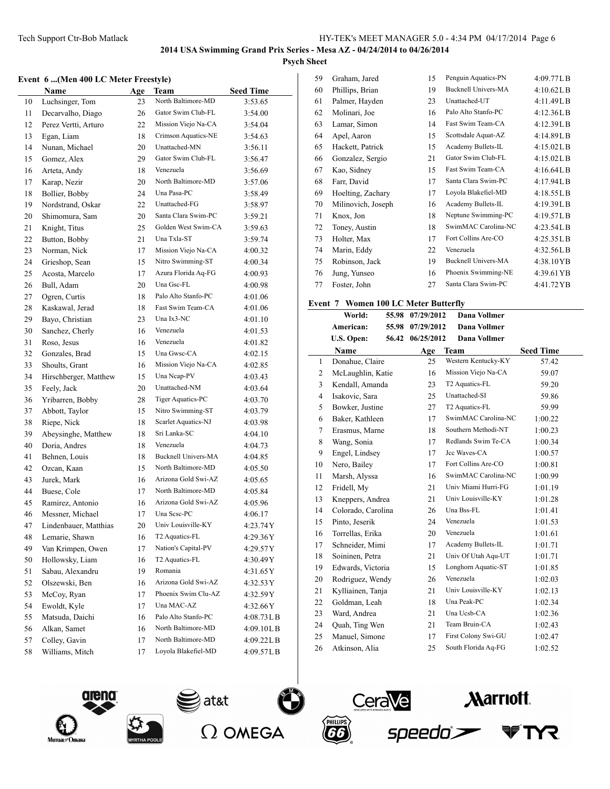## **Psych Sheet**

## **Event 6 ...(Men 400 LC Meter Freestyle)**

|    | $\mathbf{L}$ velit $\mathbf{u}$ (ivieli 400 LC ivielef Fitestyle) |     |                     |                  |
|----|-------------------------------------------------------------------|-----|---------------------|------------------|
|    | Name                                                              | Age | Team                | <b>Seed Time</b> |
| 10 | Luchsinger, Tom                                                   | 23  | North Baltimore-MD  | 3:53.65          |
| 11 | Decarvalho, Diago                                                 | 26  | Gator Swim Club-FL  | 3:54.00          |
| 12 | Perez Vertti, Arturo                                              | 22  | Mission Viejo Na-CA | 3:54.04          |
| 13 | Egan, Liam                                                        | 18  | Crimson Aquatics-NE | 3:54.63          |
| 14 | Nunan, Michael                                                    | 20  | Unattached-MN       | 3:56.11          |
| 15 | Gomez, Alex                                                       | 29  | Gator Swim Club-FL  | 3:56.47          |
| 16 | Arteta, Andy                                                      | 18  | Venezuela           | 3:56.69          |
| 17 | Karap, Nezir                                                      | 20  | North Baltimore-MD  | 3:57.06          |
| 18 | Bollier, Bobby                                                    | 24  | Una Pasa-PC         | 3:58.49          |
| 19 | Nordstrand, Oskar                                                 | 22  | Unattached-FG       | 3:58.97          |
| 20 | Shimomura, Sam                                                    | 20  | Santa Clara Swim-PC | 3:59.21          |
| 21 | Knight, Titus                                                     | 25  | Golden West Swim-CA | 3:59.63          |
| 22 | Button, Bobby                                                     | 21  | Una Txla-ST         | 3:59.74          |
| 23 | Norman, Nick                                                      | 17  | Mission Viejo Na-CA | 4:00.32          |
| 24 | Grieshop, Sean                                                    | 15  | Nitro Swimming-ST   | 4:00.34          |
| 25 | Acosta, Marcelo                                                   | 17  | Azura Florida Aq-FG | 4:00.93          |
| 26 | Bull, Adam                                                        | 20  | Una Gsc-FL          | 4:00.98          |
| 27 | Ogren, Curtis                                                     | 18  | Palo Alto Stanfo-PC | 4:01.06          |
| 28 | Kaskawal, Jerad                                                   | 18  | Fast Swim Team-CA   | 4:01.06          |
| 29 | Bayo, Christian                                                   | 23  | Una Ix3-NC          | 4:01.10          |
| 30 | Sanchez, Cherly                                                   | 16  | Venezuela           | 4:01.53          |
| 31 | Roso, Jesus                                                       | 16  | Venezuela           | 4:01.82          |
| 32 | Gonzales, Brad                                                    | 15  | Una Gwsc-CA         | 4:02.15          |
| 33 | Shoults, Grant                                                    | 16  | Mission Viejo Na-CA | 4:02.85          |
| 34 | Hirschberger, Matthew                                             | 15  | Una Ncap-PV         | 4:03.43          |
| 35 | Feely, Jack                                                       | 20  | Unattached-NM       | 4:03.64          |
| 36 | Yribarren, Bobby                                                  | 28  | Tiger Aquatics-PC   | 4:03.70          |
| 37 | Abbott, Taylor                                                    | 15  | Nitro Swimming-ST   | 4:03.79          |
| 38 | Riepe, Nick                                                       | 18  | Scarlet Aquatics-NJ | 4:03.98          |
| 39 | Abeysinghe, Matthew                                               | 18  | Sri Lanka-SC        | 4:04.10          |
| 40 | Doria, Andres                                                     | 18  | Venezuela           | 4:04.73          |
| 41 | Behnen, Louis                                                     | 18  | Bucknell Univers-MA | 4:04.85          |
| 42 | Ozcan, Kaan                                                       | 15  | North Baltimore-MD  | 4:05.50          |
| 43 | Jurek, Mark                                                       | 16  | Arizona Gold Swi-AZ | 4:05.65          |
| 44 | Buese, Cole                                                       | 17  | North Baltimore-MD  | 4:05.84          |
| 45 | Ramirez, Antonio                                                  | 16  | Arizona Gold Swi-AZ | 4:05.96          |
| 46 | Messner, Michael                                                  | 17  | Una Scsc-PC         | 4:06.17          |
| 47 | Lindenbauer, Matthias                                             | 20  | Univ Louisville-KY  | 4:23.74Y         |
| 48 | Lemarie, Shawn                                                    | 16  | T2 Aquatics-FL      | 4:29.36Y         |
| 49 | Van Krimpen, Owen                                                 | 17  | Nation's Capital-PV | 4:29.57Y         |
| 50 | Hollowsky, Liam                                                   | 16  | T2 Aquatics-FL      | 4:30.49Y         |
| 51 | Sabau, Alexandru                                                  | 19  | Romania             | 4:31.65Y         |
| 52 | Olszewski, Ben                                                    | 16  | Arizona Gold Swi-AZ | 4:32.53Y         |
| 53 | McCoy, Ryan                                                       | 17  | Phoenix Swim Clu-AZ | 4:32.59Y         |
| 54 | Ewoldt, Kyle                                                      | 17  | Una MAC-AZ          | 4:32.66Y         |
| 55 | Matsuda, Daichi                                                   | 16  | Palo Alto Stanfo-PC | 4:08.73L B       |
| 56 | Alkan, Samet                                                      | 16  | North Baltimore-MD  | 4:09.10LB        |
| 57 | Colley, Gavin                                                     | 17  | North Baltimore-MD  | 4:09.22LB        |
| 58 | Williams, Mitch                                                   | 17  | Loyola Blakefiel-MD | 4:09.57LB        |
|    |                                                                   |     |                     |                  |

| 59 | Graham, Jared      | 15 | Penguin Aquatics-PN        | 4:09.77LB  |
|----|--------------------|----|----------------------------|------------|
| 60 | Phillips, Brian    | 19 | <b>Bucknell Univers-MA</b> | 4:10.62L B |
| 61 | Palmer, Hayden     | 23 | Unattached-UT              | 4:11.49LB  |
| 62 | Molinari, Joe      | 16 | Palo Alto Stanfo-PC        | 4:12.36L B |
| 63 | Lamar, Simon       | 14 | Fast Swim Team-CA          | 4:12.39LB  |
| 64 | Apel, Aaron        | 15 | Scottsdale Aquat-AZ        | 4:14.89LB  |
| 65 | Hackett, Patrick   | 15 | Academy Bullets-IL         | 4:15.02L B |
| 66 | Gonzalez, Sergio   | 21 | Gator Swim Club-FL         | 4:15.02L B |
| 67 | Kao, Sidney        | 15 | Fast Swim Team-CA          | 4:16.64L B |
| 68 | Farr, David        | 17 | Santa Clara Swim-PC        | 4:17.94LB  |
| 69 | Hoelting, Zachary  | 17 | Loyola Blakefiel-MD        | 4:18.55LB  |
| 70 | Milinovich, Joseph | 16 | Academy Bullets-IL         | 4:19.39LB  |
| 71 | Knox, Jon          | 18 | Neptune Swimming-PC        | 4:19.57LB  |
| 72 | Toney, Austin      | 18 | SwimMAC Carolina-NC        | 4:23.54LB  |
| 73 | Holter, Max        | 17 | Fort Collins Are-CO        | 4:25.35L B |
| 74 | Marin, Eddy        | 22 | Venezuela                  | 4:32.56LB  |
| 75 | Robinson, Jack     | 19 | <b>Bucknell Univers-MA</b> | 4:38.10YB  |
| 76 | Jung, Yunseo       | 16 | Phoenix Swimming-NE        | 4:39.61 YB |
| 77 | Foster, John       | 27 | Santa Clara Swim-PC        | 4:41.72 YB |
|    |                    |    |                            |            |

## **Event 7 Women 100 LC Meter Butterfly**

|                | World:             | 55.98 | 07/29/2012 | Dana Vollmer        |                  |
|----------------|--------------------|-------|------------|---------------------|------------------|
|                | American:          | 55.98 | 07/29/2012 | <b>Dana Vollmer</b> |                  |
|                | U.S. Open:         | 56.42 | 06/25/2012 | <b>Dana Vollmer</b> |                  |
|                | <b>Name</b>        |       | Age        | Team                | <b>Seed Time</b> |
| $\mathbf{1}$   | Donahue, Claire    |       | 25         | Western Kentucky-KY | 57.42            |
| 2              | McLaughlin, Katie  |       | 16         | Mission Viejo Na-CA | 59.07            |
| 3              | Kendall, Amanda    |       | 23         | T2 Aquatics-FL      | 59.20            |
| $\overline{4}$ | Isakovic, Sara     |       | 25         | Unattached-SI       | 59.86            |
| 5              | Bowker, Justine    |       | 27         | T2 Aquatics-FL      | 59.99            |
| 6              | Baker, Kathleen    |       | 17         | SwimMAC Carolina-NC | 1:00.22          |
| 7              | Erasmus, Marne     |       | 18         | Southern Methodi-NT | 1:00.23          |
| 8              | Wang, Sonia        |       | 17         | Redlands Swim Te-CA | 1:00.34          |
| 9              | Engel, Lindsey     |       | 17         | Jcc Waves-CA        | 1:00.57          |
| 10             | Nero, Bailey       |       | 17         | Fort Collins Are-CO | 1:00.81          |
| 11             | Marsh, Alyssa      |       | 16         | SwimMAC Carolina-NC | 1:00.99          |
| 12             | Fridell, My        |       | 21         | Univ Miami Hurri-FG | 1:01.19          |
| 13             | Kneppers, Andrea   |       | 21         | Univ Louisville-KY  | 1:01.28          |
| 14             | Colorado, Carolina |       | 26         | Una Bss-FL          | 1:01.41          |
| 15             | Pinto, Jeserik     |       | 24         | Venezuela           | 1:01.53          |
| 16             | Torrellas, Erika   |       | 20         | Venezuela           | 1:01.61          |
| 17             | Schneider, Mimi    |       | 17         | Academy Bullets-IL  | 1:01.71          |
| 18             | Soininen, Petra    |       | 21         | Univ Of Utah Aqu-UT | 1:01.71          |
| 19             | Edwards, Victoria  |       | 15         | Longhorn Aquatic-ST | 1:01.85          |
| 20             | Rodriguez, Wendy   |       | 26         | Venezuela           | 1:02.03          |
| 21             | Kylliainen, Tanja  |       | 21         | Univ Louisville-KY  | 1:02.13          |
| 22             | Goldman, Leah      |       | 18         | Una Peak-PC         | 1:02.34          |
| 23             | Ward, Andrea       |       | 21         | Una Ucsb-CA         | 1:02.36          |
| 24             | Quah, Ting Wen     |       | 21         | Team Bruin-CA       | 1:02.43          |
| 25             | Manuel, Simone     |       | 17         | First Colony Swi-GU | 1:02.47          |
| 26             | Atkinson, Alia     |       | 25         | South Florida Aq-FG | 1:02.52          |
|                |                    |       |            |                     |                  |









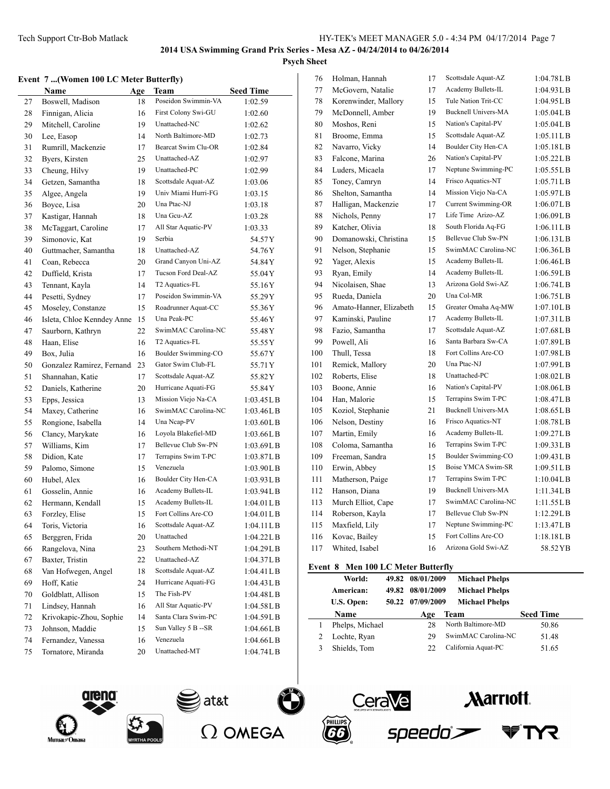## **Psych Sheet**

## **Event 7 ...(Women 100 LC Meter Butterfly)**

|    | Name                       | <b>Age</b> | Team                 | <b>Seed Time</b> |
|----|----------------------------|------------|----------------------|------------------|
| 27 | Boswell, Madison           | 18         | Poseidon Swimmin-VA  | 1:02.59          |
| 28 | Finnigan, Alicia           | 16         | First Colony Swi-GU  | 1:02.60          |
| 29 | Mitchell, Caroline         | 19         | Unattached-NC        | 1:02.62          |
| 30 | Lee, Easop                 | 14         | North Baltimore-MD   | 1:02.73          |
| 31 | Rumrill, Mackenzie         | 17         | Bearcat Swim Clu-OR  | 1:02.84          |
| 32 | Byers, Kirsten             | 25         | Unattached-AZ        | 1:02.97          |
| 33 | Cheung, Hilvy              | 19         | Unattached-PC        | 1:02.99          |
| 34 | Getzen, Samantha           | 18         | Scottsdale Aquat-AZ  | 1:03.06          |
| 35 | Algee, Angela              | 19         | Univ Miami Hurri-FG  | 1:03.15          |
| 36 | Boyce, Lisa                | 20         | Una Ptac-NJ          | 1:03.18          |
| 37 | Kastigar, Hannah           | 18         | Una Geu-AZ           | 1:03.28          |
| 38 | McTaggart, Caroline        | 17         | All Star Aquatic-PV  | 1:03.33          |
| 39 | Simonovic, Kat             | 19         | Serbia               | 54.57 Y          |
| 40 | Guttmacher, Samantha       | 18         | Unattached-AZ        | 54.76 Y          |
| 41 | Coan, Rebecca              | 20         | Grand Canyon Uni-AZ  | 54.84 Y          |
| 42 | Duffield, Krista           | 17         | Tucson Ford Deal-AZ  | 55.04Y           |
| 43 | Tennant, Kayla             | 14         | T2 Aquatics-FL       | 55.16Y           |
| 44 | Pesetti, Sydney            | 17         | Poseidon Swimmin-VA  | 55.29Y           |
| 45 | Moseley, Constanze         | 15         | Roadrunner Aquat-CC  | 55.36Y           |
| 46 | Isleta, Chloe Kenndey Anne | 15         | Una Peak-PC          | 55.46 Y          |
| 47 | Saurborn, Kathryn          | 22         | SwimMAC Carolina-NC  | 55.48Y           |
| 48 | Haan, Elise                | 16         | T2 Aquatics-FL       | 55.55 Y          |
| 49 | Box, Julia                 | 16         | Boulder Swimming-CO  | 55.67Y           |
| 50 | Gonzalez Ramirez, Fernand  | 23         | Gator Swim Club-FL   | 55.71Y           |
| 51 | Shannahan, Katie           | 17         | Scottsdale Aquat-AZ  | 55.82 Y          |
| 52 | Daniels, Katherine         | 20         | Hurricane Aquati-FG  | 55.84 Y          |
| 53 | Epps, Jessica              | 13         | Mission Viejo Na-CA  | 1:03.45 L B      |
| 54 | Maxey, Catherine           | 16         | SwimMAC Carolina-NC  | 1:03.46LB        |
| 55 | Rongione, Isabella         | 14         | Una Ncap-PV          | 1:03.60L B       |
| 56 | Clancy, Marykate           | 16         | Loyola Blakefiel-MD  | 1:03.66LB        |
| 57 | Williams, Kim              | 17         | Bellevue Club Sw-PN  | 1:03.69LB        |
| 58 | Didion, Kate               | 17         | Terrapins Swim T-PC  | 1:03.87L B       |
| 59 | Palomo, Simone             | 15         | Venezuela            | 1:03.90LB        |
| 60 | Hubel, Alex                | 16         | Boulder City Hen-CA  | 1:03.93LB        |
| 61 | Gosselin, Annie            | 16         | Academy Bullets-IL   | 1:03.94L B       |
| 62 | Hermann, Kendall           | 15         | Academy Bullets-IL   | 1:04.01 L B      |
| 63 | Forzley, Elise             | 15         | Fort Collins Are-CO  | 1:04.01 L B      |
| 64 | Toris, Victoria            | 16         | Scottsdale Aquat-AZ  | $1:04.11$ LB     |
| 65 | Berggren, Frida            | 20         | Unattached           | 1:04.22L B       |
| 66 | Rangelova, Nina            | 23         | Southern Methodi-NT  | 1:04.29LB        |
| 67 | Baxter, Tristin            | 22         | Unattached-AZ        | 1:04.37LB        |
| 68 | Van Hofwegen, Angel        | 18         | Scottsdale Aquat-AZ  | $1:04.41$ LB     |
| 69 | Hoff, Katie                | 24         | Hurricane Aquati-FG  | 1:04.43L B       |
| 70 | Goldblatt, Allison         | 15         | The Fish-PV          | 1:04.48L B       |
| 71 | Lindsey, Hannah            | 16         | All Star Aquatic-PV  | 1:04.58L B       |
| 72 | Krivokapic-Zhou, Sophie    | 14         | Santa Clara Swim-PC  | 1:04.59LB        |
| 73 | Johnson, Maddie            | 15         | Sun Valley 5 B -- SR | 1:04.66L B       |
| 74 | Fernandez, Vanessa         | 16         | Venezuela            | 1:04.66LB        |
| 75 | Tornatore, Miranda         | 20         | Unattached-MT        | 1:04.74L B       |

| 76  | Holman, Hannah          | 17 | Scottsdale Aquat-AZ        | 1:04.78LB             |
|-----|-------------------------|----|----------------------------|-----------------------|
| 77  | McGovern, Natalie       | 17 | Academy Bullets-IL         | 1:04.93LB             |
| 78  | Korenwinder, Mallory    | 15 | Tule Nation Trit-CC        | 1:04.95LB             |
| 79  | McDonnell, Amber        | 19 | <b>Bucknell Univers-MA</b> | 1:05.04L B            |
| 80  | Moshos, Reni            | 15 | Nation's Capital-PV        | 1:05.04LB             |
| 81  | Broome, Emma            | 15 | Scottsdale Aquat-AZ        | 1:05.11L B            |
| 82  | Navarro, Vicky          | 14 | Boulder City Hen-CA        | 1:05.18LB             |
| 83  | Falcone, Marina         | 26 | Nation's Capital-PV        | 1:05.22L B            |
| 84  | Luders, Micaela         | 17 | Neptune Swimming-PC        | 1:05.55LB             |
| 85  | Toney, Camryn           | 14 | Frisco Aquatics-NT         | $1:05.71$ LB          |
| 86  | Shelton, Samantha       | 14 | Mission Viejo Na-CA        | 1:05.97LB             |
| 87  | Halligan, Mackenzie     | 17 | Current Swimming-OR        | 1:06.07L B            |
| 88  | Nichols, Penny          | 17 | Life Time Arizo-AZ         | 1:06.09LB             |
| 89  | Katcher, Olivia         | 18 | South Florida Aq-FG        | 1:06.11 L B           |
| 90  | Domanowski, Christina   | 15 | Bellevue Club Sw-PN        | 1:06.13LB             |
| 91  | Nelson, Stephanie       | 15 | SwimMAC Carolina-NC        | 1:06.36L B            |
| 92  | Yager, Alexis           | 15 | Academy Bullets-IL         | 1:06.46LB             |
| 93  | Ryan, Emily             | 14 | Academy Bullets-IL         | 1:06.59L B            |
| 94  | Nicolaisen, Shae        | 13 | Arizona Gold Swi-AZ        | 1:06.74L B            |
| 95  | Rueda, Daniela          | 20 | Una Col-MR                 | 1:06.75L B            |
| 96  | Amato-Hanner, Elizabeth | 15 | Greater Omaha Aq-MW        | 1:07.10L B            |
| 97  | Kaminski, Pauline       | 17 | Academy Bullets-IL         | 1:07.31 <sub>LB</sub> |
| 98  | Fazio, Samantha         | 17 | Scottsdale Aquat-AZ        | 1:07.68L B            |
| 99  | Powell, Ali             | 16 | Santa Barbara Sw-CA        | 1:07.89L B            |
| 100 | Thull, Tessa            | 18 | Fort Collins Are-CO        | 1:07.98LB             |
| 101 | Remick, Mallory         | 20 | Una Ptac-NJ                | 1:07.99LB             |
| 102 | Roberts, Elise          | 18 | Unattached-PC              | 1:08.02L B            |
| 103 | Boone, Annie            | 16 | Nation's Capital-PV        | 1:08.06LB             |
| 104 | Han, Malorie            | 15 | Terrapins Swim T-PC        | 1:08.47LB             |
| 105 | Koziol, Stephanie       | 21 | <b>Bucknell Univers-MA</b> | 1:08.65L B            |
| 106 | Nelson, Destiny         | 16 | Frisco Aquatics-NT         | 1:08.78L B            |
| 107 | Martin, Emily           | 16 | Academy Bullets-IL         | 1:09.27L B            |
| 108 | Coloma, Samantha        | 16 | Terrapins Swim T-PC        | 1:09.33LB             |
| 109 | Freeman, Sandra         | 15 | Boulder Swimming-CO        | 1:09.43LB             |
| 110 | Erwin, Abbey            | 15 | Boise YMCA Swim-SR         | 1:09.51L B            |
| 111 | Matherson, Paige        | 17 | Terrapins Swim T-PC        | 1:10.04L B            |
| 112 | Hanson, Diana           | 19 | <b>Bucknell Univers-MA</b> | 1:11.34LB             |
| 113 | Murch Elliot, Cape      | 17 | SwimMAC Carolina-NC        | 1:11.55LB             |
| 114 | Roberson, Kayla         | 17 | Bellevue Club Sw-PN        | 1:12.29L B            |
| 115 | Maxfield, Lily          | 17 | Neptune Swimming-PC        | 1:13.47L B            |
| 116 | Kovac, Bailey           | 15 | Fort Collins Are-CO        | 1:18.18LB             |
| 117 | Whited, Isabel          | 16 | Arizona Gold Swi-AZ        | 58.52YB               |
|     |                         |    |                            |                       |

## **Event 8 Men 100 LC Meter Butterfly**

| World:          |       | 49.82 08/01/2009 | <b>Michael Phelps</b> |                  |
|-----------------|-------|------------------|-----------------------|------------------|
| American:       | 49.82 | 08/01/2009       | <b>Michael Phelps</b> |                  |
| U.S. Open:      |       | 50.22 07/09/2009 | <b>Michael Phelps</b> |                  |
| Name            |       | Age              | Team                  | <b>Seed Time</b> |
| Phelps, Michael |       | 28               | North Baltimore-MD    | 50.86            |
| Lochte, Ryan    |       | 29               | SwimMAC Carolina-NC   | 51.48            |
| Shields, Tom    |       | フフ               | California Aquat-PC   | 51.65            |
|                 |       |                  |                       |                  |

speedo<sup>\*</sup>









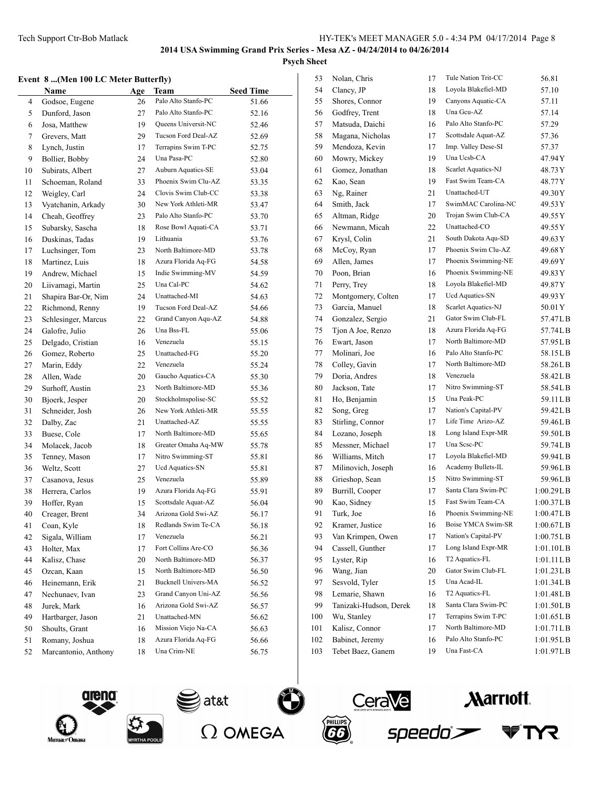## **Event 8 ...(Men 100 LC Meter Butterfly)**

|    | елеш о (мен тоо ес месег бишегну) |     |                     |                  |
|----|-----------------------------------|-----|---------------------|------------------|
|    | Name                              | Age | Team                | <b>Seed Time</b> |
| 4  | Godsoe, Eugene                    | 26  | Palo Alto Stanfo-PC | 51.66            |
| 5  | Dunford, Jason                    | 27  | Palo Alto Stanfo-PC | 52.16            |
| 6  | Josa, Matthew                     | 19  | Queens Universit-NC | 52.46            |
| 7  | Grevers, Matt                     | 29  | Tucson Ford Deal-AZ | 52.69            |
| 8  | Lynch, Justin                     | 17  | Terrapins Swim T-PC | 52.75            |
| 9  | Bollier, Bobby                    | 24  | Una Pasa-PC         | 52.80            |
| 10 | Subirats, Albert                  | 27  | Auburn Aquatics-SE  | 53.04            |
| 11 | Schoeman, Roland                  | 33  | Phoenix Swim Clu-AZ | 53.35            |
| 12 | Weigley, Carl                     | 24  | Clovis Swim Club-CC | 53.38            |
| 13 | Vyatchanin, Arkady                | 30  | New York Athleti-MR | 53.47            |
| 14 | Cheah, Geoffrey                   | 23  | Palo Alto Stanfo-PC | 53.70            |
| 15 | Subarsky, Sascha                  | 18  | Rose Bowl Aquati-CA | 53.71            |
| 16 | Duskinas, Tadas                   | 19  | Lithuania           | 53.76            |
| 17 | Luchsinger, Tom                   | 23  | North Baltimore-MD  | 53.78            |
| 18 | Martinez, Luis                    | 18  | Azura Florida Aq-FG | 54.58            |
| 19 | Andrew, Michael                   | 15  | Indie Swimming-MV   | 54.59            |
| 20 | Liivamagi, Martin                 | 25  | Una Cal-PC          | 54.62            |
| 21 | Shapira Bar-Or, Nim               | 24  | Unattached-MI       | 54.63            |
| 22 | Richmond, Renny                   | 19  | Tucson Ford Deal-AZ | 54.66            |
| 23 | Schlesinger, Marcus               | 22  | Grand Canyon Aqu-AZ | 54.88            |
| 24 | Galofre, Julio                    | 26  | Una Bss-FL          | 55.06            |
| 25 | Delgado, Cristian                 | 16  | Venezuela           | 55.15            |
| 26 | Gomez, Roberto                    | 25  | Unattached-FG       | 55.20            |
| 27 | Marin, Eddy                       | 22  | Venezuela           | 55.24            |
| 28 | Allen, Wade                       | 20  | Gaucho Aquatics-CA  | 55.30            |
| 29 | Surhoff, Austin                   | 23  | North Baltimore-MD  | 55.36            |
| 30 | Bjoerk, Jesper                    | 20  | Stockholmspolise-SC | 55.52            |
| 31 | Schneider, Josh                   | 26  | New York Athleti-MR | 55.55            |
| 32 | Dalby, Zac                        | 21  | Unattached-AZ       | 55.55            |
| 33 | Buese, Cole                       | 17  | North Baltimore-MD  | 55.65            |
| 34 | Molacek, Jacob                    | 18  | Greater Omaha Aq-MW | 55.78            |
| 35 | Tenney, Mason                     | 17  | Nitro Swimming-ST   | 55.81            |
| 36 | Weltz, Scott                      | 27  | Ucd Aquatics-SN     | 55.81            |
| 37 | Casanova, Jesus                   | 25  | Venezuela           | 55.89            |
| 38 | Herrera, Carlos                   | 19  | Azura Florida Aq-FG | 55.91            |
| 39 | Hoffer, Ryan                      | 15  | Scottsdale Aquat-AZ | 56.04            |
| 40 | Creager, Brent                    | 34  | Arizona Gold Swi-AZ | 56.17            |
| 41 | Coan, Kyle                        | 18  | Redlands Swim Te-CA | 56.18            |
| 42 | Sigala, William                   | 17  | Venezuela           | 56.21            |
| 43 | Holter, Max                       | 17  | Fort Collins Are-CO | 56.36            |
| 44 | Kalisz, Chase                     | 20  | North Baltimore-MD  | 56.37            |
| 45 | Ozcan, Kaan                       | 15  | North Baltimore-MD  | 56.50            |
| 46 | Heinemann, Erik                   | 21  | Bucknell Univers-MA | 56.52            |
| 47 | Nechunaev, Ivan                   | 23  | Grand Canyon Uni-AZ | 56.56            |
| 48 | Jurek, Mark                       | 16  | Arizona Gold Swi-AZ | 56.57            |
| 49 | Hartbarger, Jason                 | 21  | Unattached-MN       | 56.62            |
| 50 | Shoults, Grant                    | 16  | Mission Viejo Na-CA | 56.63            |
| 51 | Romany, Joshua                    | 18  | Azura Florida Aq-FG | 56.66            |
| 52 | Marcantonio, Anthony              | 18  | Una Crim-NE         | 56.75            |
|    |                                   |     |                     |                  |

| 53  | Nolan, Chris           | 17 | Tule Nation Trit-CC        | 56.81        |
|-----|------------------------|----|----------------------------|--------------|
| 54  | Clancy, JP             | 18 | Loyola Blakefiel-MD        | 57.10        |
| 55  | Shores, Connor         | 19 | Canyons Aquatic-CA         | 57.11        |
| 56  | Godfrey, Trent         | 18 | Una Gcu-AZ                 | 57.14        |
| 57  | Matsuda, Daichi        | 16 | Palo Alto Stanfo-PC        | 57.29        |
| 58  | Magana, Nicholas       | 17 | Scottsdale Aquat-AZ        | 57.36        |
| 59  | Mendoza, Kevin         | 17 | Imp. Valley Dese-SI        | 57.37        |
| 60  | Mowry, Mickey          | 19 | Una Ucsb-CA                | 47.94 Y      |
| 61  | Gomez, Jonathan        | 18 | Scarlet Aquatics-NJ        | 48.73 Y      |
| 62  | Kao, Sean              | 19 | Fast Swim Team-CA          | 48.77 Y      |
| 63  | Ng, Rainer             | 21 | Unattached-UT              | 49.30 Y      |
| 64  | Smith, Jack            | 17 | SwimMAC Carolina-NC        | 49.53 Y      |
| 65  | Altman, Ridge          | 20 | Trojan Swim Club-CA        | 49.55 Y      |
| 66  | Newmann, Micah         | 22 | Unattached-CO              | 49.55 Y      |
| 67  | Krysl, Colin           | 21 | South Dakota Aqu-SD        | 49.63 Y      |
| 68  | McCoy, Ryan            | 17 | Phoenix Swim Clu-AZ        | 49.68 Y      |
| 69  | Allen, James           | 17 | Phoenix Swimming-NE        | 49.69 Y      |
| 70  | Poon, Brian            | 16 | Phoenix Swimming-NE        | 49.83 Y      |
| 71  | Perry, Trey            | 18 | Loyola Blakefiel-MD        | 49.87 Y      |
| 72  | Montgomery, Colten     | 17 | Ucd Aquatics-SN            | 49.93 Y      |
| 73  | Garcia, Manuel         | 18 | Scarlet Aquatics-NJ        | 50.01Y       |
| 74  | Gonzalez, Sergio       | 21 | Gator Swim Club-FL         | 57.47LB      |
| 75  | Tjon A Joe, Renzo      | 18 | Azura Florida Aq-FG        | 57.74LB      |
| 76  | Ewart, Jason           | 17 | North Baltimore-MD         | 57.95LB      |
| 77  | Molinari, Joe          | 16 | Palo Alto Stanfo-PC        | 58.15LB      |
| 78  | Colley, Gavin          | 17 | North Baltimore-MD         | 58.26LB      |
| 79  | Doria, Andres          | 18 | Venezuela                  | 58.42LB      |
| 80  | Jackson, Tate          | 17 | Nitro Swimming-ST          | 58.54LB      |
| 81  | Ho, Benjamin           | 15 | Una Peak-PC                | 59.11 L B    |
| 82  | Song, Greg             | 17 | Nation's Capital-PV        | 59.42LB      |
| 83  | Stirling, Connor       | 17 | Life Time Arizo-AZ         | 59.46LB      |
| 84  | Lozano, Joseph         | 18 | Long Island Expr-MR        | 59.50LB      |
| 85  | Messner, Michael       | 17 | Una Scsc-PC                | 59.74LB      |
| 86  | Williams, Mitch        | 17 | Loyola Blakefiel-MD        | 59.94LB      |
| 87  | Milinovich, Joseph     | 16 | Academy Bullets-IL         | 59.96LB      |
| 88  | Grieshop, Sean         | 15 | Nitro Swimming-ST          | 59.96LB      |
| 89  | Burrill, Cooper        | 17 | Santa Clara Swim-PC        | 1:00.29L B   |
| 90  | Kao, Sidney            | 15 | Fast Swim Team-CA          | 1:00.37LB    |
| 91  | Turk, Joe              | 16 | Phoenix Swimming-NE        | 1:00.47L B   |
| 92  | Kramer, Justice        | 16 | Boise YMCA Swim-SR         | 1:00.67L B   |
| 93  | Van Krimpen, Owen      | 17 | Nation's Capital-PV        | 1:00.75 L B  |
| 94  | Cassell, Gunther       | 17 | Long Island Expr-MR        | 1:01.10LB    |
| 95  | Lyster, Rip            | 16 | T <sub>2</sub> Aquatics-FL | $1:01.11$ LB |
| 96  | Wang, Jian             | 20 | Gator Swim Club-FL         | 1:01.23L B   |
| 97  | Sesvold, Tyler         | 15 | Una Acad-IL                | 1:01.34L B   |
| 98  | Lemarie, Shawn         | 16 | T2 Aquatics-FL             | 1:01.48L B   |
| 99  | Tanizaki-Hudson, Derek | 18 | Santa Clara Swim-PC        | 1:01.50LB    |
| 100 | Wu, Stanley            | 17 | Terrapins Swim T-PC        | 1:01.65 L B  |
| 101 | Kalisz, Connor         | 17 | North Baltimore-MD         | 1:01.71 L B  |
| 102 | Babinet, Jeremy        | 16 | Palo Alto Stanfo-PC        | 1:01.95L B   |
| 103 | Tebet Baez, Ganem      | 19 | Una Fast-CA                | 1:01.97L B   |
|     |                        |    |                            |              |









TYR.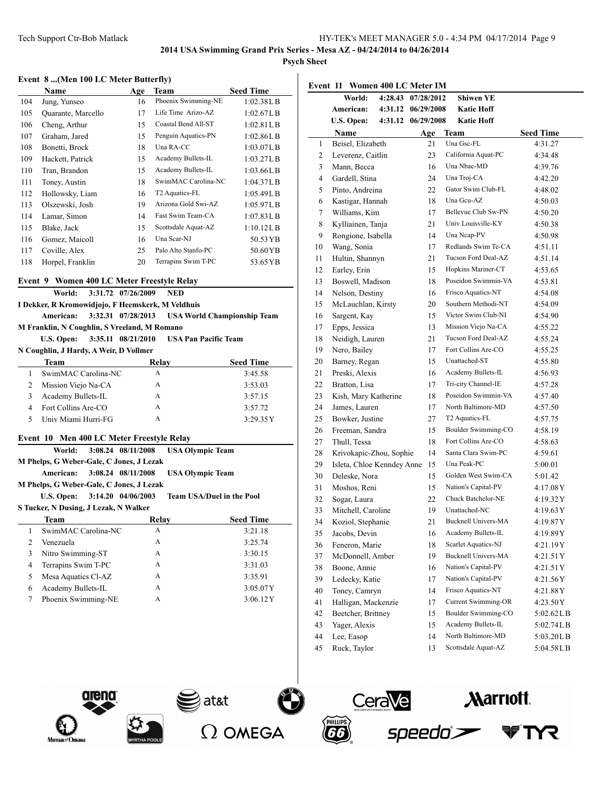**Psych Sheet**

### **Event 8 ...(Men 100 LC Meter Butterfly)**

|     | Name               | Age | Team                       | <b>Seed Time</b> |
|-----|--------------------|-----|----------------------------|------------------|
| 104 | Jung, Yunseo       | 16  | Phoenix Swimming-NE        | 1:02.38L B       |
| 105 | Quarante, Marcello | 17  | Life Time Arizo-AZ         | 1:02.67L B       |
| 106 | Cheng, Arthur      | 15  | Coastal Bend All-ST        | 1:02.81L B       |
| 107 | Graham, Jared      | 15  | Penguin Aquatics-PN        | 1:02.86L B       |
| 108 | Bonetti, Brock     | 18  | Una RA-CC                  | 1:03.07L B       |
| 109 | Hackett, Patrick   | 15  | Academy Bullets-IL         | 1:03.27L B       |
| 110 | Tran, Brandon      | 15  | Academy Bullets-IL         | 1:03.66L B       |
| 111 | Toney, Austin      | 18  | SwimMAC Carolina-NC        | 1:04.37L B       |
| 112 | Hollowsky, Liam    | 16  | T <sub>2</sub> Aquatics-FL | 1:05.49L B       |
| 113 | Olszewski, Josh    | 19  | Arizona Gold Swi-AZ        | 1:05.97L B       |
| 114 | Lamar, Simon       | 14  | Fast Swim Team-CA          | 1:07.83L B       |
| 115 | Blake, Jack        | 15  | Scottsdale Aquat-AZ        | 1:10.12L B       |
| 116 | Gomez, Maicoll     | 16  | Una Scar-NJ                | 50.53 YB         |
| 117 | Coville, Alex      | 25  | Palo Alto Stanfo-PC        | 50.60YB          |
| 118 | Horpel, Franklin   | 20  | Terrapins Swim T-PC        | 53.65 YB         |

## **Event 9 Women 400 LC Meter Freestyle Relay**

|   |                        |                     | World: 3:31.72 07/26/2009                          | NED |                                                          |
|---|------------------------|---------------------|----------------------------------------------------|-----|----------------------------------------------------------|
|   |                        |                     | I Dekker, R Kromowidjojo, F Heemskerk, M Veldhuis  |     |                                                          |
|   |                        |                     |                                                    |     | American: 3:32.31 07/28/2013 USA World Championship Team |
|   |                        |                     | M Franklin, N Coughlin, S Vreeland, M Romano       |     |                                                          |
|   |                        |                     | U.S. Open: 3:35.11 08/21/2010 USA Pan Pacific Team |     |                                                          |
|   |                        |                     | N Coughlin, J Hardy, A Weir, D Vollmer             |     |                                                          |
|   | <b>Team</b>            |                     | Relay                                              |     | <b>Seed Time</b>                                         |
| 1 |                        | SwimMAC Carolina-NC | A                                                  |     | 3:45.58                                                  |
|   | 2. Mission Viejo Na-CA |                     | А                                                  |     | 3.5303                                                   |

| Mission Viejo Na-CA | А | 3:53.03  |
|---------------------|---|----------|
| Academy Bullets-IL  | А | 3:57.15  |
| Fort Collins Are-CO | А | 3:57.72  |
| Univ Miami Hurri-FG | А | 3:29.35Y |
|                     |   |          |

## **Event 10 Men 400 LC Meter Freestyle Relay**

|                | World:                                   | 3:08.24 08/11/2008 | <b>USA Olympic Team</b>          |  |  |  |  |  |
|----------------|------------------------------------------|--------------------|----------------------------------|--|--|--|--|--|
|                | M Phelps, G Weber-Gale, C Jones, J Lezak |                    |                                  |  |  |  |  |  |
|                | American:                                | 3:08.24 08/11/2008 | <b>USA Olympic Team</b>          |  |  |  |  |  |
|                | M Phelps, G Weber-Gale, C Jones, J Lezak |                    |                                  |  |  |  |  |  |
|                | U.S. Open: 3:14.20 04/06/2003            |                    | <b>Team USA/Duel in the Pool</b> |  |  |  |  |  |
|                | S Tucker, N Dusing, J Lezak, N Walker    |                    |                                  |  |  |  |  |  |
|                | <b>Team</b>                              | Relay              | <b>Seed Time</b>                 |  |  |  |  |  |
| 1              | SwimMAC Carolina-NC                      | A                  | 3:21.18                          |  |  |  |  |  |
| $\overline{c}$ | Venezuela                                | A                  | 3:25.74                          |  |  |  |  |  |
| 3              | Nitro Swimming-ST                        | A                  | 3:30.15                          |  |  |  |  |  |
| 4              | Terrapins Swim T-PC                      | A                  | 3:31.03                          |  |  |  |  |  |
| 5              | Mesa Aquatics Cl-AZ                      | A                  | 3:35.91                          |  |  |  |  |  |
| 6              | Academy Bullets-IL                       | A                  | 3:05.07Y                         |  |  |  |  |  |
| 7              | Phoenix Swimming-NE                      | A                  | 3:06.12Y                         |  |  |  |  |  |

| Event 11 Women 400 LC Meter IM |                            |                    |                                                   |                  |  |
|--------------------------------|----------------------------|--------------------|---------------------------------------------------|------------------|--|
|                                | World:                     | 4:28.43 07/28/2012 | <b>Shiwen YE</b>                                  |                  |  |
|                                | American:<br>4:31.12       | 06/29/2008         | <b>Katie Hoff</b>                                 |                  |  |
|                                | U.S. Open:<br>4:31.12      | 06/29/2008         | <b>Katie Hoff</b>                                 |                  |  |
|                                | Name                       | Age                | Team                                              | <b>Seed Time</b> |  |
| 1                              | Beisel, Elizabeth          | 21                 | Una Gsc-FL                                        | 4:31.27          |  |
| 2                              | Leverenz, Caitlin          | 23                 | California Aquat-PC                               | 4:34.48          |  |
| 3                              | Mann, Becca                | 16                 | Una Nbac-MD                                       | 4:39.76          |  |
| 4                              | Gardell, Stina             | 24                 | Una Troj-CA                                       | 4:42.20          |  |
| 5                              | Pinto, Andreina            | 22                 | Gator Swim Club-FL                                | 4:48.02          |  |
| 6                              | Kastigar, Hannah           | 18                 | Una Gcu-AZ                                        | 4:50.03          |  |
| 7                              | Williams, Kim              | 17                 | Bellevue Club Sw-PN                               | 4:50.20          |  |
| 8                              | Kylliainen, Tanja          | 21                 | Univ Louisville-KY                                | 4:50.38          |  |
| 9                              | Rongione, Isabella         | 14                 | Una Ncap-PV                                       | 4:50.98          |  |
| 10                             | Wang, Sonia                | 17                 | Redlands Swim Te-CA                               | 4:51.11          |  |
| 11                             | Hultin, Shannyn            | 21                 | Tucson Ford Deal-AZ                               | 4:51.14          |  |
| 12                             | Earley, Erin               | 15                 | Hopkins Mariner-CT                                | 4:53.65          |  |
| 13                             | Boswell, Madison           | 18                 | Poseidon Swimmin-VA                               | 4:53.81          |  |
| 14                             | Nelson, Destiny            | 16                 | Frisco Aquatics-NT                                | 4:54.08          |  |
| 15                             | McLauchlan, Kirsty         | 20                 | Southern Methodi-NT                               | 4:54.09          |  |
| 16                             | Sargent, Kay               | 15                 | Victor Swim Club-NI                               | 4:54.90          |  |
| 17                             | Epps, Jessica              | 13                 | Mission Viejo Na-CA                               | 4:55.22          |  |
| 18                             | Neidigh, Lauren            | 21                 | Tucson Ford Deal-AZ                               | 4:55.24          |  |
| 19                             | Nero, Bailey               | 17                 | Fort Collins Are-CO                               | 4:55.25          |  |
| 20                             | Barney, Regan              | 15                 | Unattached-ST                                     | 4:55.80          |  |
| 21                             | Preski, Alexis             | 16                 | Academy Bullets-IL                                | 4:56.93          |  |
| 22                             | Bratton, Lisa              | 17                 | Tri-city Channel-IE                               | 4:57.28          |  |
| 23                             | Kish, Mary Katherine       | 18                 | Poseidon Swimmin-VA                               | 4:57.40          |  |
| 24                             | James, Lauren              | 17                 | North Baltimore-MD                                | 4:57.50          |  |
| 25                             | Bowker, Justine            | 27                 | T2 Aquatics-FL                                    | 4:57.75          |  |
| 26                             | Freeman, Sandra            | 15                 | Boulder Swimming-CO                               | 4:58.19          |  |
| 27                             | Thull, Tessa               | 18                 | Fort Collins Are-CO                               | 4:58.63          |  |
| 28                             | Krivokapic-Zhou, Sophie    | 14                 | Santa Clara Swim-PC                               | 4:59.61          |  |
| 29                             | Isleta, Chloe Kenndey Anne | 15                 | Una Peak-PC                                       | 5:00.01          |  |
| 30                             | Deleske, Nora              | 15                 | Golden West Swim-CA                               | 5:01.42          |  |
| 31                             | Moshos, Reni               | 15                 | Nation's Capital-PV                               | 4:17.08Y         |  |
| 32                             | Sogar, Laura               | 22                 | Chuck Batchelor-NE                                | 4:19.32Y         |  |
| 33                             | Mitchell, Caroline         | 19                 | Unattached-NC                                     | 4:19.63Y         |  |
| 34                             | Koziol, Stephanie          | 21                 | <b>Bucknell Univers-MA</b>                        | 4:19.87 Y        |  |
| 35                             | Jacobs, Devin              | 16                 | Academy Bullets-IL<br>Scarlet Aquatics-NJ         | 4:19.89Y         |  |
| 36                             | Feneron, Marie             | 18                 |                                                   | 4:21.19Y         |  |
| 37                             | McDonnell, Amber           | 19                 | <b>Bucknell Univers-MA</b><br>Nation's Capital-PV | 4:21.51Y         |  |
| 38                             | Boone, Annie               | 16                 |                                                   | 4:21.51Y         |  |
| 39                             | Ledecky, Katie             | $17\,$             | Nation's Capital-PV                               | 4:21.56Y         |  |
| 40                             | Toney, Camryn              | 14                 | Frisco Aquatics-NT                                | 4:21.88Y         |  |
| 41                             | Halligan, Mackenzie        | 17                 | <b>Current Swimming-OR</b><br>Boulder Swimming-CO | 4:23.50Y         |  |
| 42                             | Beetcher, Brittney         | 15                 |                                                   | 5:02.62LB        |  |
| 43                             | Yager, Alexis              | 15                 | Academy Bullets-IL<br>North Baltimore-MD          | 5:02.74LB        |  |
| 44                             | Lee, Easop                 | 14                 |                                                   | 5:03.20LB        |  |

Ruck, Taylor 13 Scottsdale Aquat-AZ 5:04.58LB

speedo









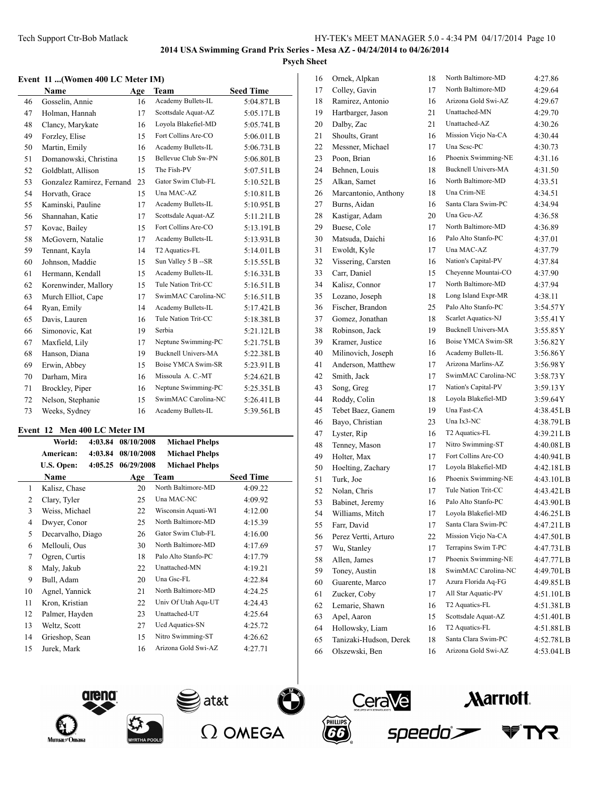#### **Event 11 ...(Women 400 LC Meter IM)**

|    | <b>Name</b>               | Age | <b>Team</b>                | <b>Seed Time</b> |
|----|---------------------------|-----|----------------------------|------------------|
| 46 | Gosselin, Annie           | 16  | Academy Bullets-IL         | 5:04.87LB        |
| 47 | Holman, Hannah            | 17  | Scottsdale Aquat-AZ        | 5:05.17LB        |
| 48 | Clancy, Marykate          | 16  | Loyola Blakefiel-MD        | 5:05.74LB        |
| 49 | Forzley, Elise            | 15  | Fort Collins Are-CO        | $5:06.01$ L B    |
| 50 | Martin, Emily             | 16  | Academy Bullets-IL         | 5:06.73LB        |
| 51 | Domanowski, Christina     | 15  | Bellevue Club Sw-PN        | 5:06.80LB        |
| 52 | Goldblatt, Allison        | 15  | The Fish-PV                | 5:07.51LB        |
| 53 | Gonzalez Ramirez, Fernand | 23  | Gator Swim Club-FL         | 5:10.52LB        |
| 54 | Horvath, Grace            | 15  | Una MAC-AZ                 | 5:10.81LB        |
| 55 | Kaminski, Pauline         | 17  | Academy Bullets-IL         | 5:10.95LB        |
| 56 | Shannahan, Katie          | 17  | Scottsdale Aquat-AZ        | 5:11.21LB        |
| 57 | Kovac, Bailey             | 15  | Fort Collins Are-CO        | 5:13.19LB        |
| 58 | McGovern, Natalie         | 17  | Academy Bullets-IL         | 5:13.93LB        |
| 59 | Tennant, Kayla            | 14  | T2 Aquatics-FL             | 5:14.01LB        |
| 60 | Johnson, Maddie           | 15  | Sun Valley 5 B -- SR       | 5:15.55LB        |
| 61 | Hermann, Kendall          | 15  | Academy Bullets-IL         | 5:16.33LB        |
| 62 | Korenwinder, Mallory      | 15  | Tule Nation Trit-CC        | 5:16.51LB        |
| 63 | Murch Elliot, Cape        | 17  | SwimMAC Carolina-NC        | 5:16.51LB        |
| 64 | Ryan, Emily               | 14  | Academy Bullets-IL         | 5:17.42LB        |
| 65 | Davis, Lauren             | 16  | Tule Nation Trit-CC        | 5:18.38LB        |
| 66 | Simonovic, Kat            | 19  | Serbia                     | 5:21.12LB        |
| 67 | Maxfield, Lily            | 17  | Neptune Swimming-PC        | 5:21.75LB        |
| 68 | Hanson, Diana             | 19  | <b>Bucknell Univers-MA</b> | 5:22.38LB        |
| 69 | Erwin, Abbey              | 15  | Boise YMCA Swim-SR         | 5:23.91LB        |
| 70 | Darham, Mira              | 16  | Missoula A. C.-MT          | 5:24.62LB        |
| 71 | Brockley, Piper           | 16  | Neptune Swimming-PC        | 5:25.35LB        |
| 72 | Nelson, Stephanie         | 15  | SwimMAC Carolina-NC        | $5:26.41$ LB     |
| 73 | Weeks, Sydney             | 16  | Academy Bullets-IL         | 5:39.56LB        |

## **Event 12 Men 400 LC Meter IM**

|    | World:            | 4:03.84 | 08/10/2008 | <b>Michael Phelps</b> |                  |
|----|-------------------|---------|------------|-----------------------|------------------|
|    | American:         | 4:03.84 | 08/10/2008 | <b>Michael Phelps</b> |                  |
|    | U.S. Open:        | 4:05.25 | 06/29/2008 | <b>Michael Phelps</b> |                  |
|    | Name              |         | Age        | Team                  | <b>Seed Time</b> |
| 1  | Kalisz, Chase     |         | 20         | North Baltimore-MD    | 4:09.22          |
| 2  | Clary, Tyler      |         | 25         | Una MAC-NC            | 4:09.92          |
| 3  | Weiss, Michael    |         | 22         | Wisconsin Aquati-WI   | 4:12.00          |
| 4  | Dwyer, Conor      |         | 25         | North Baltimore-MD    | 4:15.39          |
| 5  | Decarvalho, Diago |         | 26         | Gator Swim Club-FL    | 4:16.00          |
| 6  | Mellouli, Ous     |         | 30         | North Baltimore-MD    | 4:17.69          |
| 7  | Ogren, Curtis     |         | 18         | Palo Alto Stanfo-PC   | 4:17.79          |
| 8  | Maly, Jakub       |         | 22         | Unattached-MN         | 4:19.21          |
| 9  | Bull, Adam        |         | 20         | Una Gsc-FL            | 4:22.84          |
| 10 | Agnel, Yannick    |         | 21         | North Baltimore-MD    | 4:24.25          |
| 11 | Kron, Kristian    |         | 22         | Univ Of Utah Aqu-UT   | 4:24.43          |
| 12 | Palmer, Hayden    |         | 23         | Unattached-UT         | 4:25.64          |
| 13 | Weltz, Scott      |         | 27         | Ucd Aquatics-SN       | 4:25.72          |
| 14 | Grieshop, Sean    |         | 15         | Nitro Swimming-ST     | 4:26.62          |
| 15 | Jurek, Mark       |         | 16         | Arizona Gold Swi-AZ   | 4:27.71          |

| 16 | Ornek, Alpkan          | 18 | North Baltimore-MD         | 4:27.86   |
|----|------------------------|----|----------------------------|-----------|
| 17 | Colley, Gavin          | 17 | North Baltimore-MD         | 4:29.64   |
| 18 | Ramirez, Antonio       | 16 | Arizona Gold Swi-AZ        | 4:29.67   |
| 19 | Hartbarger, Jason      | 21 | Unattached-MN              | 4:29.70   |
| 20 | Dalby, Zac             | 21 | Unattached-AZ              | 4:30.26   |
| 21 | Shoults, Grant         | 16 | Mission Viejo Na-CA        | 4:30.44   |
| 22 | Messner, Michael       | 17 | Una Sese-PC                | 4:30.73   |
| 23 | Poon, Brian            | 16 | Phoenix Swimming-NE        | 4:31.16   |
| 24 | Behnen, Louis          | 18 | <b>Bucknell Univers-MA</b> | 4:31.50   |
| 25 | Alkan, Samet           | 16 | North Baltimore-MD         | 4:33.51   |
| 26 | Marcantonio, Anthony   | 18 | Una Crim-NE                | 4:34.51   |
| 27 | Burns, Aidan           | 16 | Santa Clara Swim-PC        | 4:34.94   |
| 28 | Kastigar, Adam         | 20 | Una Gcu-AZ                 | 4:36.58   |
| 29 | Buese, Cole            | 17 | North Baltimore-MD         | 4:36.89   |
| 30 | Matsuda, Daichi        | 16 | Palo Alto Stanfo-PC        | 4:37.01   |
| 31 |                        | 17 | Una MAC-AZ                 |           |
|    | Ewoldt, Kyle           |    | Nation's Capital-PV        | 4:37.79   |
| 32 | Vissering, Carsten     | 16 | Cheyenne Mountai-CO        | 4:37.84   |
| 33 | Carr, Daniel           | 15 | North Baltimore-MD         | 4:37.90   |
| 34 | Kalisz, Connor         | 17 |                            | 4:37.94   |
| 35 | Lozano, Joseph         | 18 | Long Island Expr-MR        | 4:38.11   |
| 36 | Fischer, Brandon       | 25 | Palo Alto Stanfo-PC        | 3:54.57Y  |
| 37 | Gomez, Jonathan        | 18 | Scarlet Aquatics-NJ        | 3:55.41Y  |
| 38 | Robinson, Jack         | 19 | <b>Bucknell Univers-MA</b> | 3:55.85Y  |
| 39 | Kramer, Justice        | 16 | Boise YMCA Swim-SR         | 3:56.82Y  |
| 40 | Milinovich, Joseph     | 16 | Academy Bullets-IL         | 3:56.86Y  |
| 41 | Anderson, Matthew      | 17 | Arizona Marlins-AZ         | 3:56.98Y  |
| 42 | Smith, Jack            | 17 | SwimMAC Carolina-NC        | 3:58.73Y  |
| 43 | Song, Greg             | 17 | Nation's Capital-PV        | 3:59.13Y  |
| 44 | Roddy, Colin           | 18 | Loyola Blakefiel-MD        | 3:59.64Y  |
| 45 | Tebet Baez, Ganem      | 19 | Una Fast-CA                | 4:38.45LB |
| 46 | Bayo, Christian        | 23 | Una Ix3-NC                 | 4:38.79LB |
| 47 | Lyster, Rip            | 16 | T2 Aquatics-FL             | 4:39.21LB |
| 48 | Tenney, Mason          | 17 | Nitro Swimming-ST          | 4:40.08LB |
| 49 | Holter, Max            | 17 | Fort Collins Are-CO        | 4:40.94LB |
| 50 | Hoelting, Zachary      | 17 | Loyola Blakefiel-MD        | 4:42.18LB |
| 51 | Turk, Joe              | 16 | Phoenix Swimming-NE        | 4:43.10LB |
| 52 | Nolan, Chris           | 17 | Tule Nation Trit-CC        | 4:43.42LB |
| 53 | Babinet, Jeremy        | 16 | Palo Alto Stanfo-PC        | 4:43.90LB |
| 54 | Williams, Mitch        | 17 | Loyola Blakefiel-MD        | 4:46.25LB |
| 55 | Farr, David            | 17 | Santa Clara Swim-PC        | 4:47.21LB |
| 56 | Perez Vertti, Arturo   | 22 | Mission Viejo Na-CA        | 4:47.50LB |
| 57 | Wu, Stanley            | 17 | Terrapins Swim T-PC        | 4:47.73LB |
| 58 | Allen, James           | 17 | Phoenix Swimming-NE        | 4:47.77LB |
| 59 | Toney, Austin          | 18 | SwimMAC Carolina-NC        | 4:49.70LB |
| 60 | Guarente, Marco        | 17 | Azura Florida Aq-FG        | 4:49.85LB |
| 61 | Zucker, Coby           | 17 | All Star Aquatic-PV        | 4:51.10LB |
| 62 | Lemarie, Shawn         | 16 | T2 Aquatics-FL             | 4:51.38LB |
| 63 | Apel, Aaron            | 15 | Scottsdale Aquat-AZ        | 4:51.40LB |
| 64 | Hollowsky, Liam        | 16 | T2 Aquatics-FL             | 4:51.88LB |
| 65 | Tanizaki-Hudson, Derek | 18 | Santa Clara Swim-PC        | 4:52.78LB |
| 66 | Olszewski, Ben         | 16 | Arizona Gold Swi-AZ        | 4:53.04LB |









**Marriott.**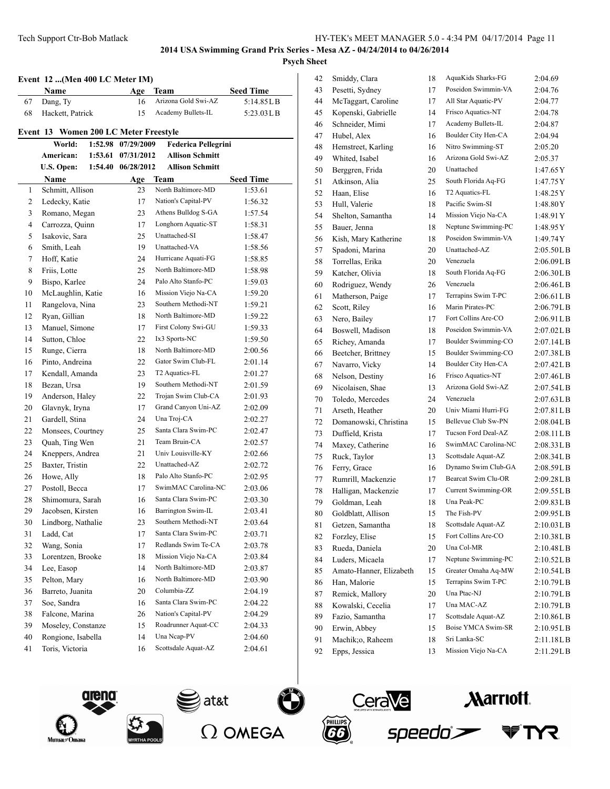|                | Event 12 (Men 400 LC Meter IM)<br>Name | Age                | Team                       | <b>Seed Time</b> |
|----------------|----------------------------------------|--------------------|----------------------------|------------------|
| 67             | Dang, Ty                               | 16                 | Arizona Gold Swi-AZ        | 5:14.85LB        |
| 68             | Hackett, Patrick                       | 15                 | Academy Bullets-IL         | 5:23.03 L B      |
|                | Event 13 Women 200 LC Meter Freestyle  |                    |                            |                  |
|                | World:                                 | 1:52.98 07/29/2009 | <b>Federica Pellegrini</b> |                  |
|                | American:                              | 1:53.61 07/31/2012 | <b>Allison Schmitt</b>     |                  |
|                | U.S. Open:                             | 1:54.40 06/28/2012 | <b>Allison Schmitt</b>     |                  |
|                | Name                                   | Age                | Team                       | <b>Seed Time</b> |
| 1              | Schmitt, Allison                       | 23                 | North Baltimore-MD         | 1:53.61          |
| 2              | Ledecky, Katie                         | 17                 | Nation's Capital-PV        | 1:56.32          |
| 3              | Romano, Megan                          | 23                 | Athens Bulldog S-GA        | 1:57.54          |
| $\overline{4}$ | Carrozza, Quinn                        | 17                 | Longhorn Aquatic-ST        | 1:58.31          |
| 5              | Isakovic, Sara                         | 25                 | Unattached-SI              | 1:58.47          |
| 6              | Smith, Leah                            | 19                 | Unattached-VA              | 1:58.56          |
| 7              | Hoff, Katie                            | 24                 | Hurricane Aquati-FG        | 1:58.85          |
| 8              | Friis, Lotte                           | 25                 | North Baltimore-MD         | 1:58.98          |
| 9              | Bispo, Karlee                          | 24                 | Palo Alto Stanfo-PC        | 1:59.03          |
| 10             | McLaughlin, Katie                      | 16                 | Mission Viejo Na-CA        | 1:59.20          |
| 11             | Rangelova, Nina                        | 23                 | Southern Methodi-NT        | 1:59.21          |
| 12             | Ryan, Gillian                          | 18                 | North Baltimore-MD         | 1:59.22          |
| 13             | Manuel, Simone                         | 17                 | First Colony Swi-GU        | 1:59.33          |
| 14             | Sutton, Chloe                          | 22                 | Ix3 Sports-NC              | 1:59.50          |
| 15             | Runge, Cierra                          | 18                 | North Baltimore-MD         | 2:00.56          |
| 16             | Pinto, Andreina                        | 22                 | Gator Swim Club-FL         | 2:01.14          |
| 17             | Kendall, Amanda                        | 23                 | T2 Aquatics-FL             | 2:01.27          |
| 18             | Bezan, Ursa                            | 19                 | Southern Methodi-NT        | 2:01.59          |
| 19             | Anderson, Haley                        | 22                 | Trojan Swim Club-CA        | 2:01.93          |
| 20             | Glavnyk, Iryna                         | 17                 | Grand Canyon Uni-AZ        | 2:02.09          |
| 21             | Gardell, Stina                         | 24                 | Una Troj-CA                | 2:02.27          |
| 22             | Monsees, Courtney                      | 25                 | Santa Clara Swim-PC        | 2:02.47          |
| 23             | Quah, Ting Wen                         | 21                 | Team Bruin-CA              | 2:02.57          |
| 24             | Kneppers, Andrea                       | 21                 | Univ Louisville-KY         | 2:02.66          |
| 25             | Baxter, Tristin                        | 22                 | Unattached-AZ              | 2:02.72          |
| 26             | Howe, Ally                             | 18                 | Palo Alto Stanfo-PC        | 2:02.95          |
| 27             | Postoll, Becca                         | 17                 | SwimMAC Carolina-NC        | 2:03.06          |
| 28             | Shimomura, Sarah                       | 16                 | Santa Clara Swim-PC        | 2:03.30          |
| 29             | Jacobsen, Kirsten                      | 16                 | Barrington Swim-IL         | 2:03.41          |
| 30             | Lindborg, Nathalie                     | 23                 | Southern Methodi-NT        | 2:03.64          |
| 31             | Ladd, Cat                              | 17                 | Santa Clara Swim-PC        | 2:03.71          |
| 32             | Wang, Sonia                            | 17                 | Redlands Swim Te-CA        | 2:03.78          |
| 33             | Lorentzen, Brooke                      | 18                 | Mission Viejo Na-CA        | 2:03.84          |
| 34             | Lee, Easop                             | 14                 | North Baltimore-MD         | 2:03.87          |
| 35             | Pelton, Mary                           | 16                 | North Baltimore-MD         | 2:03.90          |
| 36             | Barreto, Juanita                       | 20                 | Columbia-ZZ                | 2:04.19          |
| 37             | Soe, Sandra                            | 16                 | Santa Clara Swim-PC        | 2:04.22          |
| 38             | Falcone, Marina                        | 26                 | Nation's Capital-PV        | 2:04.29          |
| 39             | Moseley, Constanze                     | 15                 | Roadrunner Aquat-CC        | 2:04.33          |
| 40             | Rongione, Isabella                     | 14                 | Una Neap-PV                | 2:04.60          |
| 41             | Toris, Victoria                        | 16                 | Scottsdale Aquat-AZ        | 2:04.61          |

| 42 | Smiddy, Clara           | 18 | AquaKids Sharks-FG  | 2:04.69     |
|----|-------------------------|----|---------------------|-------------|
| 43 | Pesetti, Sydney         | 17 | Poseidon Swimmin-VA | 2:04.76     |
| 44 | McTaggart, Caroline     | 17 | All Star Aquatic-PV | 2:04.77     |
| 45 | Kopenski, Gabrielle     | 14 | Frisco Aquatics-NT  | 2:04.78     |
| 46 | Schneider, Mimi         | 17 | Academy Bullets-IL  | 2:04.87     |
| 47 | Hubel, Alex             | 16 | Boulder City Hen-CA | 2:04.94     |
| 48 | Hemstreet, Karling      | 16 | Nitro Swimming-ST   | 2:05.20     |
| 49 | Whited, Isabel          | 16 | Arizona Gold Swi-AZ | 2:05.37     |
| 50 | Berggren, Frida         | 20 | Unattached          | 1:47.65Y    |
| 51 | Atkinson, Alia          | 25 | South Florida Aq-FG | 1:47.75 Y   |
| 52 | Haan, Elise             | 16 | T2 Aquatics-FL      | 1:48.25Y    |
| 53 | Hull, Valerie           | 18 | Pacific Swim-SI     | 1:48.80Y    |
| 54 | Shelton, Samantha       | 14 | Mission Viejo Na-CA | 1:48.91Y    |
| 55 | Bauer, Jenna            | 18 | Neptune Swimming-PC | 1:48.95 Y   |
| 56 | Kish, Mary Katherine    | 18 | Poseidon Swimmin-VA | 1:49.74Y    |
| 57 | Spadoni, Marina         | 20 | Unattached-AZ       | 2:05.50LB   |
| 58 | Torrellas, Erika        | 20 | Venezuela           | 2:06.09LB   |
| 59 | Katcher, Olivia         | 18 | South Florida Aq-FG | 2:06.30L B  |
| 60 | Rodriguez, Wendy        | 26 | Venezuela           | 2:06.46L B  |
| 61 | Matherson, Paige        | 17 | Terrapins Swim T-PC | 2:06.61L B  |
| 62 | Scott, Riley            | 16 | Marin Pirates-PC    | 2:06.79L B  |
| 63 | Nero, Bailey            | 17 | Fort Collins Are-CO | 2:06.91L B  |
| 64 | Boswell, Madison        | 18 | Poseidon Swimmin-VA | 2:07.02L B  |
| 65 | Richey, Amanda          | 17 | Boulder Swimming-CO | 2:07.14L B  |
| 66 | Beetcher, Brittney      | 15 | Boulder Swimming-CO | 2:07.38L B  |
| 67 | Navarro, Vicky          | 14 | Boulder City Hen-CA | 2:07.42LB   |
| 68 | Nelson, Destiny         | 16 | Frisco Aquatics-NT  | 2:07.46LB   |
| 69 | Nicolaisen, Shae        | 13 | Arizona Gold Swi-AZ | 2:07.54LB   |
| 70 | Toledo, Mercedes        | 24 | Venezuela           | 2:07.63LB   |
| 71 | Arseth, Heather         | 20 | Univ Miami Hurri-FG | 2:07.81 L B |
| 72 | Domanowski, Christina   | 15 | Bellevue Club Sw-PN | 2:08.04LB   |
| 73 | Duffield, Krista        | 17 | Tucson Ford Deal-AZ | 2:08.11L B  |
| 74 | Maxey, Catherine        | 16 | SwimMAC Carolina-NC | 2:08.33LB   |
| 75 | Ruck, Taylor            | 13 | Scottsdale Aquat-AZ | 2:08.34L B  |
| 76 | Ferry, Grace            | 16 | Dynamo Swim Club-GA | 2:08.59LB   |
| 77 | Rumrill, Mackenzie      | 17 | Bearcat Swim Clu-OR | 2:09.28L B  |
| 78 | Halligan, Mackenzie     | 17 | Current Swimming-OR | 2:09.55LB   |
| 79 | Goldman, Leah           | 18 | Una Peak-PC         | 2:09.83L B  |
| 80 | Goldblatt, Allison      | 15 | The Fish-PV         | 2:09.95LB   |
| 81 | Getzen, Samantha        | 18 | Scottsdale Aquat-AZ | 2:10.03L B  |
| 82 | Forzley, Elise          | 15 | Fort Collins Are-CO | 2:10.38LB   |
| 83 | Rueda, Daniela          | 20 | Una Col-MR          | 2:10.48L B  |
| 84 | Luders, Micaela         | 17 | Neptune Swimming-PC | 2:10.52LB   |
| 85 | Amato-Hanner, Elizabeth | 15 | Greater Omaha Aq-MW | 2:10.54LB   |
| 86 | Han, Malorie            | 15 | Terrapins Swim T-PC | 2:10.79LB   |
| 87 | Remick, Mallory         | 20 | Una Ptac-NJ         | 2:10.79LB   |
| 88 | Kowalski, Cecelia       | 17 | Una MAC-AZ          | 2:10.79L B  |
| 89 | Fazio, Samantha         | 17 | Scottsdale Aquat-AZ | 2:10.86LB   |
| 90 | Erwin, Abbey            | 15 | Boise YMCA Swim-SR  | 2:10.95L B  |
| 91 | Machik;o, Raheem        | 18 | Sri Lanka-SC        | 2:11.18LB   |
| 92 | Epps, Jessica           | 13 | Mission Viejo Na-CA | 2:11.29LB   |







at&t)



**Marriott** 

TYR

speedo`>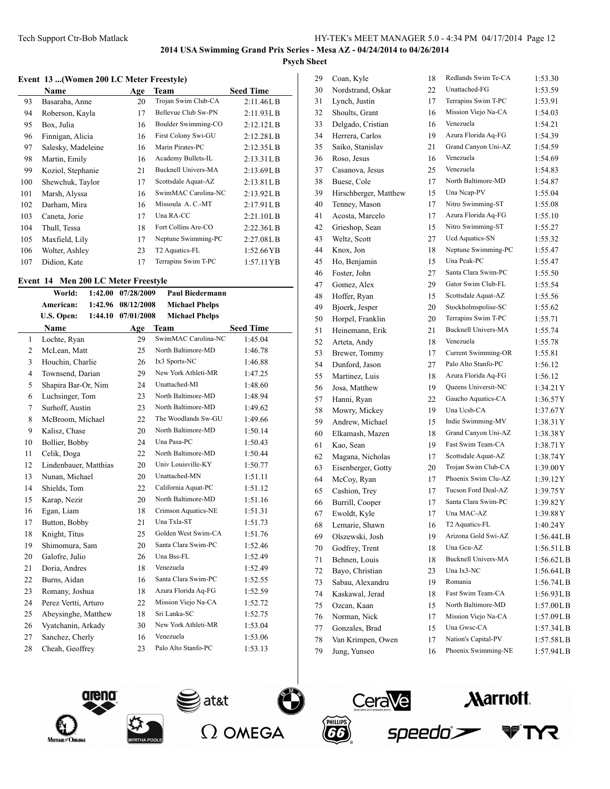### **Event 13 ...(Women 200 LC Meter Freestyle)**

|     | Name               | Age | Team                       | <b>Seed Time</b>     |
|-----|--------------------|-----|----------------------------|----------------------|
| 93  | Basaraba, Anne     | 20  | Trojan Swim Club-CA        | 2:11.46LB            |
| 94  | Roberson, Kayla    | 17  | Bellevue Club Sw-PN        | 2:11.93LB            |
| 95  | Box, Julia         | 16  | Boulder Swimming-CO        | 2:12.12LB            |
| 96  | Finnigan, Alicia   | 16  | First Colony Swi-GU        | 2:12.28LB            |
| 97  | Salesky, Madeleine | 16  | Marin Pirates-PC           | 2:12.35LB            |
| 98  | Martin, Emily      | 16  | Academy Bullets-IL         | 2:13.31LB            |
| 99  | Koziol, Stephanie  | 21  | <b>Bucknell Univers-MA</b> | 2:13.69LB            |
| 100 | Shewchuk, Taylor   | 17  | Scottsdale Aquat-AZ        | 2:13.81LB            |
| 101 | Marsh, Alyssa      | 16  | SwimMAC Carolina-NC        | 2:13.92L B           |
| 102 | Darham, Mira       | 16  | Missoula A. C.-MT          | 2:17.91LB            |
| 103 | Caneta, Jorie      | 17  | Una RA-CC                  | 2:21.10LB            |
| 104 | Thull, Tessa       | 18  | Fort Collins Are-CO        | 2:22.36L B           |
| 105 | Maxfield, Lily     | 17  | Neptune Swimming-PC        | 2:27.08LB            |
| 106 | Wolter, Ashley     | 23  | T2 Aquatics-FL             | $1:52.66$ YB         |
| 107 | Didion, Kate       | 17  | Terrapins Swim T-PC        | $1:57.11 \text{ YB}$ |

#### **Event 14 Men 200 LC Meter Freestyle**

|              | World:                | 1:42.00 | 07/28/2009 | <b>Paul Biedermann</b> |                  |
|--------------|-----------------------|---------|------------|------------------------|------------------|
|              | American:             | 1:42.96 | 08/12/2008 | <b>Michael Phelps</b>  |                  |
|              | U.S. Open:            | 1:44.10 | 07/01/2008 | <b>Michael Phelps</b>  |                  |
|              | Name                  |         | Age        | Team                   | <b>Seed Time</b> |
| $\mathbf{1}$ | Lochte, Ryan          |         | 29         | SwimMAC Carolina-NC    | 1:45.04          |
| 2            | McLean, Matt          |         | 25         | North Baltimore-MD     | 1:46.78          |
| 3            | Houchin, Charlie      |         | 26         | Ix3 Sports-NC          | 1:46.88          |
| 4            | Townsend, Darian      |         | 29         | New York Athleti-MR    | 1:47.25          |
| 5            | Shapira Bar-Or, Nim   |         | 24         | Unattached-MI          | 1:48.60          |
| 6            | Luchsinger, Tom       |         | 23         | North Baltimore-MD     | 1:48.94          |
| 7            | Surhoff, Austin       |         | 23         | North Baltimore-MD     | 1:49.62          |
| 8            | McBroom, Michael      |         | 22         | The Woodlands Sw-GU    | 1:49.66          |
| 9            | Kalisz, Chase         |         | 20         | North Baltimore-MD     | 1:50.14          |
| 10           | Bollier, Bobby        |         | 24         | Una Pasa-PC            | 1:50.43          |
| 11           | Celik, Doga           |         | 22         | North Baltimore-MD     | 1:50.44          |
| 12           | Lindenbauer, Matthias |         | 20         | Univ Louisville-KY     | 1:50.77          |
| 13           | Nunan, Michael        |         | 20         | Unattached-MN          | 1:51.11          |
| 14           | Shields, Tom          |         | 22         | California Aquat-PC    | 1:51.12          |
| 15           | Karap, Nezir          |         | 20         | North Baltimore-MD     | 1:51.16          |
| 16           | Egan, Liam            |         | 18         | Crimson Aquatics-NE    | 1:51.31          |
| 17           | Button, Bobby         |         | 21         | Una Txla-ST            | 1:51.73          |
| 18           | Knight, Titus         |         | 25         | Golden West Swim-CA    | 1:51.76          |
| 19           | Shimomura, Sam        |         | 20         | Santa Clara Swim-PC    | 1:52.46          |
| 20           | Galofre, Julio        |         | 26         | Una Bss-FL             | 1:52.49          |
| 21           | Doria, Andres         |         | 18         | Venezuela              | 1:52.49          |
| 22           | Burns, Aidan          |         | 16         | Santa Clara Swim-PC    | 1:52.55          |
| 23           | Romany, Joshua        |         | 18         | Azura Florida Aq-FG    | 1:52.59          |
| 24           | Perez Vertti, Arturo  |         | 22         | Mission Viejo Na-CA    | 1:52.72          |
| 25           | Abeysinghe, Matthew   |         | 18         | Sri Lanka-SC           | 1:52.75          |
| 26           | Vyatchanin, Arkady    |         | 30         | New York Athleti-MR    | 1:53.04          |
| 27           | Sanchez, Cherly       |         | 16         | Venezuela              | 1:53.06          |
| 28           | Cheah, Geoffrey       |         | 23         | Palo Alto Stanfo-PC    | 1:53.13          |
|              |                       |         |            |                        |                  |

| 29 | Coan, Kyle            | 18       | Redlands Swim Te-CA                   | 1:53.30    |
|----|-----------------------|----------|---------------------------------------|------------|
| 30 | Nordstrand, Oskar     | 22       | Unattached-FG                         | 1:53.59    |
| 31 | Lynch, Justin         | 17       | Terrapins Swim T-PC                   | 1:53.91    |
| 32 | Shoults, Grant        | 16       | Mission Viejo Na-CA                   | 1:54.03    |
| 33 | Delgado, Cristian     | 16       | Venezuela                             | 1:54.21    |
| 34 | Herrera, Carlos       | 19       | Azura Florida Aq-FG                   | 1:54.39    |
| 35 | Saiko, Stanislav      | 21       | Grand Canyon Uni-AZ                   | 1:54.59    |
| 36 | Roso, Jesus           | 16       | Venezuela                             | 1:54.69    |
| 37 | Casanova, Jesus       | 25       | Venezuela                             | 1:54.83    |
| 38 | Buese, Cole           | 17       | North Baltimore-MD                    | 1:54.87    |
| 39 | Hirschberger, Matthew | 15       | Una Ncap-PV                           | 1:55.04    |
| 40 | Tenney, Mason         | 17       | Nitro Swimming-ST                     | 1:55.08    |
| 41 | Acosta, Marcelo       | 17       | Azura Florida Aq-FG                   | 1:55.10    |
| 42 | Grieshop, Sean        | 15       | Nitro Swimming-ST                     | 1:55.27    |
| 43 | Weltz, Scott          | 27       | Ucd Aquatics-SN                       | 1:55.32    |
| 44 | Knox, Jon             | 18       | Neptune Swimming-PC                   | 1:55.47    |
| 45 | Ho, Benjamin          | 15       | Una Peak-PC                           | 1:55.47    |
| 46 | Foster, John          | 27       | Santa Clara Swim-PC                   | 1:55.50    |
| 47 | Gomez, Alex           | 29       | Gator Swim Club-FL                    | 1:55.54    |
| 48 | Hoffer, Ryan          | 15       | Scottsdale Aquat-AZ                   | 1:55.56    |
| 49 | Bjoerk, Jesper        | 20       | Stockholmspolise-SC                   | 1:55.62    |
| 50 | Horpel, Franklin      | 20       | Terrapins Swim T-PC                   | 1:55.71    |
| 51 | Heinemann, Erik       | 21       | <b>Bucknell Univers-MA</b>            | 1:55.74    |
| 52 | Arteta, Andy          | 18       | Venezuela                             | 1:55.78    |
| 53 | Brewer, Tommy         | 17       | Current Swimming-OR                   | 1:55.81    |
| 54 | Dunford, Jason        | 27       | Palo Alto Stanfo-PC                   | 1:56.12    |
| 55 | Martinez, Luis        | 18       | Azura Florida Aq-FG                   | 1:56.12    |
| 56 | Josa, Matthew         | 19       | Queens Universit-NC                   | 1:34.21Y   |
| 57 | Hanni, Ryan           | 22       | Gaucho Aquatics-CA                    | 1:36.57Y   |
| 58 | Mowry, Mickey         | 19       | Una Ucsb-CA                           | 1:37.67Y   |
| 59 | Andrew, Michael       | 15       | Indie Swimming-MV                     | 1:38.31Y   |
| 60 | Elkamash, Mazen       | 18       | Grand Canyon Uni-AZ                   | 1:38.38Y   |
| 61 | Kao, Sean             | 19       | Fast Swim Team-CA                     | 1:38.71Y   |
| 62 | Magana, Nicholas      | 17       | Scottsdale Aquat-AZ                   | 1:38.74Y   |
|    |                       | 20       | Trojan Swim Club-CA                   | 1:39.00Y   |
| 63 | Eisenberger, Gotty    |          | Phoenix Swim Clu-AZ                   | 1:39.12Y   |
| 64 | McCoy, Ryan           | 17<br>17 | Tucson Ford Deal-AZ                   |            |
| 65 | Cashion, Trey         |          | Santa Clara Swim-PC                   | 1:39.75Y   |
| 66 | Burrill, Cooper       | 17       | Una MAC-AZ                            | 1:39.82Y   |
| 67 | Ewoldt, Kyle          | 17       |                                       | 1:39.88Y   |
| 68 | Lemarie, Shawn        | 16       | T2 Aquatics-FL<br>Arizona Gold Swi-AZ | 1:40.24Y   |
| 69 | Olszewski, Josh       | 19       | Una Gcu-AZ                            | 1:56.44L B |
| 70 | Godfrey, Trent        | 18       |                                       | 1:56.51LB  |
| 71 | Behnen, Louis         | 18       | <b>Bucknell Univers-MA</b>            | 1:56.62L B |
| 72 | Bayo, Christian       | 23       | Una Ix3-NC                            | 1:56.64LB  |
| 73 | Sabau, Alexandru      | 19       | Romania                               | 1:56.74L B |
| 74 | Kaskawal, Jerad       | 18       | Fast Swim Team-CA                     | 1:56.93LB  |
| 75 | Ozcan, Kaan           | 15       | North Baltimore-MD                    | 1:57.00LB  |
| 76 | Norman, Nick          | 17       | Mission Viejo Na-CA                   | 1:57.09LB  |
| 77 | Gonzales, Brad        | 15       | Una Gwsc-CA                           | 1:57.34L B |
| 78 | Van Krimpen, Owen     | 17       | Nation's Capital-PV                   | 1:57.58LB  |
| 79 | Jung, Yunseo          | 16       | Phoenix Swimming-NE                   | 1:57.94L B |









**Marriott** 

TYR.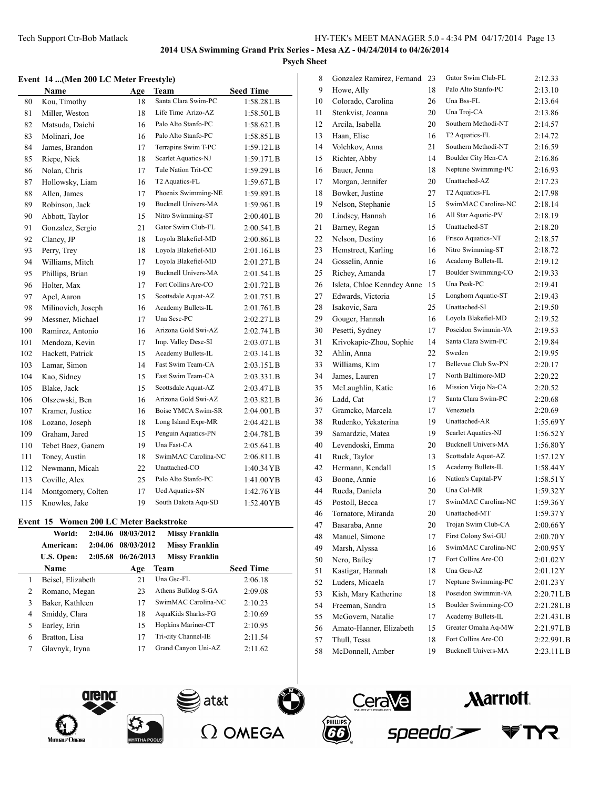#### **Event 14 ...(Men 200 LC Meter Freestyle)**

|     | Name               | Age | <b>Team</b>                | <b>Seed Time</b> |
|-----|--------------------|-----|----------------------------|------------------|
| 80  | Kou, Timothy       | 18  | Santa Clara Swim-PC        | 1:58.28L B       |
| 81  | Miller, Weston     | 18  | Life Time Arizo-AZ         | 1:58.50L B       |
| 82  | Matsuda, Daichi    | 16  | Palo Alto Stanfo-PC        | 1:58.62LB        |
| 83  | Molinari, Joe      | 16  | Palo Alto Stanfo-PC        | 1:58.85LB        |
| 84  | James, Brandon     | 17  | Terrapins Swim T-PC        | 1:59.12LB        |
| 85  | Riepe, Nick        | 18  | Scarlet Aquatics-NJ        | 1:59.17LB        |
| 86  | Nolan, Chris       | 17  | Tule Nation Trit-CC        | 1:59.29LB        |
| 87  | Hollowsky, Liam    | 16  | T2 Aquatics-FL             | 1:59.67LB        |
| 88  | Allen, James       | 17  | Phoenix Swimming-NE        | 1:59.89LB        |
| 89  | Robinson, Jack     | 19  | <b>Bucknell Univers-MA</b> | 1:59.96LB        |
| 90  | Abbott, Taylor     | 15  | Nitro Swimming-ST          | 2:00.40LB        |
| 91  | Gonzalez, Sergio   | 21  | Gator Swim Club-FL         | 2:00.54LB        |
| 92  | Clancy, JP         | 18  | Loyola Blakefiel-MD        | 2:00.86LB        |
| 93  | Perry, Trey        | 18  | Loyola Blakefiel-MD        | 2:01.16LB        |
| 94  | Williams, Mitch    | 17  | Loyola Blakefiel-MD        | 2:01.27L B       |
| 95  | Phillips, Brian    | 19  | <b>Bucknell Univers-MA</b> | 2:01.54LB        |
| 96  | Holter, Max        | 17  | Fort Collins Are-CO        | 2:01.72L B       |
| 97  | Apel, Aaron        | 15  | Scottsdale Aquat-AZ        | 2:01.75L B       |
| 98  | Milinovich, Joseph | 16  | Academy Bullets-IL         | 2:01.76LB        |
| 99  | Messner, Michael   | 17  | Una Sese-PC                | 2:02.27LB        |
| 100 | Ramirez, Antonio   | 16  | Arizona Gold Swi-AZ        | 2:02.74LB        |
| 101 | Mendoza, Kevin     | 17  | Imp. Valley Dese-SI        | 2:03.07LB        |
| 102 | Hackett, Patrick   | 15  | Academy Bullets-IL         | 2:03.14L B       |
| 103 | Lamar, Simon       | 14  | Fast Swim Team-CA          | 2:03.15LB        |
| 104 | Kao, Sidney        | 15  | Fast Swim Team-CA          | 2:03.33L B       |
| 105 | Blake, Jack        | 15  | Scottsdale Aquat-AZ        | 2:03.47LB        |
| 106 | Olszewski, Ben     | 16  | Arizona Gold Swi-AZ        | 2:03.82L B       |
| 107 | Kramer, Justice    | 16  | Boise YMCA Swim-SR         | 2:04.00LB        |
| 108 | Lozano, Joseph     | 18  | Long Island Expr-MR        | 2:04.42 L B      |
| 109 | Graham, Jared      | 15  | Penguin Aquatics-PN        | 2:04.78LB        |
| 110 | Tebet Baez, Ganem  | 19  | Una Fast-CA                | 2:05.64LB        |
| 111 | Toney, Austin      | 18  | SwimMAC Carolina-NC        | 2:06.81LB        |
| 112 | Newmann, Micah     | 22  | Unattached-CO              | 1:40.34 YB       |
| 113 | Coville, Alex      | 25  | Palo Alto Stanfo-PC        | 1:41.00 YB       |
| 114 | Montgomery, Colten | 17  | Ucd Aquatics-SN            | 1:42.76YB        |
| 115 | Knowles, Jake      | 19  | South Dakota Aqu-SD        | 1:52.40 YB       |

## **Event 15 Women 200 LC Meter Backstroke**

|   | World:                | 2:04.06 08/03/2012 | <b>Missy Franklin</b> |                  |
|---|-----------------------|--------------------|-----------------------|------------------|
|   | American:             | 2:04.06 08/03/2012 | <b>Missy Franklin</b> |                  |
|   | 2:05.68<br>U.S. Open: | 06/26/2013         | <b>Missy Franklin</b> |                  |
|   | <b>Name</b>           | Age                | Team                  | <b>Seed Time</b> |
| 1 | Beisel, Elizabeth     | 21                 | Una Gsc-FL            | 2:06.18          |
| 2 | Romano, Megan         | 23                 | Athens Bulldog S-GA   | 2:09.08          |
| 3 | Baker, Kathleen       | 17                 | SwimMAC Carolina-NC   | 2:10.23          |
| 4 | Smiddy, Clara         | 18                 | AquaKids Sharks-FG    | 2:10.69          |
| 5 | Earley, Erin          | 15                 | Hopkins Mariner-CT    | 2:10.95          |
| 6 | Bratton, Lisa         | 17                 | Tri-city Channel-IE   | 2:11.54          |
| 7 | Glavnyk, Iryna        | 17                 | Grand Canyon Uni-AZ   | 2:11.62          |
|   |                       |                    |                       |                  |

| 8  | Gonzalez Ramirez, Fernand  | 23 | Gator Swim Club-FL         | 2:12.33     |
|----|----------------------------|----|----------------------------|-------------|
| 9  | Howe, Ally                 | 18 | Palo Alto Stanfo-PC        | 2:13.10     |
| 10 | Colorado, Carolina         | 26 | Una Bss-FL                 | 2:13.64     |
| 11 | Stenkvist, Joanna          | 20 | Una Troj-CA                | 2:13.86     |
| 12 | Arcila, Isabella           | 20 | Southern Methodi-NT        | 2:14.57     |
| 13 | Haan, Elise                | 16 | T2 Aquatics-FL             | 2:14.72     |
| 14 | Volchkov, Anna             | 21 | Southern Methodi-NT        | 2:16.59     |
| 15 | Richter, Abby              | 14 | Boulder City Hen-CA        | 2:16.86     |
| 16 | Bauer, Jenna               | 18 | Neptune Swimming-PC        | 2:16.93     |
| 17 | Morgan, Jennifer           | 20 | Unattached-AZ              | 2:17.23     |
| 18 | Bowker, Justine            | 27 | T <sub>2</sub> Aquatics-FL | 2:17.98     |
| 19 | Nelson, Stephanie          | 15 | SwimMAC Carolina-NC        | 2:18.14     |
| 20 | Lindsey, Hannah            | 16 | All Star Aquatic-PV        | 2:18.19     |
| 21 | Barney, Regan              | 15 | Unattached-ST              | 2:18.20     |
| 22 | Nelson, Destiny            | 16 | Frisco Aquatics-NT         | 2:18.57     |
| 23 | Hemstreet, Karling         | 16 | Nitro Swimming-ST          | 2:18.72     |
| 24 | Gosselin, Annie            | 16 | Academy Bullets-IL         | 2:19.12     |
| 25 | Richey, Amanda             | 17 | Boulder Swimming-CO        | 2:19.33     |
| 26 | Isleta, Chloe Kenndey Anne | 15 | Una Peak-PC                | 2:19.41     |
| 27 | Edwards, Victoria          | 15 | Longhorn Aquatic-ST        | 2:19.43     |
| 28 | Isakovic, Sara             | 25 | Unattached-SI              | 2:19.50     |
| 29 | Gouger, Hannah             | 16 | Loyola Blakefiel-MD        | 2:19.52     |
| 30 | Pesetti, Sydney            | 17 | Poseidon Swimmin-VA        | 2:19.53     |
| 31 | Krivokapic-Zhou, Sophie    | 14 | Santa Clara Swim-PC        | 2:19.84     |
| 32 | Ahlin, Anna                | 22 | Sweden                     | 2:19.95     |
| 33 | Williams, Kim              | 17 | Bellevue Club Sw-PN        | 2:20.17     |
| 34 | James, Lauren              | 17 | North Baltimore-MD         | 2:20.22     |
| 35 | McLaughlin, Katie          | 16 | Mission Viejo Na-CA        | 2:20.52     |
| 36 | Ladd, Cat                  | 17 | Santa Clara Swim-PC        | 2:20.68     |
| 37 | Gramcko, Marcela           | 17 | Venezuela                  | 2:20.69     |
| 38 | Rudenko, Yekaterina        | 19 | Unattached-AR              | 1:55.69Y    |
| 39 | Samardzic, Matea           | 19 | Scarlet Aquatics-NJ        | 1:56.52Y    |
| 40 | Levendoski, Emma           | 20 | <b>Bucknell Univers-MA</b> | 1:56.80Y    |
| 41 | Ruck, Taylor               | 13 | Scottsdale Aquat-AZ        | 1:57.12Y    |
| 42 | Hermann, Kendall           | 15 | Academy Bullets-IL         | 1:58.44Y    |
| 43 | Boone, Annie               | 16 | Nation's Capital-PV        | 1:58.51Y    |
| 44 | Rueda, Daniela             | 20 | Una Col-MR                 | 1:59.32Y    |
| 45 | Postoll, Becca             | 17 | SwimMAC Carolina-NC        | 1:59.36Y    |
| 46 | Tornatore, Miranda         | 20 | Unattached-MT              | 1:59.37Y    |
| 47 | Basaraba, Anne             | 20 | Trojan Swim Club-CA        | 2:00.66Y    |
| 48 | Manuel, Simone             | 17 | First Colony Swi-GU        | 2:00.70Y    |
| 49 | Marsh, Alyssa              | 16 | SwimMAC Carolina-NC        | 2:00.95Y    |
| 50 | Nero, Bailey               | 17 | Fort Collins Are-CO        | 2:01.02Y    |
| 51 | Kastigar, Hannah           | 18 | Una Gcu-AZ                 | 2:01.12Y    |
| 52 | Luders, Micaela            | 17 | Neptune Swimming-PC        | 2:01.23Y    |
| 53 | Kish, Mary Katherine       | 18 | Poseidon Swimmin-VA        | 2:20.71L B  |
| 54 | Freeman, Sandra            | 15 | Boulder Swimming-CO        | 2:21.28LB   |
| 55 | McGovern, Natalie          | 17 | Academy Bullets-IL         | 2:21.43LB   |
| 56 | Amato-Hanner, Elizabeth    | 15 | Greater Omaha Aq-MW        | 2:21.97LB   |
| 57 | Thull, Tessa               | 18 | Fort Collins Are-CO        | 2:22.99LB   |
| 58 | McDonnell, Amber           | 19 | <b>Bucknell Univers-MA</b> | 2:23.11 L B |
|    |                            |    |                            |             |









**Marriott**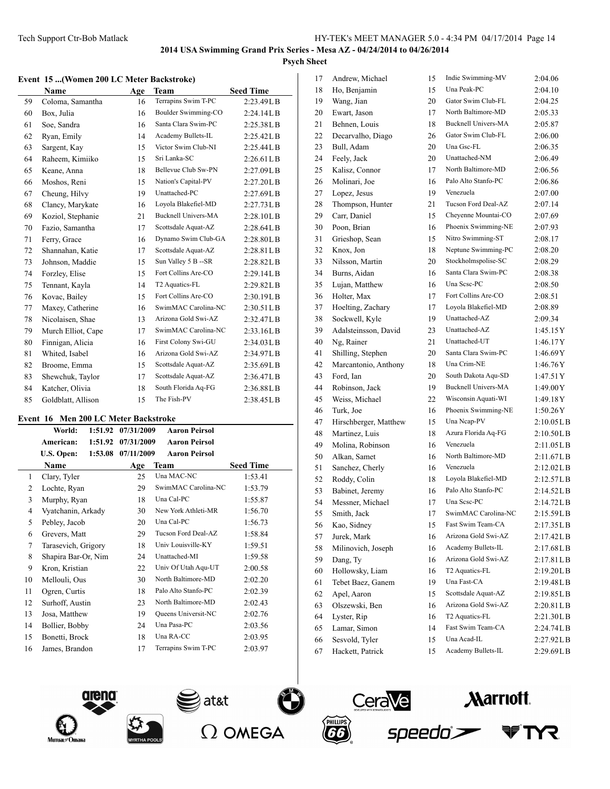## **Event 15 ...(Women 200 LC Meter Backstroke)**

|    | $\sim$ and $\sim$ $\sim$ (women 200 LC meter Daekstroke) |     |                            |                  |
|----|----------------------------------------------------------|-----|----------------------------|------------------|
|    | Name                                                     | Age | <b>Team</b>                | <b>Seed Time</b> |
| 59 | Coloma, Samantha                                         | 16  | Terrapins Swim T-PC        | 2:23.49L B       |
| 60 | Box, Julia                                               | 16  | Boulder Swimming-CO        | 2:24.14L B       |
| 61 | Soe, Sandra                                              | 16  | Santa Clara Swim-PC        | 2:25.38LB        |
| 62 | Ryan, Emily                                              | 14  | Academy Bullets-IL         | 2:25.42L B       |
| 63 | Sargent, Kay                                             | 15  | Victor Swim Club-NI        | 2:25.44L B       |
| 64 | Raheem, Kimiiko                                          | 15  | Sri Lanka-SC               | 2:26.61LB        |
| 65 | Keane, Anna                                              | 18  | Bellevue Club Sw-PN        | 2:27.09L B       |
| 66 | Moshos, Reni                                             | 15  | Nation's Capital-PV        | 2:27.20L B       |
| 67 | Cheung, Hilvy                                            | 19  | Unattached-PC              | 2:27.69LB        |
| 68 | Clancy, Marykate                                         | 16  | Loyola Blakefiel-MD        | 2:27.73LB        |
| 69 | Koziol, Stephanie                                        | 21  | <b>Bucknell Univers-MA</b> | 2:28.10L B       |
| 70 | Fazio, Samantha                                          | 17  | Scottsdale Aquat-AZ        | 2:28.64L B       |
| 71 | Ferry, Grace                                             | 16  | Dynamo Swim Club-GA        | 2:28.80L B       |
| 72 | Shannahan, Katie                                         | 17  | Scottsdale Aquat-AZ        | 2:28.81LB        |
| 73 | Johnson, Maddie                                          | 15  | Sun Valley 5 B -- SR       | 2:28.82LB        |
| 74 | Forzley, Elise                                           | 15  | Fort Collins Are-CO        | 2:29.14LB        |
| 75 | Tennant, Kayla                                           | 14  | T2 Aquatics-FL             | 2:29.82L B       |
| 76 | Kovac, Bailey                                            | 15  | Fort Collins Are-CO        | 2:30.19L B       |
| 77 | Maxey, Catherine                                         | 16  | SwimMAC Carolina-NC        | 2:30.51LB        |
| 78 | Nicolaisen, Shae                                         | 13  | Arizona Gold Swi-AZ        | 2:32.47LB        |
| 79 | Murch Elliot, Cape                                       | 17  | SwimMAC Carolina-NC        | 2:33.16LB        |
| 80 | Finnigan, Alicia                                         | 16  | First Colony Swi-GU        | 2:34.03LB        |
| 81 | Whited, Isabel                                           | 16  | Arizona Gold Swi-AZ        | 2:34.97LB        |
| 82 | Broome, Emma                                             | 15  | Scottsdale Aquat-AZ        | 2:35.69LB        |
| 83 | Shewchuk, Taylor                                         | 17  | Scottsdale Aquat-AZ        | 2:36.47L B       |
| 84 | Katcher, Olivia                                          | 18  | South Florida Aq-FG        | 2:36.88LB        |
| 85 | Goldblatt, Allison                                       | 15  | The Fish-PV                | 2:38.45LB        |

### **Event 16 Men 200 LC Meter Backstroke**

| World:         |                                                                                                                             | <b>Aaron Peirsol</b> |                                                |
|----------------|-----------------------------------------------------------------------------------------------------------------------------|----------------------|------------------------------------------------|
| American:      |                                                                                                                             | <b>Aaron Peirsol</b> |                                                |
| U.S. Open:     |                                                                                                                             | <b>Aaron Peirsol</b> |                                                |
| Name           | Age                                                                                                                         | Team                 | <b>Seed Time</b>                               |
| Clary, Tyler   | 25                                                                                                                          | Una MAC-NC           | 1:53.41                                        |
| Lochte, Ryan   | 29                                                                                                                          | SwimMAC Carolina-NC  | 1:53.79                                        |
| Murphy, Ryan   | 18                                                                                                                          | Una Cal-PC           | 1:55.87                                        |
|                | 30                                                                                                                          | New York Athleti-MR  | 1:56.70                                        |
| Pebley, Jacob  | 20                                                                                                                          | Una Cal-PC           | 1:56.73                                        |
| Grevers, Matt  | 29                                                                                                                          | Tucson Ford Deal-AZ  | 1:58.84                                        |
|                | 18                                                                                                                          | Univ Louisville-KY   | 1:59.51                                        |
|                | 24                                                                                                                          | Unattached-MI        | 1:59.58                                        |
| Kron, Kristian | 22                                                                                                                          | Univ Of Utah Aqu-UT  | 2:00.58                                        |
| Mellouli, Ous  | 30                                                                                                                          | North Baltimore-MD   | 2:02.20                                        |
| Ogren, Curtis  | 18                                                                                                                          | Palo Alto Stanfo-PC  | 2:02.39                                        |
|                | 23                                                                                                                          | North Baltimore-MD   | 2:02.43                                        |
| Josa, Matthew  | 19                                                                                                                          | Queens Universit-NC  | 2:02.76                                        |
| Bollier, Bobby | 24                                                                                                                          | Una Pasa-PC          | 2:03.56                                        |
| Bonetti, Brock | 18                                                                                                                          | Una RA-CC            | 2:03.95                                        |
|                | 17                                                                                                                          | Terrapins Swim T-PC  | 2:03.97                                        |
|                | 1:51.92<br>1:51.92<br>Vyatchanin, Arkady<br>Tarasevich, Grigory<br>Shapira Bar-Or, Nim<br>Surhoff, Austin<br>James, Brandon |                      | 07/31/2009<br>07/31/2009<br>1:53.08 07/11/2009 |

| 17       | Andrew, Michael       | 15 | Indie Swimming-MV                        | 2:04.06                 |
|----------|-----------------------|----|------------------------------------------|-------------------------|
| 18       | Ho, Benjamin          | 15 | Una Peak-PC                              | 2:04.10                 |
| 19       | Wang, Jian            | 20 | Gator Swim Club-FL                       | 2:04.25                 |
| 20       | Ewart, Jason          | 17 | North Baltimore-MD                       | 2:05.33                 |
| 21       | Behnen, Louis         | 18 | <b>Bucknell Univers-MA</b>               | 2:05.87                 |
| 22       | Decarvalho, Diago     | 26 | Gator Swim Club-FL                       | 2:06.00                 |
| 23       | Bull, Adam            | 20 | Una Gsc-FL                               | 2:06.35                 |
| 24       | Feely, Jack           | 20 | Unattached-NM                            | 2:06.49                 |
| 25       | Kalisz, Connor        | 17 | North Baltimore-MD                       | 2:06.56                 |
| 26       | Molinari, Joe         | 16 | Palo Alto Stanfo-PC                      | 2:06.86                 |
| 27       | Lopez, Jesus          | 19 | Venezuela                                | 2:07.00                 |
| 28       | Thompson, Hunter      | 21 | Tucson Ford Deal-AZ                      | 2:07.14                 |
| 29       | Carr, Daniel          | 15 | Cheyenne Mountai-CO                      | 2:07.69                 |
| 30       | Poon, Brian           | 16 | Phoenix Swimming-NE                      | 2:07.93                 |
| 31       | Grieshop, Sean        | 15 | Nitro Swimming-ST                        | 2:08.17                 |
| 32       | Knox, Jon             | 18 | Neptune Swimming-PC                      | 2:08.20                 |
| 33       | Nilsson, Martin       | 20 | Stockholmspolise-SC                      | 2:08.29                 |
| 34       | Burns, Aidan          | 16 | Santa Clara Swim-PC                      | 2:08.38                 |
| 35       | Lujan, Matthew        | 16 | Una Sesc-PC                              | 2:08.50                 |
| 36       | Holter, Max           | 17 | Fort Collins Are-CO                      | 2:08.51                 |
| 37       | Hoelting, Zachary     | 17 | Loyola Blakefiel-MD                      | 2:08.89                 |
| 38       | Sockwell, Kyle        | 19 | Unattached-AZ                            | 2:09.34                 |
| 39       | Adalsteinsson, David  | 23 | Unattached-AZ                            | 1:45.15Y                |
| 40       | Ng, Rainer            | 21 | Unattached-UT                            | 1:46.17Y                |
| 41       | Shilling, Stephen     | 20 | Santa Clara Swim-PC                      | 1:46.69Y                |
| 42       | Marcantonio, Anthony  | 18 | Una Crim-NE                              | 1:46.76Y                |
| 43       | Ford, Ian             | 20 | South Dakota Aqu-SD                      | 1:47.51 Y               |
| 44       | Robinson, Jack        | 19 | <b>Bucknell Univers-MA</b>               | 1:49.00Y                |
| 45       | Weiss, Michael        | 22 | Wisconsin Aquati-WI                      | 1:49.18Y                |
| 46       | Turk, Joe             | 16 | Phoenix Swimming-NE                      | 1:50.26Y                |
| 47       | Hirschberger, Matthew | 15 | Una Ncap-PV                              | 2:10.05L B              |
| 48       | Martinez, Luis        | 18 | Azura Florida Aq-FG                      | 2:10.50L B              |
|          | Molina, Robinson      | 16 | Venezuela                                | 2:11.05LB               |
| 49<br>50 | Alkan, Samet          | 16 | North Baltimore-MD                       | 2:11.67LB               |
|          |                       |    | Venezuela                                |                         |
| 51       | Sanchez, Cherly       | 16 | Loyola Blakefiel-MD                      | 2:12.02LB               |
| 52       | Roddy, Colin          | 18 | Palo Alto Stanfo-PC                      | 2:12.57L B<br>2:14.52LB |
| 53       | Babinet, Jeremy       | 16 | Una Sese-PC                              |                         |
| 54       | Messner, Michael      | 17 | SwimMAC Carolina-NC                      | 2:14.72L B              |
| 55       | Smith, Jack           | 17 |                                          | 2:15.59LB               |
| 56       | Kao, Sidney           | 15 | Fast Swim Team-CA<br>Arizona Gold Swi-AZ | 2:17.35L B              |
| 57       | Jurek, Mark           | 16 |                                          | 2:17.42L B              |
| 58       | Milinovich, Joseph    | 16 | Academy Bullets-IL                       | 2:17.68LB               |
| 59       | Dang, Ty              | 16 | Arizona Gold Swi-AZ                      | 2:17.81LB               |
| 60       | Hollowsky, Liam       | 16 | T2 Aquatics-FL                           | 2:19.20L B              |
| 61       | Tebet Baez, Ganem     | 19 | Una Fast-CA                              | 2:19.48LB               |
| 62       | Apel, Aaron           | 15 | Scottsdale Aquat-AZ                      | 2:19.85LB               |
| 63       | Olszewski, Ben        | 16 | Arizona Gold Swi-AZ                      | 2:20.81L B              |
| 64       | Lyster, Rip           | 16 | T2 Aquatics-FL                           | 2:21.30LB               |
| 65       | Lamar, Simon          | 14 | Fast Swim Team-CA                        | 2:24.74LB               |
| 66       | Sesvold, Tyler        | 15 | Una Acad-IL                              | 2:27.92LB               |
| 67       | Hackett, Patrick      | 15 | Academy Bullets-IL                       | 2:29.69LB               |









**Marriott** 

Y7.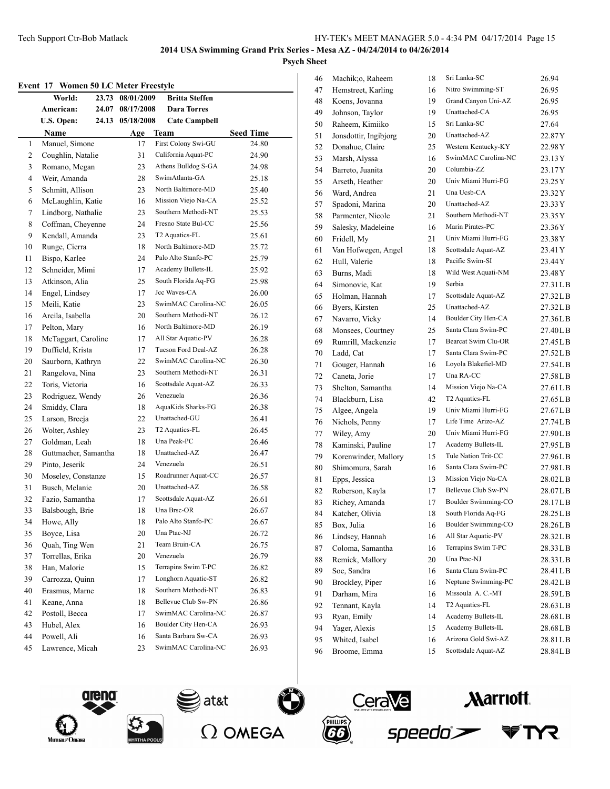## **Psych Sheet**

|  |  |  |  |  | Event 17 Women 50 LC Meter Freestyle |
|--|--|--|--|--|--------------------------------------|
|--|--|--|--|--|--------------------------------------|

| еусис 17 | women of Le meter preestyle<br>World: | 23.73 08/01/2009 | <b>Britta Steffen</b> |                  |
|----------|---------------------------------------|------------------|-----------------------|------------------|
|          | American:                             | 24.07 08/17/2008 | <b>Dara Torres</b>    |                  |
|          | <b>U.S. Open:</b><br>24.13            | 05/18/2008       | <b>Cate Campbell</b>  |                  |
|          | Name                                  | Age              | Team                  | <b>Seed Time</b> |
| 1        | Manuel, Simone                        | 17               | First Colony Swi-GU   | 24.80            |
| 2        | Coughlin, Natalie                     | 31               | California Aquat-PC   | 24.90            |
| 3        | Romano, Megan                         | 23               | Athens Bulldog S-GA   | 24.98            |
| 4        | Weir, Amanda                          | 28               | SwimAtlanta-GA        | 25.18            |
| 5        | Schmitt, Allison                      | 23               | North Baltimore-MD    | 25.40            |
| 6        | McLaughlin, Katie                     | 16               | Mission Viejo Na-CA   | 25.52            |
| 7        | Lindborg, Nathalie                    | 23               | Southern Methodi-NT   | 25.53            |
| 8        | Coffman, Cheyenne                     | 24               | Fresno State Bul-CC   | 25.56            |
| 9        | Kendall, Amanda                       | 23               | T2 Aquatics-FL        | 25.61            |
| 10       | Runge, Cierra                         | 18               | North Baltimore-MD    | 25.72            |
| 11       | Bispo, Karlee                         | 24               | Palo Alto Stanfo-PC   | 25.79            |
| 12       | Schneider, Mimi                       | 17               | Academy Bullets-IL    | 25.92            |
| 13       | Atkinson, Alia                        | 25               | South Florida Aq-FG   | 25.98            |
| 14       | Engel, Lindsey                        | 17               | Jcc Waves-CA          | 26.00            |
| 15       | Meili, Katie                          | 23               | SwimMAC Carolina-NC   | 26.05            |
| 16       | Arcila, Isabella                      | 20               | Southern Methodi-NT   | 26.12            |
| 17       | Pelton, Mary                          | 16               | North Baltimore-MD    | 26.19            |
|          | McTaggart, Caroline                   | 17               | All Star Aquatic-PV   | 26.28            |
| 18       |                                       |                  | Tucson Ford Deal-AZ   |                  |
| 19       | Duffield, Krista                      | 17               | SwimMAC Carolina-NC   | 26.28            |
| 20       | Saurborn, Kathryn                     | 22               | Southern Methodi-NT   | 26.30            |
| 21       | Rangelova, Nina                       | 23               |                       | 26.31            |
| 22       | Toris, Victoria                       | 16               | Scottsdale Aquat-AZ   | 26.33            |
| 23       | Rodriguez, Wendy                      | 26               | Venezuela             | 26.36            |
| 24       | Smiddy, Clara                         | 18               | AquaKids Sharks-FG    | 26.38            |
| 25       | Larson, Breeja                        | 22               | Unattached-GU         | 26.41            |
| 26       | Wolter, Ashley                        | 23               | T2 Aquatics-FL        | 26.45            |
| 27       | Goldman, Leah                         | 18               | Una Peak-PC           | 26.46            |
| 28       | Guttmacher, Samantha                  | 18               | Unattached-AZ         | 26.47            |
| 29       | Pinto, Jeserik                        | 24               | Venezuela             | 26.51            |
| 30       | Moseley, Constanze                    | 15               | Roadrunner Aquat-CC   | 26.57            |
| 31       | Busch, Melanie                        | 20               | Unattached-AZ         | 26.58            |
| 32       | Fazio, Samantha                       | 17               | Scottsdale Aquat-AZ   | 26.61            |
| 33       | Balsbough, Brie                       | 18               | Una Brsc-OR           | 26.67            |
| 34       | Howe, Ally                            | 18               | Palo Alto Stanfo-PC   | 26.67            |
| 35       | Boyce, Lisa                           | 20               | Una Ptac-NJ           | 26.72            |
| 36       | Quah, Ting Wen                        | 21               | Team Bruin-CA         | 26.75            |
| 37       | Torrellas, Erika                      | 20               | Venezuela             | 26.79            |
| 38       | Han, Malorie                          | 15               | Terrapins Swim T-PC   | 26.82            |
| 39       | Carrozza, Quinn                       | 17               | Longhorn Aquatic-ST   | 26.82            |
| 40       | Erasmus, Marne                        | 18               | Southern Methodi-NT   | 26.83            |
| 41       | Keane, Anna                           | 18               | Bellevue Club Sw-PN   | 26.86            |
| 42       | Postoll, Becca                        | 17               | SwimMAC Carolina-NC   | 26.87            |
| 43       | Hubel, Alex                           | 16               | Boulder City Hen-CA   | 26.93            |
| 44       | Powell, Ali                           | 16               | Santa Barbara Sw-CA   | 26.93            |
| 45       | Lawrence, Micah                       | 23               | SwimMAC Carolina-NC   | 26.93            |
|          |                                       |                  |                       |                  |

| 46 | Machik;o, Raheem      | 18 | Sri Lanka-SC        | 26.94     |
|----|-----------------------|----|---------------------|-----------|
| 47 | Hemstreet, Karling    | 16 | Nitro Swimming-ST   | 26.95     |
| 48 | Koens, Jovanna        | 19 | Grand Canyon Uni-AZ | 26.95     |
| 49 | Johnson, Taylor       | 19 | Unattached-CA       | 26.95     |
| 50 | Raheem, Kimiiko       | 15 | Sri Lanka-SC        | 27.64     |
| 51 | Jonsdottir, Ingibjorg | 20 | Unattached-AZ       | 22.87Y    |
| 52 | Donahue, Claire       | 25 | Western Kentucky-KY | 22.98Y    |
| 53 | Marsh, Alyssa         | 16 | SwimMAC Carolina-NC | 23.13 Y   |
| 54 | Barreto, Juanita      | 20 | Columbia-ZZ         | 23.17 Y   |
| 55 | Arseth, Heather       | 20 | Univ Miami Hurri-FG | 23.25 Y   |
| 56 | Ward, Andrea          | 21 | Una Ucsb-CA         | 23.32Y    |
| 57 | Spadoni, Marina       | 20 | Unattached-AZ       | 23.33 Y   |
| 58 | Parmenter, Nicole     | 21 | Southern Methodi-NT | 23.35Y    |
| 59 | Salesky, Madeleine    | 16 | Marin Pirates-PC    | 23.36Y    |
| 60 | Fridell, My           | 21 | Univ Miami Hurri-FG | 23.38Y    |
| 61 | Van Hofwegen, Angel   | 18 | Scottsdale Aquat-AZ | 23.41 Y   |
| 62 | Hull, Valerie         | 18 | Pacific Swim-SI     | 23.44Y    |
| 63 | Burns, Madi           | 18 | Wild West Aquati-NM | 23.48Y    |
| 64 | Simonovic, Kat        | 19 | Serbia              | 27.31LB   |
| 65 | Holman, Hannah        | 17 | Scottsdale Aquat-AZ | 27.32LB   |
| 66 | Byers, Kirsten        | 25 | Unattached-AZ       | 27.32LB   |
| 67 | Navarro, Vicky        | 14 | Boulder City Hen-CA | 27.36LB   |
| 68 | Monsees, Courtney     | 25 | Santa Clara Swim-PC | 27.40LB   |
| 69 | Rumrill, Mackenzie    | 17 | Bearcat Swim Clu-OR | 27.45LB   |
| 70 | Ladd, Cat             | 17 | Santa Clara Swim-PC | 27.52LB   |
| 71 | Gouger, Hannah        | 16 | Loyola Blakefiel-MD | 27.54LB   |
| 72 | Caneta, Jorie         | 17 | Una RA-CC           | 27.58LB   |
| 73 | Shelton, Samantha     | 14 | Mission Viejo Na-CA | 27.61 L B |
| 74 | Blackburn, Lisa       | 42 | T2 Aquatics-FL      | 27.65 L B |
| 75 | Algee, Angela         | 19 | Univ Miami Hurri-FG | 27.67LB   |
| 76 | Nichols, Penny        | 17 | Life Time Arizo-AZ  | 27.74LB   |
| 77 | Wiley, Amy            | 20 | Univ Miami Hurri-FG | 27.90LB   |
| 78 | Kaminski, Pauline     | 17 | Academy Bullets-IL  | 27.95LB   |
| 79 | Korenwinder, Mallory  | 15 | Tule Nation Trit-CC | 27.96LB   |
| 80 | Shimomura, Sarah      | 16 | Santa Clara Swim-PC | 27.98LB   |
| 81 | Epps, Jessica         | 13 | Mission Viejo Na-CA | 28.02LB   |
| 82 | Roberson, Kayla       | 17 | Bellevue Club Sw-PN | 28.07LB   |
| 83 | Richey, Amanda        | 17 | Boulder Swimming-CO | 28.17LB   |
| 84 | Katcher, Olivia       | 18 | South Florida Aq-FG | 28.25LB   |
| 85 | Box, Julia            | 16 | Boulder Swimming-CO | 28.26LB   |
| 86 | Lindsey, Hannah       | 16 | All Star Aquatic-PV | 28.32LB   |
| 87 | Coloma, Samantha      | 16 | Terrapins Swim T-PC | 28.33LB   |
| 88 | Remick, Mallory       | 20 | Una Ptac-NJ         | 28.33LB   |
| 89 | Soe, Sandra           | 16 | Santa Clara Swim-PC | 28.41LB   |
| 90 | Brockley, Piper       | 16 | Neptune Swimming-PC | 28.42LB   |
| 91 | Darham, Mira          | 16 | Missoula A. C.-MT   | 28.59LB   |
| 92 | Tennant, Kayla        | 14 | T2 Aquatics-FL      | 28.63LB   |
| 93 | Ryan, Emily           | 14 | Academy Bullets-IL  | 28.68LB   |
| 94 | Yager, Alexis         | 15 | Academy Bullets-IL  | 28.68LB   |
| 95 | Whited, Isabel        | 16 | Arizona Gold Swi-AZ | 28.81LB   |
| 96 | Broome, Emma          | 15 | Scottsdale Aquat-AZ | 28.84LB   |
|    |                       |    |                     |           |









**Aarriott**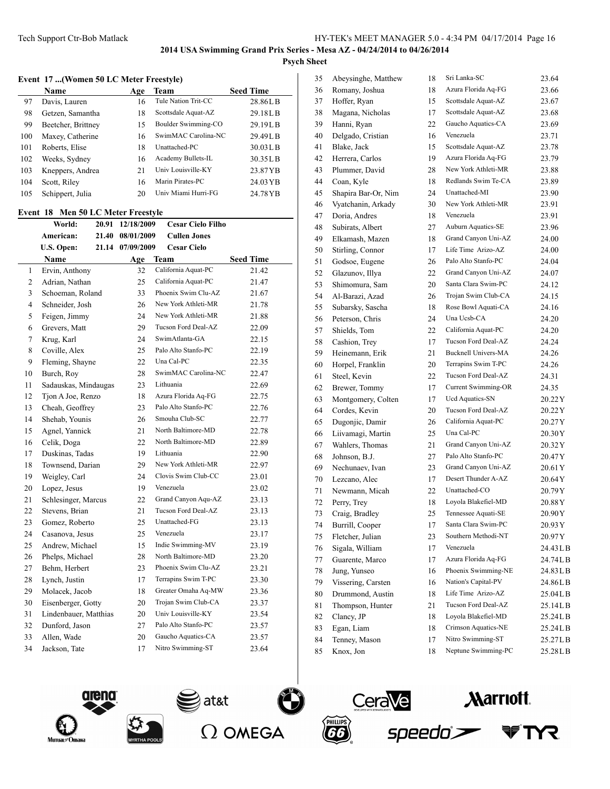#### **Event 17 ...(Women 50 LC Meter Freestyle)**

|     | Name               | Age | Team                | <b>Seed Time</b> |
|-----|--------------------|-----|---------------------|------------------|
| 97  | Davis, Lauren      | 16  | Tule Nation Trit-CC | 28.86LB          |
| 98  | Getzen, Samantha   | 18  | Scottsdale Aquat-AZ | 29.18LB          |
| 99  | Beetcher, Brittney | 15  | Boulder Swimming-CO | 29.19LB          |
| 100 | Maxey, Catherine   | 16  | SwimMAC Carolina-NC | 29.49LB          |
| 101 | Roberts, Elise     | 18  | Unattached-PC       | 30.03LB          |
| 102 | Weeks, Sydney      | 16  | Academy Bullets-IL  | 30.35LB          |
| 103 | Kneppers, Andrea   | 21  | Univ Louisville-KY  | 23.87YB          |
| 104 | Scott, Riley       | 16  | Marin Pirates-PC    | 24.03 YB         |
| 105 | Schippert, Julia   | 20  | Univ Miami Hurri-FG | 24.78 YB         |

### **Event 18 Men 50 LC Meter Freestyle**

|              | World:                | 20.91 | 12/18/2009 | <b>Cesar Cielo Filho</b> |                  |
|--------------|-----------------------|-------|------------|--------------------------|------------------|
|              | American:             | 21.40 | 08/01/2009 | <b>Cullen Jones</b>      |                  |
|              | U.S. Open:            | 21.14 | 07/09/2009 | <b>Cesar Cielo</b>       |                  |
|              | Name                  |       | Age        | Team                     | <b>Seed Time</b> |
| $\mathbf{1}$ | Ervin, Anthony        |       | 32         | California Aquat-PC      | 21.42            |
| 2            | Adrian, Nathan        |       | 25         | California Aquat-PC      | 21.47            |
| 3            | Schoeman, Roland      |       | 33         | Phoenix Swim Clu-AZ      | 21.67            |
| 4            | Schneider, Josh       |       | 26         | New York Athleti-MR      | 21.78            |
| 5            | Feigen, Jimmy         |       | 24         | New York Athleti-MR      | 21.88            |
| 6            | Grevers, Matt         |       | 29         | Tucson Ford Deal-AZ      | 22.09            |
| 7            | Krug, Karl            |       | 24         | SwimAtlanta-GA           | 22.15            |
| 8            | Coville, Alex         |       | 25         | Palo Alto Stanfo-PC      | 22.19            |
| 9            | Fleming, Shayne       |       | 22         | Una Cal-PC               | 22.35            |
| 10           | Burch, Roy            |       | 28         | SwimMAC Carolina-NC      | 22.47            |
| 11           | Sadauskas, Mindaugas  |       | 23         | Lithuania                | 22.69            |
| 12           | Tjon A Joe, Renzo     |       | 18         | Azura Florida Aq-FG      | 22.75            |
| 13           | Cheah, Geoffrey       |       | 23         | Palo Alto Stanfo-PC      | 22.76            |
| 14           | Shehab, Younis        |       | 26         | Smouha Club-SC           | 22.77            |
| 15           | Agnel, Yannick        |       | 21         | North Baltimore-MD       | 22.78            |
| 16           | Celik, Doga           |       | 22         | North Baltimore-MD       | 22.89            |
| 17           | Duskinas, Tadas       |       | 19         | Lithuania                | 22.90            |
| 18           | Townsend, Darian      |       | 29         | New York Athleti-MR      | 22.97            |
| 19           | Weigley, Carl         |       | 24         | Clovis Swim Club-CC      | 23.01            |
| 20           | Lopez, Jesus          |       | 19         | Venezuela                | 23.02            |
| 21           | Schlesinger, Marcus   |       | 22         | Grand Canyon Aqu-AZ      | 23.13            |
| 22           | Stevens, Brian        |       | 21         | Tucson Ford Deal-AZ      | 23.13            |
| 23           | Gomez, Roberto        |       | 25         | Unattached-FG            | 23.13            |
| 24           | Casanova, Jesus       |       | 25         | Venezuela                | 23.17            |
| 25           | Andrew, Michael       |       | 15         | Indie Swimming-MV        | 23.19            |
| 26           | Phelps, Michael       |       | 28         | North Baltimore-MD       | 23.20            |
| 27           | Behm, Herbert         |       | 23         | Phoenix Swim Clu-AZ      | 23.21            |
| 28           | Lynch, Justin         |       | 17         | Terrapins Swim T-PC      | 23.30            |
| 29           | Molacek, Jacob        |       | 18         | Greater Omaha Aq-MW      | 23.36            |
| 30           | Eisenberger, Gotty    |       | 20         | Trojan Swim Club-CA      | 23.37            |
| 31           | Lindenbauer, Matthias |       | 20         | Univ Louisville-KY       | 23.54            |
| 32           | Dunford, Jason        |       | 27         | Palo Alto Stanfo-PC      | 23.57            |
| 33           | Allen, Wade           |       | 20         | Gaucho Aquatics-CA       | 23.57            |
| 34           | Jackson, Tate         |       | 17         | Nitro Swimming-ST        | 23.64            |
|              |                       |       |            |                          |                  |

| 35 | Abeysinghe, Matthew | 18 | Sri Lanka-SC               | 23.64     |
|----|---------------------|----|----------------------------|-----------|
| 36 | Romany, Joshua      | 18 | Azura Florida Aq-FG        | 23.66     |
| 37 | Hoffer, Ryan        | 15 | Scottsdale Aquat-AZ        | 23.67     |
| 38 | Magana, Nicholas    | 17 | Scottsdale Aquat-AZ        | 23.68     |
| 39 | Hanni, Ryan         | 22 | Gaucho Aquatics-CA         | 23.69     |
| 40 | Delgado, Cristian   | 16 | Venezuela                  | 23.71     |
| 41 | Blake, Jack         | 15 | Scottsdale Aquat-AZ        | 23.78     |
| 42 | Herrera, Carlos     | 19 | Azura Florida Aq-FG        | 23.79     |
| 43 | Plummer, David      | 28 | New York Athleti-MR        | 23.88     |
| 44 | Coan, Kyle          | 18 | Redlands Swim Te-CA        | 23.89     |
| 45 | Shapira Bar-Or, Nim | 24 | Unattached-MI              | 23.90     |
| 46 | Vyatchanin, Arkady  | 30 | New York Athleti-MR        | 23.91     |
| 47 | Doria, Andres       | 18 | Venezuela                  | 23.91     |
| 48 | Subirats, Albert    | 27 | Auburn Aquatics-SE         | 23.96     |
| 49 | Elkamash, Mazen     | 18 | Grand Canyon Uni-AZ        | 24.00     |
| 50 | Stirling, Connor    | 17 | Life Time Arizo-AZ         | 24.00     |
| 51 | Godsoe, Eugene      | 26 | Palo Alto Stanfo-PC        | 24.04     |
| 52 | Glazunov, Illya     | 22 | Grand Canyon Uni-AZ        | 24.07     |
| 53 | Shimomura, Sam      | 20 | Santa Clara Swim-PC        | 24.12     |
| 54 | Al-Barazi, Azad     | 26 | Trojan Swim Club-CA        | 24.15     |
| 55 | Subarsky, Sascha    | 18 | Rose Bowl Aquati-CA        | 24.16     |
| 56 | Peterson, Chris     | 24 | Una Ucsb-CA                | 24.20     |
| 57 | Shields, Tom        | 22 | California Aquat-PC        | 24.20     |
| 58 | Cashion, Trev       | 17 | Tucson Ford Deal-AZ        | 24.24     |
| 59 | Heinemann, Erik     | 21 | <b>Bucknell Univers-MA</b> | 24.26     |
| 60 | Horpel, Franklin    | 20 | Terrapins Swim T-PC        | 24.26     |
| 61 | Steel, Kevin        | 22 | Tucson Ford Deal-AZ        | 24.31     |
| 62 | Brewer, Tommy       | 17 | Current Swimming-OR        | 24.35     |
| 63 | Montgomery, Colten  | 17 | Ucd Aquatics-SN            | 20.22 Y   |
| 64 | Cordes, Kevin       | 20 | Tucson Ford Deal-AZ        | 20.22 Y   |
| 65 | Dugonjic, Damir     | 26 | California Aquat-PC        | 20.27Y    |
| 66 | Liivamagi, Martin   | 25 | Una Cal-PC                 | 20.30Y    |
| 67 | Wahlers, Thomas     | 21 | Grand Canyon Uni-AZ        | 20.32 Y   |
| 68 | Johnson, B.J.       | 27 | Palo Alto Stanfo-PC        | 20.47 Y   |
| 69 | Nechunaev, Ivan     | 23 | Grand Canyon Uni-AZ        | 20.61Y    |
| 70 | Lezcano, Alec       | 17 | Desert Thunder A-AZ        | 20.64 Y   |
| 71 | Newmann, Micah      | 22 | Unattached-CO              | 20.79Y    |
| 72 | Perry, Trey         | 18 | Loyola Blakefiel-MD        | 20.88 Y   |
| 73 | Craig, Bradley      | 25 | Tennessee Aquati-SE        | 20.90 Y   |
| 74 | Burrill, Cooper     | 17 | Santa Clara Swim-PC        | 20.93 Y   |
| 75 | Fletcher, Julian    | 23 | Southern Methodi-NT        | 20.97Y    |
| 76 | Sigala, William     | 17 | Venezuela                  | 24.43 L B |
| 77 | Guarente, Marco     | 17 | Azura Florida Aq-FG        | 24.74LB   |
| 78 | Jung, Yunseo        | 16 | Phoenix Swimming-NE        | 24.83LB   |
| 79 | Vissering, Carsten  | 16 | Nation's Capital-PV        | 24.86LB   |
| 80 | Drummond, Austin    | 18 | Life Time Arizo-AZ         | 25.04LB   |
| 81 | Thompson, Hunter    | 21 | Tucson Ford Deal-AZ        | 25.14LB   |
| 82 | Clancy, JP          | 18 | Loyola Blakefiel-MD        | 25.24LB   |
| 83 | Egan, Liam          | 18 | Crimson Aquatics-NE        | 25.24LB   |
| 84 | Tenney, Mason       | 17 | Nitro Swimming-ST          | 25.27LB   |
| 85 | Knox, Jon           | 18 | Neptune Swimming-PC        | 25.28LB   |







at&t





₹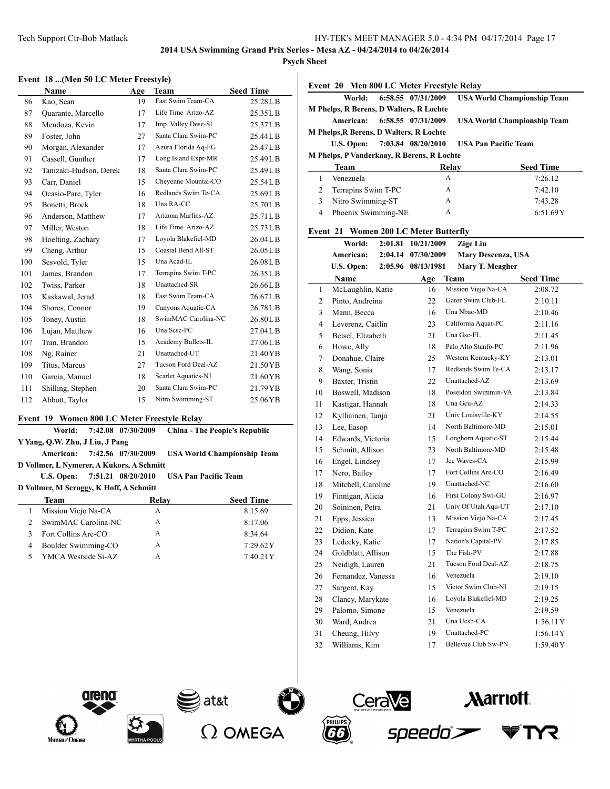**Psych Sheet**

 $\overline{a}$ 

#### **Event 18 ...(Men 50 LC Meter Freestyle)**

|     | Name                   | Age | <b>Team</b>         | <b>Seed Time</b> |
|-----|------------------------|-----|---------------------|------------------|
| 86  | Kao, Sean              | 19  | Fast Swim Team-CA   | 25.28LB          |
| 87  | Quarante, Marcello     | 17  | Life Time Arizo-AZ  | 25.35LB          |
| 88  | Mendoza, Kevin         | 17  | Imp. Valley Dese-SI | 25.37LB          |
| 89  | Foster, John           | 27  | Santa Clara Swim-PC | 25.44LB          |
| 90  | Morgan, Alexander      | 17  | Azura Florida Aq-FG | 25.47LB          |
| 91  | Cassell, Gunther       | 17  | Long Island Expr-MR | 25.49LB          |
| 92  | Tanizaki-Hudson, Derek | 18  | Santa Clara Swim-PC | 25.49LB          |
| 93  | Carr, Daniel           | 15  | Cheyenne Mountai-CO | 25.54LB          |
| 94  | Ocasio-Pare, Tyler     | 16  | Redlands Swim Te-CA | 25.69LB          |
| 95  | Bonetti, Brock         | 18  | Una RA-CC           | 25.70LB          |
| 96  | Anderson, Matthew      | 17  | Arizona Marlins-AZ  | 25.71LB          |
| 97  | Miller, Weston         | 18  | Life Time Arizo-AZ  | 25.73LB          |
| 98  | Hoelting, Zachary      | 17  | Loyola Blakefiel-MD | 26.04LB          |
| 99  | Cheng, Arthur          | 15  | Coastal Bend All-ST | 26.05LB          |
| 100 | Sesvold, Tyler         | 15  | Una Acad-IL         | 26.08LB          |
| 101 | James, Brandon         | 17  | Terrapins Swim T-PC | 26.35LB          |
| 102 | Twiss, Parker          | 18  | Unattached-SR       | 26.66LB          |
| 103 | Kaskawal, Jerad        | 18  | Fast Swim Team-CA   | 26.67LB          |
| 104 | Shores, Connor         | 19  | Canyons Aquatic-CA  | 26.78LB          |
| 105 | Toney, Austin          | 18  | SwimMAC Carolina-NC | 26.80LB          |
| 106 | Lujan, Matthew         | 16  | Una Sese-PC         | 27.04LB          |
| 107 | Tran, Brandon          | 15  | Academy Bullets-IL  | 27.06LB          |
| 108 | Ng, Rainer             | 21  | Unattached-UT       | 21.40YB          |
| 109 | Titus, Marcus          | 27  | Tucson Ford Deal-AZ | 21.50YB          |
| 110 | Garcia, Manuel         | 18  | Scarlet Aquatics-NJ | 21.60YB          |
| 111 | Shilling, Stephen      | 20  | Santa Clara Swim-PC | 21.79YB          |
| 112 | Abbott, Taylor         | 15  | Nitro Swimming-ST   | 25.06YB          |
|     |                        |     |                     |                  |

## **Event 19 Women 800 LC Meter Freestyle Relay**

|                                         | World:                          |  | 7:42.08 07/30/2009                        | <b>China - The People's Republic</b> |  |  |
|-----------------------------------------|---------------------------------|--|-------------------------------------------|--------------------------------------|--|--|
|                                         | Y Yang, Q.W. Zhu, J Liu, J Pang |  |                                           |                                      |  |  |
|                                         | American:                       |  | 7:42.56 07/30/2009                        | <b>USA World Championship Team</b>   |  |  |
|                                         |                                 |  | D Vollmer, L Nymerer, A Kukors, A Schmitt |                                      |  |  |
|                                         | U.S. Open: 7:51.21 08/20/2010   |  |                                           | <b>USA Pan Pacific Team</b>          |  |  |
| D Vollmer, M Scroggy, K Hoff, A Schmitt |                                 |  |                                           |                                      |  |  |
|                                         |                                 |  |                                           |                                      |  |  |
|                                         | <b>Team</b>                     |  | Relay                                     | <b>Seed Time</b>                     |  |  |
| 1                                       | Mission Viejo Na-CA             |  | A                                         | 8:15.69                              |  |  |
| 2                                       | SwimMAC Carolina-NC             |  | A                                         | 8:17.06                              |  |  |
| 3                                       | Fort Collins Are-CO             |  | A                                         | 8:34.64                              |  |  |
| 4                                       | Boulder Swimming-CO             |  | A                                         | $7:29.62\text{Y}$                    |  |  |

|   | World:                                         |         | 6:58.55 07/31/2009 | <b>USA World Championship Team</b> |                  |
|---|------------------------------------------------|---------|--------------------|------------------------------------|------------------|
|   | M Phelps, R Berens, D Walters, R Lochte        |         |                    |                                    |                  |
|   | American:                                      |         | 6:58.55 07/31/2009 | <b>USA World Championship Team</b> |                  |
|   | <b>M Phelps, R Berens, D Walters, R Lochte</b> |         |                    |                                    |                  |
|   | U.S. Open: 7:03.84 08/20/2010                  |         |                    | <b>USA Pan Pacific Team</b>        |                  |
|   | M Phelps, P Vanderkaay, R Berens, R Lochte     |         |                    |                                    |                  |
|   | <b>Team</b>                                    |         | Relay              |                                    | <b>Seed Time</b> |
| 1 | Venezuela                                      |         | A                  |                                    | 7:26.12          |
| 2 | Terrapins Swim T-PC                            |         | $\mathbf{A}$       |                                    | 7:42.10          |
| 3 | Nitro Swimming-ST                              |         | A                  |                                    | 7:43.28          |
| 4 | Phoenix Swimming-NE                            |         | $\mathsf{A}$       |                                    | 6:51.69Y         |
|   | Event 21 Women 200 LC Meter Butterfly          |         |                    |                                    |                  |
|   | World:                                         | 2:01.81 | 10/21/2009         | <b>Zige Liu</b>                    |                  |
|   | American:                                      | 2:04.14 | 07/30/2009         | Mary Descenza, USA                 |                  |
|   | U.S. Open:                                     |         | 2:05.96 08/13/1981 | Mary T. Meagher                    |                  |

|                | Name               | Age | Team                       | <b>Seed Time</b> |
|----------------|--------------------|-----|----------------------------|------------------|
| $\mathbf{1}$   | McLaughlin, Katie  | 16  | Mission Viejo Na-CA        | 2:08.72          |
| 2              | Pinto, Andreina    | 22  | Gator Swim Club-FL         | 2:10.11          |
| 3              | Mann, Becca        | 16  | Una Nbac-MD                | 2:10.46          |
| $\overline{4}$ | Leverenz, Caitlin  | 23  | California Aquat-PC        | 2:11.16          |
| 5              | Beisel, Elizabeth  | 21  | Una Gsc-FL                 | 2:11.45          |
| 6              | Howe, Ally         | 18  | Palo Alto Stanfo-PC        | 2:11.96          |
| $\overline{7}$ | Donahue, Claire    | 25  | Western Kentucky-KY        | 2:13.01          |
| 8              | Wang, Sonia        | 17  | Redlands Swim Te-CA        | 2:13.17          |
| 9              | Baxter, Tristin    | 22  | Unattached-AZ              | 2:13.69          |
| 10             | Boswell, Madison   | 18  | Poseidon Swimmin-VA        | 2:13.84          |
| 11             | Kastigar, Hannah   | 18  | Una Gcu-AZ                 | 2:14.33          |
| 12             | Kylliainen, Tanja  | 21  | Univ Louisville-KY         | 2:14.55          |
| 13             | Lee, Easop         | 14  | North Baltimore-MD         | 2:15.01          |
| 14             | Edwards, Victoria  | 15  | Longhorn Aquatic-ST        | 2:15.44          |
| 15             | Schmitt, Allison   | 23  | North Baltimore-MD         | 2:15.48          |
| 16             | Engel, Lindsey     | 17  | Jcc Waves-CA               | 2:15.99          |
| 17             | Nero, Bailey       | 17  | Fort Collins Are-CO        | 2:16.49          |
| 18             | Mitchell, Caroline | 19  | Unattached-NC              | 2:16.60          |
| 19             | Finnigan, Alicia   | 16  | First Colony Swi-GU        | 2:16.97          |
| 20             | Soininen, Petra    | 21  | Univ Of Utah Aqu-UT        | 2:17.10          |
| 21             | Epps, Jessica      | 13  | Mission Viejo Na-CA        | 2:17.45          |
| 22             | Didion, Kate       | 17  | Terrapins Swim T-PC        | 2:17.52          |
| 23             | Ledecky, Katie     | 17  | Nation's Capital-PV        | 2:17.85          |
| 24             | Goldblatt, Allison | 15  | The Fish-PV                | 2:17.88          |
| 25             | Neidigh, Lauren    | 21  | Tucson Ford Deal-AZ        | 2:18.75          |
| 26             | Fernandez, Vanessa | 16  | Venezuela                  | 2:19.10          |
| 27             | Sargent, Kay       | 15  | Victor Swim Club-NI        | 2:19.15          |
| 28             | Clancy, Marykate   | 16  | Loyola Blakefiel-MD        | 2:19.25          |
| 29             | Palomo, Simone     | 15  | Venezuela                  | 2:19.59          |
| 30             | Ward, Andrea       | 21  | Una Ucsb-CA                | 1:56.11Y         |
| 31             | Cheung, Hilvy      | 19  | Unattached-PC              | 1:56.14Y         |
| 32             | Williams, Kim      | 17  | <b>Bellevue Club Sw-PN</b> | 1:59.40Y         |







 $\frac{1}{2}$ at&t



**Aarriott** 

**YR** T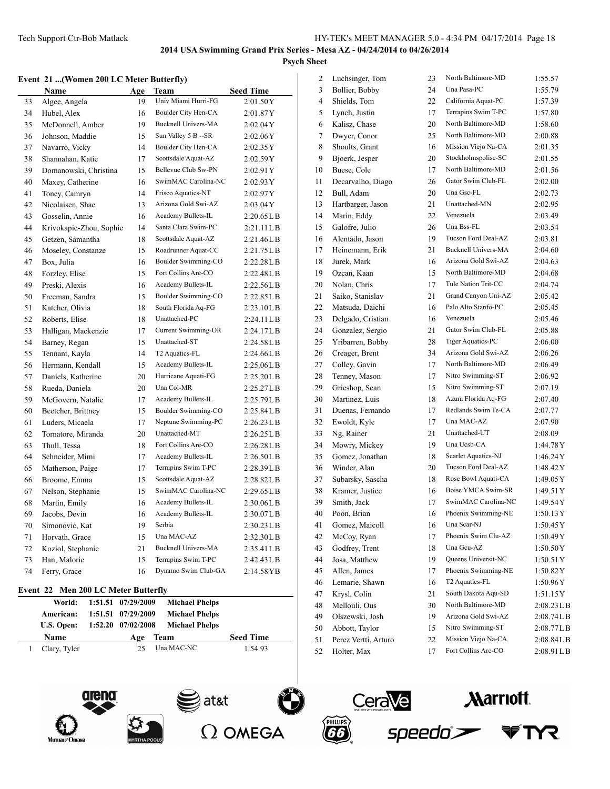2 Luchsinger, Tom 23 North Baltimore-MD 1:55.57 3 Bollier, Bobby 24 Una Pasa-PC 1:55.79

TYR

## **2014 USA Swimming Grand Prix Series - Mesa AZ - 04/24/2014 to 04/26/2014 Psych Sheet**

#### **Event 21 ...(Women 200 LC Meter Butterfly)**

| Name |                         | Age | Team                       | <b>Seed Time</b> |
|------|-------------------------|-----|----------------------------|------------------|
| 33   | Algee, Angela           | 19  | Univ Miami Hurri-FG        | 2:01.50Y         |
| 34   | Hubel, Alex             | 16  | Boulder City Hen-CA        | 2:01.87Y         |
| 35   | McDonnell, Amber        | 19  | <b>Bucknell Univers-MA</b> | 2:02.04Y         |
| 36   | Johnson, Maddie         | 15  | Sun Valley 5 B -- SR       | 2:02.06Y         |
| 37   | Navarro, Vicky          | 14  | Boulder City Hen-CA        | 2:02.35Y         |
| 38   | Shannahan, Katie        | 17  | Scottsdale Aquat-AZ        | 2:02.59Y         |
| 39   | Domanowski, Christina   | 15  | Bellevue Club Sw-PN        | 2:02.91Y         |
| 40   | Maxey, Catherine        | 16  | SwimMAC Carolina-NC        | 2:02.93Y         |
| 41   | Toney, Camryn           | 14  | Frisco Aquatics-NT         | 2:02.97Y         |
| 42   | Nicolaisen, Shae        | 13  | Arizona Gold Swi-AZ        | 2:03.04Y         |
| 43   | Gosselin, Annie         | 16  | Academy Bullets-IL         | 2:20.65L B       |
| 44   | Krivokapic-Zhou, Sophie | 14  | Santa Clara Swim-PC        | 2:21.11LB        |
| 45   | Getzen, Samantha        | 18  | Scottsdale Aquat-AZ        | 2:21.46L B       |
| 46   | Moseley, Constanze      | 15  | Roadrunner Aquat-CC        | 2:21.75LB        |
| 47   | Box, Julia              | 16  | Boulder Swimming-CO        | 2:22.28LB        |
| 48   | Forzley, Elise          | 15  | Fort Collins Are-CO        | 2:22.48L B       |
| 49   | Preski, Alexis          | 16  | Academy Bullets-IL         | 2:22.56LB        |
| 50   | Freeman, Sandra         | 15  | Boulder Swimming-CO        | 2:22.85LB        |
| 51   | Katcher, Olivia         | 18  | South Florida Aq-FG        | 2:23.10LB        |
| 52   | Roberts, Elise          | 18  | Unattached-PC              | 2:24.11LB        |
| 53   | Halligan, Mackenzie     | 17  | Current Swimming-OR        | 2:24.17LB        |
| 54   | Barney, Regan           | 15  | Unattached-ST              | 2:24.58LB        |
| 55   | Tennant, Kayla          | 14  | T <sub>2</sub> Aquatics-FL | 2:24.66LB        |
| 56   | Hermann, Kendall        | 15  | Academy Bullets-IL         | 2:25.06L B       |
| 57   | Daniels, Katherine      | 20  | Hurricane Aquati-FG        | 2:25.20L B       |
| 58   | Rueda, Daniela          | 20  | Una Col-MR                 | 2:25.27LB        |
| 59   | McGovern, Natalie       | 17  | Academy Bullets-IL         | 2:25.79LB        |
| 60   | Beetcher, Brittney      | 15  | Boulder Swimming-CO        | 2:25.84LB        |
| 61   | Luders, Micaela         | 17  | Neptune Swimming-PC        | 2:26.23L B       |
| 62   | Tornatore, Miranda      | 20  | Unattached-MT              | 2:26.25LB        |
| 63   | Thull, Tessa            | 18  | Fort Collins Are-CO        | 2:26.28L B       |
| 64   | Schneider, Mimi         | 17  | Academy Bullets-IL         | 2:26.50L B       |
| 65   | Matherson, Paige        | 17  | Terrapins Swim T-PC        | 2:28.39LB        |
| 66   | Broome, Emma            | 15  | Scottsdale Aquat-AZ        | 2:28.82LB        |
| 67   | Nelson, Stephanie       | 15  | SwimMAC Carolina-NC        | 2:29.65LB        |
| 68   | Martin, Emily           | 16  | Academy Bullets-IL         | 2:30.06L B       |
| 69   | Jacobs, Devin           | 16  | Academy Bullets-IL         | 2:30.07LB        |
| 70   | Simonovic, Kat          | 19  | Serbia                     | 2:30.23LB        |
| 71   | Horvath, Grace          | 15  | Una MAC-AZ                 | 2:32.30LB        |
| 72   | Koziol, Stephanie       | 21  | <b>Bucknell Univers-MA</b> | 2:35.41LB        |
| 73   | Han, Malorie            | 15  | Terrapins Swim T-PC        | 2:42.43L B       |
| 74   | Ferry, Grace            | 16  | Dynamo Swim Club-GA        | 2:14.58 YB       |

### **Event 22 Men 200 LC Meter Butterfly**

| World:       |  | 1:51.51 07/29/2009 | <b>Michael Phelps</b> |                  |  |  |
|--------------|--|--------------------|-----------------------|------------------|--|--|
| American:    |  | 1:51.51 07/29/2009 | <b>Michael Phelps</b> |                  |  |  |
| U.S. Open:   |  | 1:52.20 07/02/2008 | <b>Michael Phelps</b> |                  |  |  |
| <b>Name</b>  |  | Team<br>Age        |                       | <b>Seed Time</b> |  |  |
| Clary, Tyler |  | 25                 | Una MAC-NC            | 1:54.93          |  |  |





| 4  | Shields, Tom         | 22 | California Aquat-PC        | 1:57.39    |
|----|----------------------|----|----------------------------|------------|
| 5  | Lynch, Justin        | 17 | Terrapins Swim T-PC        | 1:57.80    |
| 6  | Kalisz, Chase        | 20 | North Baltimore-MD         | 1:58.60    |
| 7  | Dwyer, Conor         | 25 | North Baltimore-MD         | 2:00.88    |
| 8  | Shoults, Grant       | 16 | Mission Viejo Na-CA        | 2:01.35    |
| 9  | Bjoerk, Jesper       | 20 | Stockholmspolise-SC        | 2:01.55    |
| 10 | Buese, Cole          | 17 | North Baltimore-MD         | 2:01.56    |
| 11 | Decarvalho, Diago    | 26 | Gator Swim Club-FL         | 2:02.00    |
| 12 | Bull, Adam           | 20 | Una Gsc-FL                 | 2:02.73    |
| 13 | Hartbarger, Jason    | 21 | Unattached-MN              | 2:02.95    |
| 14 | Marin, Eddy          | 22 | Venezuela                  | 2:03.49    |
| 15 | Galofre, Julio       | 26 | Una Bss-FL                 | 2:03.54    |
| 16 | Alentado, Jason      | 19 | Tucson Ford Deal-AZ        | 2:03.81    |
| 17 | Heinemann, Erik      | 21 | <b>Bucknell Univers-MA</b> | 2:04.60    |
| 18 | Jurek, Mark          | 16 | Arizona Gold Swi-AZ        | 2:04.63    |
| 19 | Ozcan, Kaan          | 15 | North Baltimore-MD         | 2:04.68    |
| 20 | Nolan, Chris         | 17 | Tule Nation Trit-CC        | 2:04.74    |
| 21 | Saiko, Stanislav     | 21 | Grand Canyon Uni-AZ        | 2:05.42    |
| 22 | Matsuda, Daichi      | 16 | Palo Alto Stanfo-PC        | 2:05.45    |
| 23 | Delgado, Cristian    | 16 | Venezuela                  | 2:05.46    |
| 24 | Gonzalez, Sergio     | 21 | Gator Swim Club-FL         | 2:05.88    |
| 25 | Yribarren, Bobby     | 28 | Tiger Aquatics-PC          | 2:06.00    |
| 26 | Creager, Brent       | 34 | Arizona Gold Swi-AZ        | 2:06.26    |
| 27 | Colley, Gavin        | 17 | North Baltimore-MD         | 2:06.49    |
| 28 | Tenney, Mason        | 17 | Nitro Swimming-ST          | 2:06.92    |
| 29 | Grieshop, Sean       | 15 | Nitro Swimming-ST          | 2:07.19    |
| 30 | Martinez, Luis       | 18 | Azura Florida Aq-FG        | 2:07.40    |
| 31 | Duenas, Fernando     | 17 | Redlands Swim Te-CA        | 2:07.77    |
| 32 | Ewoldt, Kyle         | 17 | Una MAC-AZ                 | 2:07.90    |
| 33 | Ng, Rainer           | 21 | Unattached-UT              | 2:08.09    |
| 34 | Mowry, Mickey        | 19 | Una Ucsb-CA                | 1:44.78Y   |
| 35 | Gomez, Jonathan      | 18 | Scarlet Aquatics-NJ        | 1:46.24Y   |
| 36 | Winder, Alan         | 20 | Tucson Ford Deal-AZ        | 1:48.42 Y  |
| 37 | Subarsky, Sascha     | 18 | Rose Bowl Aquati-CA        | 1:49.05Y   |
| 38 | Kramer, Justice      | 16 | Boise YMCA Swim-SR         | 1:49.51Y   |
| 39 | Smith, Jack          | 17 | SwimMAC Carolina-NC        | 1:49.54Y   |
| 40 | Poon, Brian          | 16 | Phoenix Swimming-NE        | 1:50.13Y   |
| 41 | Gomez, Maicoll       | 16 | Una Scar-NJ                | 1:50.45Y   |
| 42 | McCoy, Ryan          | 17 | Phoenix Swim Clu-AZ        | 1:50.49Y   |
| 43 | Godfrey, Trent       | 18 | Una Geu-AZ                 | 1:50.50Y   |
| 44 | Josa, Matthew        | 19 | <b>Oueens Universit-NC</b> | 1:50.51Y   |
| 45 | Allen, James         | 17 | Phoenix Swimming-NE        | 1:50.82Y   |
| 46 | Lemarie, Shawn       | 16 | T2 Aquatics-FL             | 1:50.96Y   |
| 47 | Krysl, Colin         | 21 | South Dakota Aqu-SD        | 1:51.15Y   |
| 48 | Mellouli, Ous        | 30 | North Baltimore-MD         | 2:08.23L B |
| 49 | Olszewski, Josh      | 19 | Arizona Gold Swi-AZ        | 2:08.74L B |
| 50 | Abbott, Taylor       | 15 | Nitro Swimming-ST          | 2:08.77LB  |
| 51 | Perez Vertti, Arturo | 22 | Mission Viejo Na-CA        | 2:08.84LB  |
| 52 | Holter, Max          | 17 | Fort Collins Are-CO        | 2:08.91LB  |

PHILLIPS

66

CeraVe

speedo`

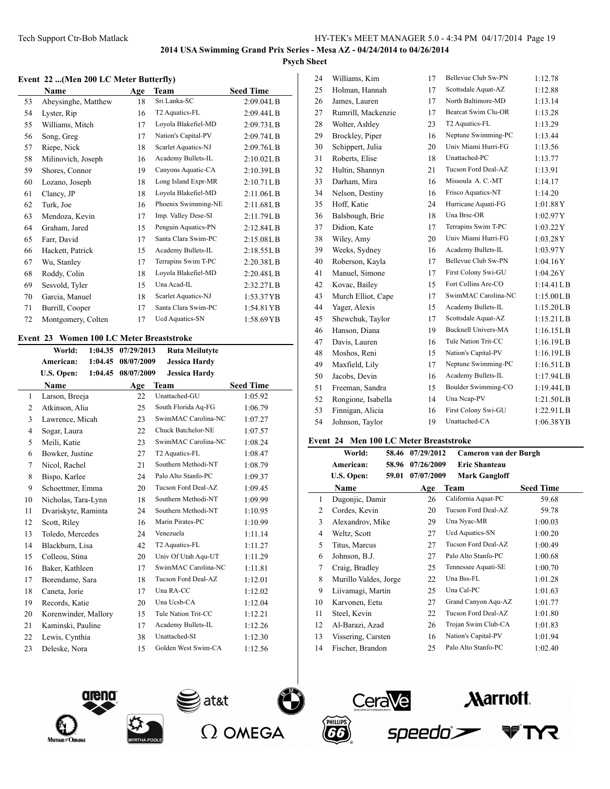### **Event 22 ...(Men 200 LC Meter Butterfly)**

| Name                | Age | Team                | <b>Seed Time</b> |
|---------------------|-----|---------------------|------------------|
| Abeysinghe, Matthew | 18  | Sri Lanka-SC        | 2:09.04L B       |
| Lyster, Rip         | 16  | T2 Aquatics-FL      | 2:09.44L B       |
| Williams, Mitch     | 17  | Loyola Blakefiel-MD | 2:09.73L B       |
| Song, Greg          | 17  | Nation's Capital-PV | 2:09.74L B       |
| Riepe, Nick         | 18  | Scarlet Aquatics-NJ | 2:09.76L B       |
| Milinovich, Joseph  | 16  | Academy Bullets-IL  | 2:10.02L B       |
| Shores, Connor      | 19  | Canyons Aquatic-CA  | 2:10.39L B       |
| Lozano, Joseph      | 18  | Long Island Expr-MR | 2:10.71L B       |
| Clancy, JP          | 18  | Loyola Blakefiel-MD | 2:11.06LB        |
| Turk, Joe           | 16  | Phoenix Swimming-NE | 2:11.68LB        |
| Mendoza, Kevin      | 17  | Imp. Valley Dese-SI | 2:11.79LB        |
| Graham, Jared       | 15  | Penguin Aquatics-PN | 2:12.84LB        |
| Farr, David         | 17  | Santa Clara Swim-PC | 2:15.08LB        |
| Hackett, Patrick    | 15  | Academy Bullets-IL  | 2:18.55LB        |
| Wu, Stanley         | 17  | Terrapins Swim T-PC | 2:20.38L B       |
| Roddy, Colin        | 18  | Loyola Blakefiel-MD | 2:20.48L B       |
| Sesvold, Tyler      | 15  | Una Acad-IL         | 2:32.27LB        |
| Garcia, Manuel      | 18  | Scarlet Aquatics-NJ | 1:53.37YB        |
| Burrill, Cooper     | 17  | Santa Clara Swim-PC | 1:54.81 YB       |
| Montgomery, Colten  | 17  | Ucd Aquatics-SN     | 1:58.69YB        |
|                     |     |                     |                  |

## **Event 23 Women 100 LC Meter Breaststroke**

|              | World:               | 1:04.35 | 07/29/2013 | <b>Ruta Meilutyte</b> |                  |
|--------------|----------------------|---------|------------|-----------------------|------------------|
|              | American:            | 1:04.45 | 08/07/2009 | <b>Jessica Hardy</b>  |                  |
|              | U.S. Open:           | 1:04.45 | 08/07/2009 | <b>Jessica Hardy</b>  |                  |
|              | Name                 |         | Age        | <b>Team</b>           | <b>Seed Time</b> |
| $\mathbf{1}$ | Larson, Breeja       |         | 22         | Unattached-GU         | 1:05.92          |
| 2            | Atkinson, Alia       |         | 25         | South Florida Aq-FG   | 1:06.79          |
| 3            | Lawrence, Micah      |         | 23         | SwimMAC Carolina-NC   | 1:07.27          |
| 4            | Sogar, Laura         |         | 22         | Chuck Batchelor-NE    | 1:07.57          |
| 5            | Meili, Katie         |         | 23         | SwimMAC Carolina-NC   | 1:08.24          |
| 6            | Bowker, Justine      |         | 27         | T2 Aquatics-FL        | 1:08.47          |
| 7            | Nicol, Rachel        |         | 21         | Southern Methodi-NT   | 1:08.79          |
| 8            | Bispo, Karlee        |         | 24         | Palo Alto Stanfo-PC   | 1:09.37          |
| 9            | Schoettmer, Emma     |         | 20         | Tucson Ford Deal-AZ   | 1:09.45          |
| 10           | Nicholas, Tara-Lynn  |         | 18         | Southern Methodi-NT   | 1:09.99          |
| 11           | Dvariskyte, Raminta  |         | 24         | Southern Methodi-NT   | 1:10.95          |
| 12           | Scott, Riley         |         | 16         | Marin Pirates-PC      | 1:10.99          |
| 13           | Toledo, Mercedes     |         | 24         | Venezuela             | 1:11.14          |
| 14           | Blackburn, Lisa      |         | 42         | T2 Aquatics-FL        | 1:11.27          |
| 15           | Colleou, Stina       |         | 20         | Univ Of Utah Aqu-UT   | 1:11.29          |
| 16           | Baker, Kathleen      |         | 17         | SwimMAC Carolina-NC   | 1:11.81          |
| 17           | Borendame, Sara      |         | 18         | Tucson Ford Deal-AZ   | 1:12.01          |
| 18           | Caneta, Jorie        |         | 17         | Una RA-CC             | 1:12.02          |
| 19           | Records, Katie       |         | 20         | Una Ucsb-CA           | 1:12.04          |
| 20           | Korenwinder, Mallory |         | 15         | Tule Nation Trit-CC   | 1:12.21          |
| 21           | Kaminski, Pauline    |         | 17         | Academy Bullets-IL    | 1:12.26          |
| 22           | Lewis, Cynthia       |         | 38         | Unattached-SI         | 1:12.30          |
| 23           | Deleske, Nora        |         | 15         | Golden West Swim-CA   | 1:12.56          |
|              |                      |         |            |                       |                  |

| 24 | Williams, Kim      | 17 | Bellevue Club Sw-PN        | 1:12.78    |
|----|--------------------|----|----------------------------|------------|
| 25 | Holman, Hannah     | 17 | Scottsdale Aquat-AZ        | 1:12.88    |
| 26 | James, Lauren      | 17 | North Baltimore-MD         | 1:13.14    |
| 27 | Rumrill, Mackenzie | 17 | <b>Bearcat Swim Clu-OR</b> | 1:13.28    |
| 28 | Wolter, Ashley     | 23 | T2 Aquatics-FL             | 1:13.29    |
| 29 | Brockley, Piper    | 16 | Neptune Swimming-PC        | 1:13.44    |
| 30 | Schippert, Julia   | 20 | Univ Miami Hurri-FG        | 1:13.56    |
| 31 | Roberts, Elise     | 18 | Unattached-PC              | 1:13.77    |
| 32 | Hultin, Shannyn    | 21 | Tucson Ford Deal-AZ        | 1:13.91    |
| 33 | Darham, Mira       | 16 | Missoula A. C.-MT          | 1:14.17    |
| 34 | Nelson, Destiny    | 16 | Frisco Aquatics-NT         | 1:14.20    |
| 35 | Hoff, Katie        | 24 | Hurricane Aquati-FG        | 1:01.88Y   |
| 36 | Balsbough, Brie    | 18 | Una Brsc-OR                | 1:02.97Y   |
| 37 | Didion, Kate       | 17 | Terrapins Swim T-PC        | 1:03.22Y   |
| 38 | Wiley, Amy         | 20 | Univ Miami Hurri-FG        | 1:03.28Y   |
| 39 | Weeks, Sydney      | 16 | Academy Bullets-IL         | 1:03.97Y   |
| 40 | Roberson, Kayla    | 17 | Bellevue Club Sw-PN        | 1:04.16Y   |
| 41 | Manuel, Simone     | 17 | First Colony Swi-GU        | 1:04.26Y   |
| 42 | Kovac, Bailey      | 15 | Fort Collins Are-CO        | 1:14.41LB  |
| 43 | Murch Elliot, Cape | 17 | SwimMAC Carolina-NC        | 1:15.00LB  |
| 44 | Yager, Alexis      | 15 | Academy Bullets-IL         | 1:15.20LB  |
| 45 | Shewchuk, Taylor   | 17 | Scottsdale Aquat-AZ        | 1:15.21LB  |
| 46 | Hanson, Diana      | 19 | <b>Bucknell Univers-MA</b> | 1:16.15L B |
| 47 | Davis, Lauren      | 16 | Tule Nation Trit-CC        | 1:16.19LB  |
| 48 | Moshos, Reni       | 15 | Nation's Capital-PV        | 1:16.19L B |
| 49 | Maxfield, Lily     | 17 | Neptune Swimming-PC        | 1:16.51L B |
| 50 | Jacobs, Devin      | 16 | Academy Bullets-IL         | 1:17.94LB  |
| 51 | Freeman, Sandra    | 15 | Boulder Swimming-CO        | 1:19.44L B |
| 52 | Rongione, Isabella | 14 | Una Ncap-PV                | 1:21.50LB  |
| 53 | Finnigan, Alicia   | 16 | First Colony Swi-GU        | 1:22.91L B |
| 54 | Johnson, Taylor    | 19 | Unattached-CA              | 1:06.38YB  |
|    |                    |    |                            |            |

### **Event 24 Men 100 LC Meter Breaststroke**

|                | World:                | 58.46 | 07/29/2012 | Cameron van der Burgh |                  |
|----------------|-----------------------|-------|------------|-----------------------|------------------|
|                | American:             | 58.96 | 07/26/2009 | <b>Eric Shanteau</b>  |                  |
|                | U.S. Open:            | 59.01 | 07/07/2009 | <b>Mark Gangloff</b>  |                  |
|                | Name                  |       | Age        | Team                  | <b>Seed Time</b> |
| 1              | Dugonjic, Damir       |       | 26         | California Aquat-PC   | 59.68            |
| 2              | Cordes, Kevin         |       | 20         | Tucson Ford Deal-AZ   | 59.78            |
| 3              | Alexandrov, Mike      |       | 29         | Una Nyac-MR           | 1:00.03          |
| $\overline{4}$ | Weltz, Scott          |       | 27         | Ucd Aquatics-SN       | 1:00.20          |
| 5              | Titus, Marcus         |       | 27         | Tucson Ford Deal-AZ   | 1:00.49          |
| 6              | Johnson, B.J.         |       | 27         | Palo Alto Stanfo-PC   | 1:00.68          |
| 7              | Craig, Bradley        |       | 25         | Tennessee Aquati-SE   | 1:00.70          |
| 8              | Murillo Valdes, Jorge |       | 22         | Una Bss-FL            | 1:01.28          |
| 9              | Liivamagi, Martin     |       | 25         | Una Cal-PC            | 1:01.63          |
| 10             | Karvonen, Eetu        |       | 27         | Grand Canyon Aqu-AZ   | 1:01.77          |
| 11             | Steel, Kevin          |       | 22         | Tucson Ford Deal-AZ   | 1:01.80          |
| 12             | Al-Barazi, Azad       |       | 26         | Trojan Swim Club-CA   | 1:01.83          |
| 13             | Vissering, Carsten    |       | 16         | Nation's Capital-PV   | 1:01.94          |
| 14             | Fischer, Brandon      |       | 25         | Palo Alto Stanfo-PC   | 1:02.40          |
|                |                       |       |            |                       |                  |

speedo`>









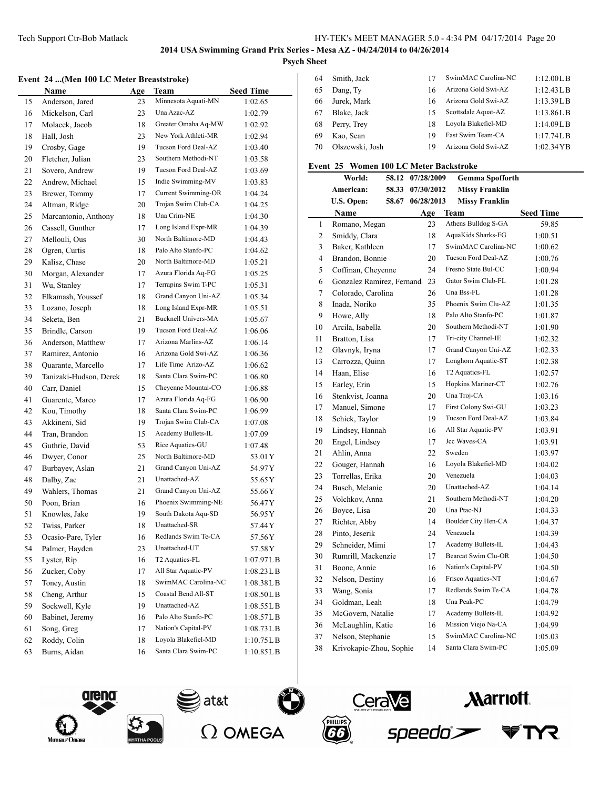## Tech Support Ctr-Bob Matlack HY-TEK's MEET MANAGER 5.0 - 4:34 PM 04/17/2014 Page 20

# **2014 USA Swimming Grand Prix Series - Mesa AZ - 04/24/2014 to 04/26/2014**

## **Psych Sheet**

 $\overline{\phantom{a}}$ 

|  |  |  |  |  |  | Event 24  (Men 100 LC Meter Breaststroke) |  |
|--|--|--|--|--|--|-------------------------------------------|--|
|--|--|--|--|--|--|-------------------------------------------|--|

|    | Name                   | Age | Team                       | <b>Seed Time</b>                |
|----|------------------------|-----|----------------------------|---------------------------------|
| 15 | Anderson, Jared        | 23  | Minnesota Aquati-MN        | 1:02.65                         |
| 16 | Mickelson, Carl        | 23  | Una Azac-AZ                | 1:02.79                         |
| 17 | Molacek, Jacob         | 18  | Greater Omaha Aq-MW        | 1:02.92                         |
| 18 | Hall, Josh             | 23  | New York Athleti-MR        | 1:02.94                         |
| 19 | Crosby, Gage           | 19  | Tucson Ford Deal-AZ        | 1:03.40                         |
| 20 | Fletcher, Julian       | 23  | Southern Methodi-NT        | 1:03.58                         |
| 21 | Sovero, Andrew         | 19  | Tucson Ford Deal-AZ        | 1:03.69                         |
| 22 | Andrew, Michael        | 15  | Indie Swimming-MV          | 1:03.83                         |
| 23 | Brewer, Tommy          | 17  | Current Swimming-OR        | 1:04.24                         |
| 24 | Altman, Ridge          | 20  | Trojan Swim Club-CA        | 1:04.25                         |
| 25 | Marcantonio, Anthony   | 18  | Una Crim-NE                | 1:04.30                         |
| 26 | Cassell, Gunther       | 17  | Long Island Expr-MR        | 1:04.39                         |
| 27 | Mellouli, Ous          | 30  | North Baltimore-MD         | 1:04.43                         |
| 28 | Ogren, Curtis          | 18  | Palo Alto Stanfo-PC        | 1:04.62                         |
| 29 | Kalisz, Chase          | 20  | North Baltimore-MD         | 1:05.21                         |
| 30 | Morgan, Alexander      | 17  | Azura Florida Aq-FG        | 1:05.25                         |
| 31 | Wu, Stanley            | 17  | Terrapins Swim T-PC        | 1:05.31                         |
| 32 | Elkamash, Youssef      | 18  | Grand Canyon Uni-AZ        | 1:05.34                         |
| 33 | Lozano, Joseph         | 18  | Long Island Expr-MR        | 1:05.51                         |
| 34 | Seketa, Ben            | 21  | <b>Bucknell Univers-MA</b> | 1:05.67                         |
| 35 | Brindle, Carson        | 19  | Tucson Ford Deal-AZ        | 1:06.06                         |
| 36 | Anderson, Matthew      | 17  | Arizona Marlins-AZ         | 1:06.14                         |
| 37 | Ramirez, Antonio       | 16  | Arizona Gold Swi-AZ        | 1:06.36                         |
| 38 | Quarante, Marcello     | 17  | Life Time Arizo-AZ         | 1:06.62                         |
| 39 | Tanizaki-Hudson, Derek | 18  | Santa Clara Swim-PC        | 1:06.80                         |
| 40 | Carr, Daniel           | 15  | Cheyenne Mountai-CO        | 1:06.88                         |
| 41 | Guarente, Marco        | 17  | Azura Florida Aq-FG        | 1:06.90                         |
| 42 | Kou, Timothy           | 18  | Santa Clara Swim-PC        | 1:06.99                         |
| 43 | Akkineni, Sid          | 19  | Trojan Swim Club-CA        | 1:07.08                         |
| 44 | Tran, Brandon          | 15  | Academy Bullets-IL         | 1:07.09                         |
| 45 | Guthrie, David         | 53  | Rice Aquatics-GU           | 1:07.48                         |
| 46 | Dwyer, Conor           | 25  | North Baltimore-MD         | 53.01 Y                         |
| 47 | Burbayev, Aslan        | 21  | Grand Canyon Uni-AZ        | 54.97 Y                         |
| 48 | Dalby, Zac             | 21  | Unattached-AZ              | 55.65 Y                         |
| 49 | Wahlers, Thomas        | 21  | Grand Canyon Uni-AZ        | 55.66 Y                         |
| 50 | Poon, Brian            | 16  | Phoenix Swimming-NE        | 56.47Y                          |
| 51 | Knowles, Jake          | 19  | South Dakota Aqu-SD        | 56.95 Y                         |
| 52 | Twiss, Parker          | 18  | Unattached-SR              | 57.44 Y                         |
| 53 | Ocasio-Pare, Tyler     | 16  | Redlands Swim Te-CA        | 57.56Y                          |
| 54 | Palmer, Hayden         | 23  | Unattached-UT              | 57.58Y                          |
| 55 | Lyster, Rip            | 16  | T2 Aquatics-FL             | 1:07.97LB                       |
| 56 | Zucker, Coby           | 17  | All Star Aquatic-PV        | 1:08.23L B                      |
| 57 | Toney, Austin          | 18  | SwimMAC Carolina-NC        | 1:08.38LB                       |
| 58 | Cheng, Arthur          | 15  | Coastal Bend All-ST        | 1:08.50LB                       |
| 59 | Sockwell, Kyle         | 19  | Unattached-AZ              | 1:08.55LB                       |
| 60 | Babinet, Jeremy        | 16  | Palo Alto Stanfo-PC        | 1:08.57LB                       |
| 61 | Song, Greg             | 17  | Nation's Capital-PV        | $1:08.73\textrm{L}\,\textrm{B}$ |
| 62 | Roddy, Colin           | 18  | Loyola Blakefiel-MD        | 1:10.75L B                      |
| 63 | Burns, Aidan           | 16  | Santa Clara Swim-PC        | 1:10.85LB                       |
|    |                        |     |                            |                                 |

| 64 | Smith, Jack     |    | SwimMAC Carolina-NC | 1:12.00LB  |
|----|-----------------|----|---------------------|------------|
| 65 | Dang, Ty        | 16 | Arizona Gold Swi-AZ | 1:12.43LB  |
| 66 | Jurek, Mark     | 16 | Arizona Gold Swi-AZ | 1:13.39L B |
| 67 | Blake, Jack     | 15 | Scottsdale Aquat-AZ | 1:13.86LB  |
| 68 | Perry, Trey     | 18 | Loyola Blakefiel-MD | 1:14.09L B |
| 69 | Kao, Sean       | 19 | Fast Swim Team-CA   | 1:17.74L B |
| 70 | Olszewski, Josh | 19 | Arizona Gold Swi-AZ | 1:02.34 YB |

## **Event 25 Women 100 LC Meter Backstroke**

|                | World:                     | 58.12 | 07/28/2009 | <b>Gemma Spofforth</b> |                  |
|----------------|----------------------------|-------|------------|------------------------|------------------|
|                | American:                  | 58.33 | 07/30/2012 | <b>Missy Franklin</b>  |                  |
|                | U.S. Open:                 | 58.67 | 06/28/2013 | <b>Missy Franklin</b>  |                  |
|                | Name                       |       | Age        | Team                   | <b>Seed Time</b> |
| 1              | Romano, Megan              |       | 23         | Athens Bulldog S-GA    | 59.85            |
| $\overline{c}$ | Smiddy, Clara              |       | 18         | AquaKids Sharks-FG     | 1:00.51          |
| 3              | Baker, Kathleen            |       | 17         | SwimMAC Carolina-NC    | 1:00.62          |
| $\overline{4}$ | Brandon, Bonnie            |       | 20         | Tucson Ford Deal-AZ    | 1:00.76          |
| 5              | Coffman, Cheyenne          |       | 24         | Fresno State Bul-CC    | 1:00.94          |
| 6              | Gonzalez Ramirez, Fernanda |       | 23         | Gator Swim Club-FL     | 1:01.28          |
| 7              | Colorado, Carolina         |       | 26         | Una Bss-FL             | 1:01.28          |
| 8              | Inada, Noriko              |       | 35         | Phoenix Swim Clu-AZ    | 1:01.35          |
| 9              | Howe, Ally                 |       | 18         | Palo Alto Stanfo-PC    | 1:01.87          |
| 10             | Arcila, Isabella           |       | 20         | Southern Methodi-NT    | 1:01.90          |
| 11             | Bratton, Lisa              |       | 17         | Tri-city Channel-IE    | 1:02.32          |
| 12             | Glavnyk, Iryna             |       | 17         | Grand Canyon Uni-AZ    | 1:02.33          |
| 13             | Carrozza, Quinn            |       | 17         | Longhorn Aquatic-ST    | 1:02.38          |
| 14             | Haan, Elise                |       | 16         | T2 Aquatics-FL         | 1:02.57          |
| 15             | Earley, Erin               |       | 15         | Hopkins Mariner-CT     | 1:02.76          |
| 16             | Stenkvist, Joanna          |       | 20         | Una Troj-CA            | 1:03.16          |
| 17             | Manuel, Simone             |       | 17         | First Colony Swi-GU    | 1:03.23          |
| 18             | Schick, Taylor             |       | 19         | Tucson Ford Deal-AZ    | 1:03.84          |
| 19             | Lindsey, Hannah            |       | 16         | All Star Aquatic-PV    | 1:03.91          |
| 20             | Engel, Lindsey             |       | 17         | Jcc Waves-CA           | 1:03.91          |
| 21             | Ahlin, Anna                |       | 22         | Sweden                 | 1:03.97          |
| 22             | Gouger, Hannah             |       | 16         | Loyola Blakefiel-MD    | 1:04.02          |
| 23             | Torrellas, Erika           |       | 20         | Venezuela              | 1:04.03          |
| 24             | Busch, Melanie             |       | 20         | Unattached-AZ          | 1:04.14          |
| 25             | Volchkov, Anna             |       | 21         | Southern Methodi-NT    | 1:04.20          |
| 26             | Boyce, Lisa                |       | 20         | Una Ptac-NJ            | 1:04.33          |
| 27             | Richter, Abby              |       | 14         | Boulder City Hen-CA    | 1:04.37          |
| 28             | Pinto, Jeserik             |       | 24         | Venezuela              | 1:04.39          |
| 29             | Schneider, Mimi            |       | 17         | Academy Bullets-IL     | 1:04.43          |
| 30             | Rumrill, Mackenzie         |       | 17         | Bearcat Swim Clu-OR    | 1:04.50          |
| 31             | Boone, Annie               |       | 16         | Nation's Capital-PV    | 1:04.50          |
| 32             | Nelson, Destiny            |       | 16         | Frisco Aquatics-NT     | 1:04.67          |
| 33             | Wang, Sonia                |       | 17         | Redlands Swim Te-CA    | 1:04.78          |
| 34             | Goldman, Leah              |       | 18         | Una Peak-PC            | 1:04.79          |
| 35             | McGovern, Natalie          |       | 17         | Academy Bullets-IL     | 1:04.92          |
| 36             | McLaughlin, Katie          |       | 16         | Mission Viejo Na-CA    | 1:04.99          |
| 37             | Nelson, Stephanie          |       | 15         | SwimMAC Carolina-NC    | 1:05.03          |
| 38             | Krivokapic-Zhou, Sophie    |       | 14         | Santa Clara Swim-PC    | 1:05.09          |









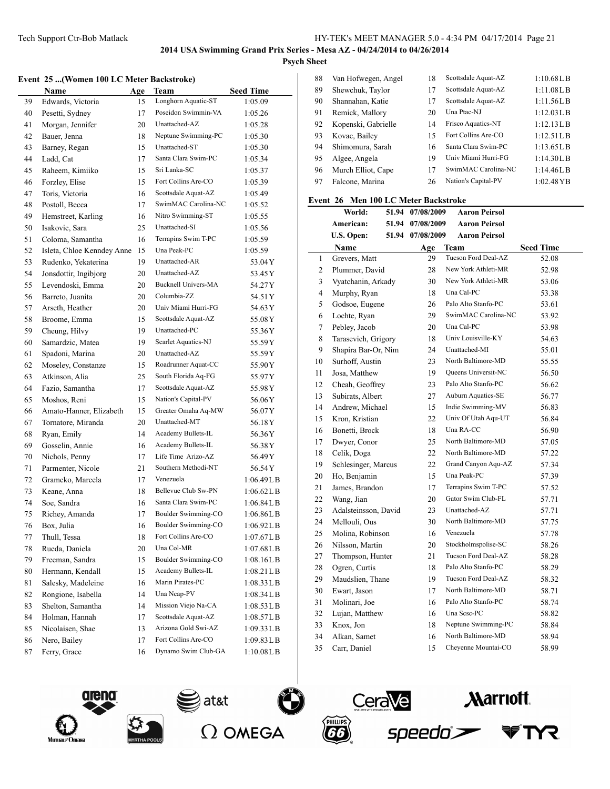## **Psych Sheet**

 $\overline{a}$ 

### **Event 25 ...(Women 100 LC Meter Backstroke)**

|          | <b>Name</b>                              | Age      | Team                                       | <b>Seed Time</b>         |
|----------|------------------------------------------|----------|--------------------------------------------|--------------------------|
| 39       | Edwards, Victoria                        | 15       | Longhorn Aquatic-ST                        | 1:05.09                  |
| 40       | Pesetti, Sydney                          | 17       | Poseidon Swimmin-VA                        | 1:05.26                  |
| 41       | Morgan, Jennifer                         | 20       | Unattached-AZ                              | 1:05.28                  |
| 42       | Bauer, Jenna                             | 18       | Neptune Swimming-PC                        | 1:05.30                  |
| 43       | Barney, Regan                            | 15       | Unattached-ST                              | 1:05.30                  |
| 44       | Ladd, Cat                                | 17       | Santa Clara Swim-PC                        | 1:05.34                  |
| 45       | Raheem, Kimiiko                          | 15       | Sri Lanka-SC                               | 1:05.37                  |
| 46       | Forzley, Elise                           | 15       | Fort Collins Are-CO                        | 1:05.39                  |
| 47       | Toris, Victoria                          | 16       | Scottsdale Aquat-AZ                        | 1:05.49                  |
| 48       | Postoll, Becca                           | 17       | SwimMAC Carolina-NC                        | 1:05.52                  |
| 49       | Hemstreet, Karling                       | 16       | Nitro Swimming-ST                          | 1:05.55                  |
| 50       | Isakovic, Sara                           | 25       | Unattached-SI                              | 1:05.56                  |
| 51       | Coloma, Samantha                         | 16       | Terrapins Swim T-PC                        | 1:05.59                  |
| 52       | Isleta, Chloe Kenndey Anne               | 15       | Una Peak-PC                                | 1:05.59                  |
| 53       | Rudenko, Yekaterina                      | 19       | Unattached-AR                              | 53.04 Y                  |
| 54       | Jonsdottir, Ingibjorg                    | 20       | Unattached-AZ                              | 53.45 Y                  |
| 55       | Levendoski, Emma                         | 20       | <b>Bucknell Univers-MA</b>                 | 54.27Y                   |
| 56       | Barreto, Juanita                         | 20       | Columbia-ZZ                                | 54.51 Y                  |
| 57       | Arseth, Heather                          | 20       | Univ Miami Hurri-FG                        | 54.63 Y                  |
| 58       | Broome, Emma                             | 15       | Scottsdale Aquat-AZ                        | 55.08 Y                  |
| 59       | Cheung, Hilvy                            | 19       | Unattached-PC                              | 55.36Y                   |
| 60       | Samardzic, Matea                         | 19       | Scarlet Aquatics-NJ                        | 55.59 Y                  |
| 61       | Spadoni, Marina                          | 20       | Unattached-AZ                              | 55.59 Y                  |
| 62       | Moseley, Constanze                       | 15       | Roadrunner Aquat-CC                        | 55.90 Y                  |
| 63       | Atkinson, Alia                           | 25       | South Florida Aq-FG                        | 55.97 Y                  |
| 64       | Fazio, Samantha                          | 17       | Scottsdale Aquat-AZ                        | 55.98 Y                  |
| 65       | Moshos, Reni                             | 15       | Nation's Capital-PV                        | 56.06Y                   |
| 66       | Amato-Hanner, Elizabeth                  | 15       | Greater Omaha Aq-MW                        | 56.07 Y                  |
| 67       | Tornatore, Miranda                       | 20       | Unattached-MT                              | 56.18Y                   |
| 68       | Ryan, Emily                              | 14       | Academy Bullets-IL                         | 56.36 Y                  |
| 69       | Gosselin, Annie                          | 16       | Academy Bullets-IL                         | 56.38 Y                  |
| 70       | Nichols, Penny                           | 17       | Life Time Arizo-AZ                         | 56.49 Y                  |
| 71       | Parmenter, Nicole                        | 21       | Southern Methodi-NT                        | 56.54 Y                  |
| 72       | Gramcko, Marcela                         | 17       | Venezuela                                  | 1:06.49L B               |
| 73       | Keane, Anna                              | 18       | Bellevue Club Sw-PN                        | $1:06.62$ LB             |
| 74       | Soe, Sandra                              | 16       | Santa Clara Swim-PC                        | 1:06.84LB                |
| 75       | Richey, Amanda                           | 17       | Boulder Swimming-CO<br>Boulder Swimming-CO | 1:06.86L B               |
| 76       | Box, Julia                               | 16       |                                            | 1:06.92L B               |
| 77       | Thull, Tessa                             | 18       | Fort Collins Are-CO<br>Una Col-MR          | 1:07.67L B               |
| 78       | Rueda, Daniela                           | 20       | Boulder Swimming-CO                        | 1:07.68L B               |
| 79       | Freeman, Sandra                          | 15       | Academy Bullets-IL                         | 1:08.16LB                |
| 80       | Hermann, Kendall                         | 15       | Marin Pirates-PC                           | 1:08.21 L B              |
| 81       | Salesky, Madeleine<br>Rongione, Isabella | 16       | Una Ncap-PV                                | 1:08.33LB                |
| 82       |                                          | 14       | Mission Viejo Na-CA                        | 1:08.34L B               |
| 83       | Shelton, Samantha                        | 14       | Scottsdale Aquat-AZ                        | 1:08.53L B<br>1:08.57L B |
| 84       | Holman, Hannah                           | 17       | Arizona Gold Swi-AZ                        |                          |
| 85<br>86 | Nicolaisen, Shae<br>Nero, Bailey         | 13<br>17 | Fort Collins Are-CO                        | 1:09.33LB<br>1:09.83L B  |
| 87       | Ferry, Grace                             | 16       | Dynamo Swim Club-GA                        | 1:10.08LB                |
|          |                                          |          |                                            |                          |

| 88 | Van Hofwegen, Angel | 18 | Scottsdale Aquat-AZ | 1:10.68L B            |
|----|---------------------|----|---------------------|-----------------------|
| 89 | Shewchuk, Taylor    | 17 | Scottsdale Aquat-AZ | 1:11.08LB             |
| 90 | Shannahan, Katie    | 17 | Scottsdale Aquat-AZ | 1:11.56LB             |
| 91 | Remick, Mallory     | 20 | Una Ptac-NJ         | 1:12.03LB             |
| 92 | Kopenski, Gabrielle | 14 | Frisco Aquatics-NT  | 1:12.13LB             |
| 93 | Kovac, Bailey       | 15 | Fort Collins Are-CO | 1:12.51 <sub>LB</sub> |
| 94 | Shimomura, Sarah    | 16 | Santa Clara Swim-PC | $1:13.65L$ B          |
| 95 | Algee, Angela       | 19 | Univ Miami Hurri-FG | 1:14.30L B            |
| 96 | Murch Elliot, Cape  | 17 | SwimMAC Carolina-NC | 1:14.46L B            |
| 97 | Falcone, Marina     | 26 | Nation's Capital-PV | 1:02.48 YB            |
|    |                     |    |                     |                       |

## **Event 26 Men 100 LC Meter Backstroke**

|              | World:<br>51.94      | 07/08/2009       | <b>Aaron Peirsol</b>      |                  |
|--------------|----------------------|------------------|---------------------------|------------------|
|              | American:<br>51.94   | 07/08/2009       | <b>Aaron Peirsol</b>      |                  |
|              | U.S. Open:           | 51.94 07/08/2009 | <b>Aaron Peirsol</b>      |                  |
|              | Name                 | Age              | <b>Team</b>               | <b>Seed Time</b> |
| $\mathbf{1}$ | Grevers, Matt        | 29               | Tucson Ford Deal-AZ       | 52.08            |
| 2            | Plummer, David       | 28               | New York Athleti-MR       | 52.98            |
| 3            | Vyatchanin, Arkady   | 30               | New York Athleti-MR       | 53.06            |
| 4            | Murphy, Ryan         | 18               | Una Cal-PC                | 53.38            |
| 5            | Godsoe, Eugene       | 26               | Palo Alto Stanfo-PC       | 53.61            |
| 6            | Lochte, Ryan         | 29               | SwimMAC Carolina-NC       | 53.92            |
| 7            | Pebley, Jacob        | 20               | Una Cal-PC                | 53.98            |
| 8            | Tarasevich, Grigory  | 18               | Univ Louisville-KY        | 54.63            |
| 9            | Shapira Bar-Or, Nim  | 24               | Unattached-MI             | 55.01            |
| 10           | Surhoff, Austin      | 23               | North Baltimore-MD        | 55.55            |
| 11           | Josa, Matthew        | 19               | Queens Universit-NC       | 56.50            |
| 12           | Cheah, Geoffrey      | 23               | Palo Alto Stanfo-PC       | 56.62            |
| 13           | Subirats, Albert     | 27               | <b>Auburn Aquatics-SE</b> | 56.77            |
| 14           | Andrew, Michael      | 15               | Indie Swimming-MV         | 56.83            |
| 15           | Kron, Kristian       | 22               | Univ Of Utah Aqu-UT       | 56.84            |
| 16           | Bonetti, Brock       | 18               | Una RA-CC                 | 56.90            |
| 17           | Dwyer, Conor         | 25               | North Baltimore-MD        | 57.05            |
| 18           | Celik, Doga          | 22               | North Baltimore-MD        | 57.22            |
| 19           | Schlesinger, Marcus  | 22               | Grand Canyon Aqu-AZ       | 57.34            |
| 20           | Ho, Benjamin         | 15               | Una Peak-PC               | 57.39            |
| 21           | James, Brandon       | 17               | Terrapins Swim T-PC       | 57.52            |
| 22           | Wang, Jian           | 20               | Gator Swim Club-FL        | 57.71            |
| 23           | Adalsteinsson, David | 23               | Unattached-AZ             | 57.71            |
| 24           | Mellouli, Ous        | 30               | North Baltimore-MD        | 57.75            |
| 25           | Molina, Robinson     | 16               | Venezuela                 | 57.78            |
| 26           | Nilsson, Martin      | 20               | Stockholmspolise-SC       | 58.26            |
| 27           | Thompson, Hunter     | 21               | Tucson Ford Deal-AZ       | 58.28            |
| 28           | Ogren, Curtis        | 18               | Palo Alto Stanfo-PC       | 58.29            |
| 29           | Maudslien, Thane     | 19               | Tucson Ford Deal-AZ       | 58.32            |
| 30           | Ewart, Jason         | 17               | North Baltimore-MD        | 58.71            |
| 31           | Molinari, Joe        | 16               | Palo Alto Stanfo-PC       | 58.74            |
| 32           | Lujan, Matthew       | 16               | Una Scsc-PC               | 58.82            |
| 33           | Knox, Jon            | 18               | Neptune Swimming-PC       | 58.84            |
| 34           | Alkan, Samet         | 16               | North Baltimore-MD        | 58.94            |
| 35           | Carr, Daniel         | 15               | Cheyenne Mountai-CO       | 58.99            |









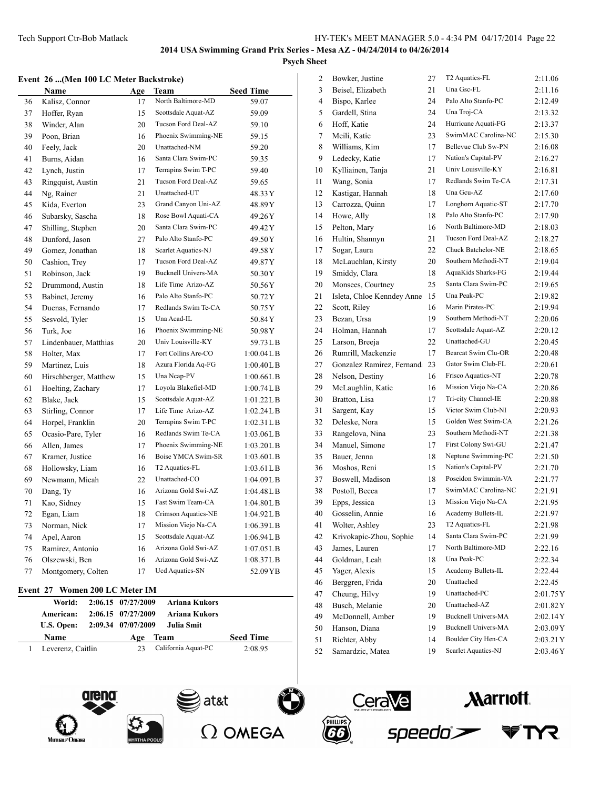2 Bowker, Justine 27 T2 Aquatics-FL 2:11.06 Beisel, Elizabeth 21 Una Gsc-FL 2:11.16 Bispo, Karlee 24 Palo Alto Stanfo-PC 2:12.49 Gardell, Stina 24 Una Troj-CA 2:13.32 Hoff, Katie 24 Hurricane Aquati-FG 2:13.37 Meili, Katie 23 SwimMAC Carolina-NC 2:15.30 8 Williams, Kim 17 Bellevue Club Sw-PN 2:16.08 9 Ledecky, Katie 17 Nation's Capital-PV 2:16.27 Kylliainen, Tanja 21 Univ Louisville-KY 2:16.81 Wang, Sonia 17 Redlands Swim Te-CA 2:17.31 Kastigar, Hannah 18 Una Gcu-AZ 2:17.60 Carrozza, Quinn 17 Longhorn Aquatic-ST 2:17.70 Howe, Ally 18 Palo Alto Stanfo-PC 2:17.90 Pelton, Mary 16 North Baltimore-MD 2:18.03 16 Hultin, Shannyn 21 Tucson Ford Deal-AZ 2:18.27 17 Sogar, Laura 22 Chuck Batchelor-NE 2:18.65

### **2014 USA Swimming Grand Prix Series - Mesa AZ - 04/24/2014 to 04/26/2014 Psych Sheet**

#### **Event 26 ...(Men 100 LC Meter Backstroke)**

|    | Name                  | Age | Team                       | <b>Seed Time</b> |
|----|-----------------------|-----|----------------------------|------------------|
| 36 | Kalisz, Connor        | 17  | North Baltimore-MD         | 59.07            |
| 37 | Hoffer, Ryan          | 15  | Scottsdale Aquat-AZ        | 59.09            |
| 38 | Winder, Alan          | 20  | Tucson Ford Deal-AZ        | 59.10            |
| 39 | Poon, Brian           | 16  | Phoenix Swimming-NE        | 59.15            |
| 40 | Feely, Jack           | 20  | Unattached-NM              | 59.20            |
| 41 | Burns, Aidan          | 16  | Santa Clara Swim-PC        | 59.35            |
| 42 | Lynch, Justin         | 17  | Terrapins Swim T-PC        | 59.40            |
| 43 | Ringquist, Austin     | 21  | Tucson Ford Deal-AZ        | 59.65            |
| 44 | Ng, Rainer            | 21  | Unattached-UT              | 48.33 Y          |
| 45 | Kida, Everton         | 23  | Grand Canyon Uni-AZ        | 48.89 Y          |
| 46 | Subarsky, Sascha      | 18  | Rose Bowl Aquati-CA        | 49.26Y           |
| 47 | Shilling, Stephen     | 20  | Santa Clara Swim-PC        | 49.42Y           |
| 48 | Dunford, Jason        | 27  | Palo Alto Stanfo-PC        | 49.50Y           |
| 49 | Gomez, Jonathan       | 18  | Scarlet Aquatics-NJ        | 49.58Y           |
| 50 | Cashion, Trey         | 17  | Tucson Ford Deal-AZ        | 49.87 Y          |
| 51 | Robinson, Jack        | 19  | <b>Bucknell Univers-MA</b> | 50.30Y           |
| 52 | Drummond, Austin      | 18  | Life Time Arizo-AZ         | 50.56Y           |
| 53 | Babinet, Jeremy       | 16  | Palo Alto Stanfo-PC        | 50.72Y           |
| 54 | Duenas, Fernando      | 17  | Redlands Swim Te-CA        | 50.75Y           |
| 55 | Sesvold, Tyler        | 15  | Una Acad-IL                | 50.84Y           |
| 56 | Turk, Joe             | 16  | Phoenix Swimming-NE        | 50.98Y           |
| 57 | Lindenbauer, Matthias | 20  | Univ Louisville-KY         | 59.73LB          |
| 58 | Holter, Max           | 17  | Fort Collins Are-CO        | 1:00.04L B       |
| 59 | Martinez, Luis        | 18  | Azura Florida Aq-FG        | 1:00.40L B       |
| 60 | Hirschberger, Matthew | 15  | Una Ncap-PV                | 1:00.66L B       |
| 61 | Hoelting, Zachary     | 17  | Loyola Blakefiel-MD        | 1:00.74L B       |
| 62 | Blake, Jack           | 15  | Scottsdale Aquat-AZ        | 1:01.22LB        |
| 63 | Stirling, Connor      | 17  | Life Time Arizo-AZ         | 1:02.24L B       |
| 64 | Horpel, Franklin      | 20  | Terrapins Swim T-PC        | 1:02.31LB        |
| 65 | Ocasio-Pare, Tyler    | 16  | Redlands Swim Te-CA        | 1:03.06LB        |
| 66 | Allen, James          | 17  | Phoenix Swimming-NE        | 1:03.20L B       |
| 67 | Kramer, Justice       | 16  | Boise YMCA Swim-SR         | 1:03.60L B       |
| 68 | Hollowsky, Liam       | 16  | T2 Aquatics-FL             | 1:03.61 L B      |
| 69 | Newmann, Micah        | 22  | Unattached-CO              | 1:04.09LB        |
| 70 | Dang, Ty              | 16  | Arizona Gold Swi-AZ        | 1:04.48L B       |
| 71 | Kao, Sidney           | 15  | Fast Swim Team-CA          | 1:04.80LB        |
| 72 | Egan, Liam            | 18  | Crimson Aquatics-NE        | 1:04.92LB        |
| 73 | Norman, Nick          | 17  | Mission Viejo Na-CA        | 1:06.39LB        |
| 74 | Apel, Aaron           | 15  | Scottsdale Aquat-AZ        | 1:06.94L B       |
| 75 | Ramirez, Antonio      | 16  | Arizona Gold Swi-AZ        | 1:07.05L B       |
| 76 | Olszewski, Ben        | 16  | Arizona Gold Swi-AZ        | 1:08.37L B       |
| 77 | Montgomery, Colten    | 17  | Ucd Aquatics-SN            | 52.09 YB         |

#### **Event 27 Women 200 LC Meter IM**

| World:<br>American:<br>U.S. Open: | 2:06.15 07/27/2009<br>2:06.15 07/27/2009<br>2:09.34 07/07/2009 | Ariana Kukors<br>Ariana Kukors<br>Julia Smit |                  |
|-----------------------------------|----------------------------------------------------------------|----------------------------------------------|------------------|
| Name                              | Age                                                            | Team                                         | <b>Seed Time</b> |
| Leverenz, Caitlin                 | 23                                                             | California Aquat-PC                          | 2:08.95          |







speedo`>



**PHILIPS**<br>66

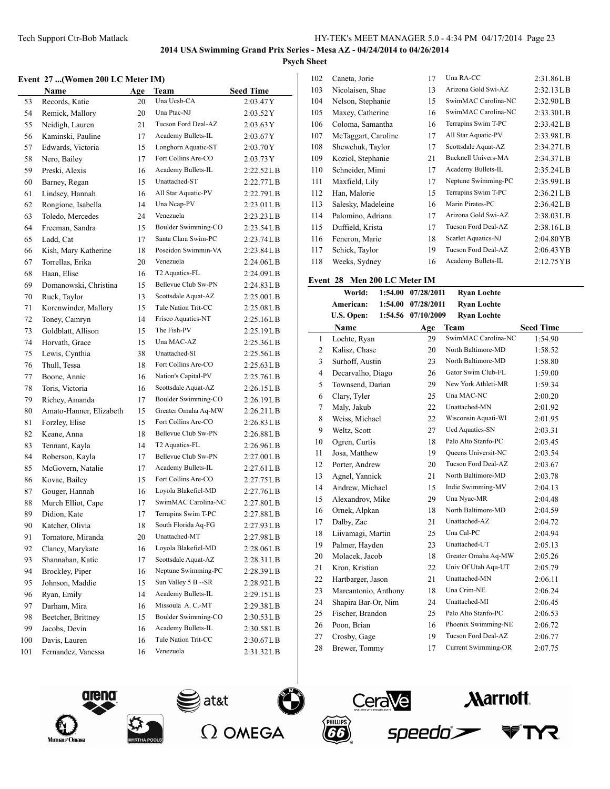## **Psych Sheet**

## **Event 27 ...(Women 200 LC Meter IM)**

|     | $\sim$ and $\sim$ (which zoo let meter imp |     |                      |                  |
|-----|--------------------------------------------|-----|----------------------|------------------|
|     | Name                                       | Age | Team                 | <b>Seed Time</b> |
| 53  | Records, Katie                             | 20  | Una Ucsb-CA          | 2:03.47Y         |
| 54  | Remick, Mallory                            | 20  | Una Ptac-NJ          | 2:03.52Y         |
| 55  | Neidigh, Lauren                            | 21  | Tucson Ford Deal-AZ  | 2:03.63 Y        |
| 56  | Kaminski, Pauline                          | 17  | Academy Bullets-IL   | 2:03.67Y         |
| 57  | Edwards, Victoria                          | 15  | Longhorn Aquatic-ST  | 2:03.70Y         |
| 58  | Nero, Bailey                               | 17  | Fort Collins Are-CO  | 2:03.73Y         |
| 59  | Preski, Alexis                             | 16  | Academy Bullets-IL   | 2:22.52L B       |
| 60  | Barney, Regan                              | 15  | Unattached-ST        | 2:22.77L B       |
| 61  | Lindsey, Hannah                            | 16  | All Star Aquatic-PV  | 2:22.79LB        |
| 62  | Rongione, Isabella                         | 14  | Una Ncap-PV          | 2:23.01LB        |
| 63  | Toledo, Mercedes                           | 24  | Venezuela            | 2:23.23LB        |
| 64  | Freeman, Sandra                            | 15  | Boulder Swimming-CO  | 2:23.54LB        |
| 65  | Ladd, Cat                                  | 17  | Santa Clara Swim-PC  | 2:23.74LB        |
| 66  | Kish, Mary Katherine                       | 18  | Poseidon Swimmin-VA  | 2:23.84LB        |
| 67  | Torrellas, Erika                           | 20  | Venezuela            | 2:24.06L B       |
| 68  | Haan, Elise                                | 16  | T2 Aquatics-FL       | 2:24.09LB        |
| 69  | Domanowski, Christina                      | 15  | Bellevue Club Sw-PN  | 2:24.83L B       |
| 70  | Ruck, Taylor                               | 13  | Scottsdale Aquat-AZ  | 2:25.00LB        |
| 71  | Korenwinder, Mallory                       | 15  | Tule Nation Trit-CC  | 2:25.08L B       |
| 72  | Toney, Camryn                              | 14  | Frisco Aquatics-NT   | 2:25.16LB        |
| 73  | Goldblatt, Allison                         | 15  | The Fish-PV          | 2:25.19LB        |
| 74  | Horvath, Grace                             | 15  | Una MAC-AZ           | 2:25.36LB        |
| 75  | Lewis, Cynthia                             | 38  | Unattached-SI        | 2:25.56LB        |
| 76  | Thull, Tessa                               | 18  | Fort Collins Are-CO  | $2:25.63$ L B    |
| 77  | Boone, Annie                               | 16  | Nation's Capital-PV  | 2:25.76LB        |
| 78  | Toris, Victoria                            | 16  | Scottsdale Aquat-AZ  | 2:26.15LB        |
| 79  | Richey, Amanda                             | 17  | Boulder Swimming-CO  | 2:26.19L B       |
| 80  | Amato-Hanner, Elizabeth                    | 15  | Greater Omaha Aq-MW  | 2:26.21LB        |
| 81  | Forzley, Elise                             | 15  | Fort Collins Are-CO  | 2:26.83L B       |
| 82  | Keane, Anna                                | 18  | Bellevue Club Sw-PN  | 2:26.88LB        |
| 83  | Tennant, Kayla                             | 14  | T2 Aquatics-FL       | 2:26.96LB        |
| 84  | Roberson, Kayla                            | 17  | Bellevue Club Sw-PN  | 2:27.00LB        |
| 85  | McGovern, Natalie                          | 17  | Academy Bullets-IL   | 2:27.61 L B      |
| 86  | Kovac, Bailey                              | 15  | Fort Collins Are-CO  | 2:27.75LB        |
| 87  | Gouger, Hannah                             | 16  | Lovola Blakefiel-MD  | 2:27.76LB        |
| 88  | Murch Elliot, Cape                         | 17  | SwimMAC Carolina-NC  | 2:27.80L B       |
| 89  | Didion, Kate                               | 17  | Terrapins Swim T-PC  | 2:27.88LB        |
| 90  | Katcher, Olivia                            | 18  | South Florida Aq-FG  | 2:27.93LB        |
| 91  | Tornatore, Miranda                         | 20  | Unattached-MT        | 2:27.98LB        |
| 92  | Clancy, Marykate                           | 16  | Loyola Blakefiel-MD  | 2:28.06LB        |
| 93  | Shannahan, Katie                           | 17  | Scottsdale Aquat-AZ  | 2:28.31LB        |
| 94  | Brockley, Piper                            | 16  | Neptune Swimming-PC  | 2:28.39LB        |
| 95  | Johnson, Maddie                            | 15  | Sun Valley 5 B -- SR | 2:28.92LB        |
| 96  | Ryan, Emily                                | 14  | Academy Bullets-IL   | 2:29.15LB        |
| 97  | Darham, Mira                               | 16  | Missoula A. C.-MT    | 2:29.38LB        |
| 98  | Beetcher, Brittney                         | 15  | Boulder Swimming-CO  | 2:30.53LB        |
| 99  | Jacobs, Devin                              | 16  | Academy Bullets-IL   | 2:30.58LB        |
| 100 | Davis, Lauren                              | 16  | Tule Nation Trit-CC  | 2:30.67LB        |
| 101 | Fernandez, Vanessa                         | 16  | Venezuela            | 2:31.32LB        |
|     |                                            |     |                      |                  |

| Caneta, Jorie       | 17 | Una RA-CC                  | 2:31.86LB  |
|---------------------|----|----------------------------|------------|
| Nicolaisen, Shae    | 13 | Arizona Gold Swi-AZ        | 2:32.13L B |
| Nelson, Stephanie   | 15 | SwimMAC Carolina-NC        | 2:32.90LB  |
| Maxey, Catherine    | 16 | SwimMAC Carolina-NC        | 2:33.30LB  |
| Coloma, Samantha    | 16 | Terrapins Swim T-PC        | 2:33.42L B |
| McTaggart, Caroline | 17 | All Star Aquatic-PV        | 2:33.98LB  |
| Shewchuk, Taylor    | 17 | Scottsdale Aquat-AZ        | 2:34.27L B |
| Koziol, Stephanie   | 21 | <b>Bucknell Univers-MA</b> | 2:34.37LB  |
| Schneider, Mimi     | 17 | Academy Bullets-IL         | 2:35.24L B |
| Maxfield, Lily      | 17 | Neptune Swimming-PC        | 2:35.99LB  |
| Han, Malorie        | 15 | Terrapins Swim T-PC        | 2:36.21L B |
| Salesky, Madeleine  | 16 | Marin Pirates-PC           | 2:36.42L B |
| Palomino, Adriana   | 17 | Arizona Gold Swi-AZ        | 2:38.03LB  |
| Duffield, Krista    | 17 | Tucson Ford Deal-AZ        | 2:38.16L B |
| Feneron, Marie      | 18 | Scarlet Aquatics-NJ        | 2:04.80YB  |
| Schick, Taylor      | 19 | Tucson Ford Deal-AZ        | 2:06.43 YB |
| Weeks, Sydney       | 16 | Academy Bullets-IL         | 2:12.75 YB |
|                     |    |                            |            |

## **Event 28 Men 200 LC Meter IM**

|                | World:               | 1:54.00 | 07/28/2011 | <b>Ryan Lochte</b>     |                  |
|----------------|----------------------|---------|------------|------------------------|------------------|
|                | American:            | 1:54.00 | 07/28/2011 | <b>Ryan Lochte</b>     |                  |
|                | U.S. Open:           | 1:54.56 | 07/10/2009 | <b>Ryan Lochte</b>     |                  |
|                | <b>Name</b>          |         | Age        | <b>Team</b>            | <b>Seed Time</b> |
| $\mathbf{1}$   | Lochte, Ryan         |         | 29         | SwimMAC Carolina-NC    | 1:54.90          |
| $\overline{c}$ | Kalisz, Chase        |         | 20         | North Baltimore-MD     | 1:58.52          |
| 3              | Surhoff, Austin      |         | 23         | North Baltimore-MD     | 1:58.80          |
| 4              | Decarvalho, Diago    |         | 26         | Gator Swim Club-FL     | 1:59.00          |
| 5              | Townsend, Darian     |         | 29         | New York Athleti-MR    | 1:59.34          |
| 6              | Clary, Tyler         |         | 25         | Una MAC-NC             | 2:00.20          |
| 7              | Maly, Jakub          |         | 22         | Unattached-MN          | 2:01.92          |
| 8              | Weiss, Michael       |         | 22         | Wisconsin Aquati-WI    | 2:01.95          |
| 9              | Weltz, Scott         |         | 27         | <b>Ucd Aquatics-SN</b> | 2:03.31          |
| 10             | Ogren, Curtis        |         | 18         | Palo Alto Stanfo-PC    | 2:03.45          |
| 11             | Josa, Matthew        |         | 19         | Queens Universit-NC    | 2:03.54          |
| 12             | Porter, Andrew       |         | 20         | Tucson Ford Deal-AZ    | 2:03.67          |
| 13             | Agnel, Yannick       |         | 21         | North Baltimore-MD     | 2:03.78          |
| 14             | Andrew, Michael      |         | 15         | Indie Swimming-MV      | 2:04.13          |
| 15             | Alexandrov, Mike     |         | 29         | Una Nyac-MR            | 2:04.48          |
| 16             | Ornek, Alpkan        |         | 18         | North Baltimore-MD     | 2:04.59          |
| 17             | Dalby, Zac           |         | 21         | Unattached-AZ          | 2:04.72          |
| 18             | Liivamagi, Martin    |         | 25         | Una Cal-PC             | 2:04.94          |
| 19             | Palmer, Hayden       |         | 23         | Unattached-UT          | 2:05.13          |
| 20             | Molacek, Jacob       |         | 18         | Greater Omaha Aq-MW    | 2:05.26          |
| 21             | Kron, Kristian       |         | 22         | Univ Of Utah Aqu-UT    | 2:05.79          |
| 22             | Hartbarger, Jason    |         | 21         | Unattached-MN          | 2:06.11          |
| 23             | Marcantonio, Anthony |         | 18         | Una Crim-NE            | 2:06.24          |
| 24             | Shapira Bar-Or, Nim  |         | 24         | Unattached-MI          | 2:06.45          |
| 25             | Fischer, Brandon     |         | 25         | Palo Alto Stanfo-PC    | 2:06.53          |
| 26             | Poon, Brian          |         | 16         | Phoenix Swimming-NE    | 2:06.72          |
| 27             | Crosby, Gage         |         | 19         | Tucson Ford Deal-AZ    | 2:06.77          |
| 28             | Brewer, Tommy        |         | 17         | Current Swimming-OR    | 2:07.75          |
|                |                      |         |            |                        |                  |









**Narriott** 

TYR.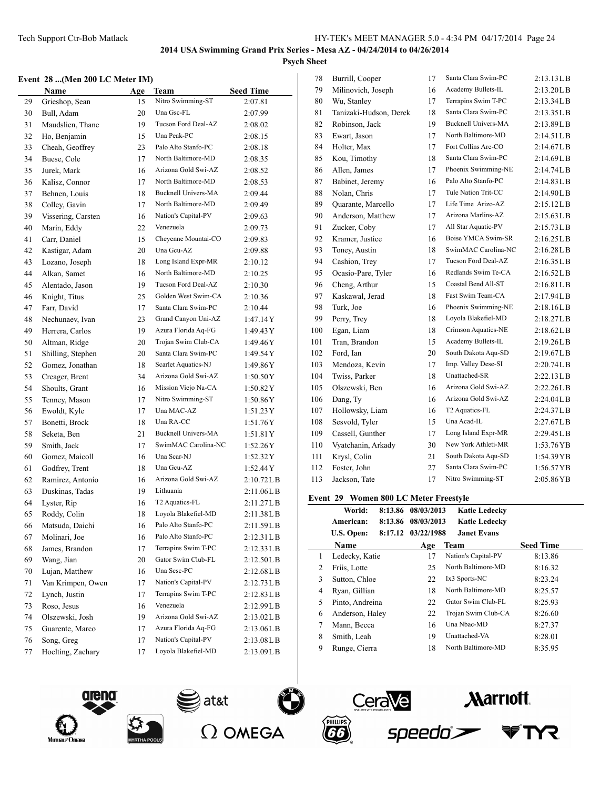## **Event 28 ...(Men 200 L.C. Meter IM)**

|    | vent  20 (ivien 200 lic ivieter 11v1) |     |                            |                  |
|----|---------------------------------------|-----|----------------------------|------------------|
|    | Name                                  | Age | Team                       | <b>Seed Time</b> |
| 29 | Grieshop, Sean                        | 15  | Nitro Swimming-ST          | 2:07.81          |
| 30 | Bull, Adam                            | 20  | Una Gsc-FL                 | 2:07.99          |
| 31 | Maudslien, Thane                      | 19  | Tucson Ford Deal-AZ        | 2:08.02          |
| 32 | Ho, Benjamin                          | 15  | Una Peak-PC                | 2:08.15          |
| 33 | Cheah, Geoffrey                       | 23  | Palo Alto Stanfo-PC        | 2:08.18          |
| 34 | Buese, Cole                           | 17  | North Baltimore-MD         | 2:08.35          |
| 35 | Jurek, Mark                           | 16  | Arizona Gold Swi-AZ        | 2:08.52          |
| 36 | Kalisz, Connor                        | 17  | North Baltimore-MD         | 2:08.53          |
| 37 | Behnen, Louis                         | 18  | <b>Bucknell Univers-MA</b> | 2:09.44          |
| 38 | Colley, Gavin                         | 17  | North Baltimore-MD         | 2:09.49          |
| 39 | Vissering, Carsten                    | 16  | Nation's Capital-PV        | 2:09.63          |
| 40 | Marin, Eddy                           | 22  | Venezuela                  | 2:09.73          |
| 41 | Carr, Daniel                          | 15  | Cheyenne Mountai-CO        | 2:09.83          |
| 42 | Kastigar, Adam                        | 20  | Una Gcu-AZ                 | 2:09.88          |
| 43 | Lozano, Joseph                        | 18  | Long Island Expr-MR        | 2:10.12          |
| 44 | Alkan, Samet                          | 16  | North Baltimore-MD         | 2:10.25          |
| 45 | Alentado, Jason                       | 19  | Tucson Ford Deal-AZ        | 2:10.30          |
| 46 | Knight, Titus                         | 25  | Golden West Swim-CA        | 2:10.36          |
| 47 | Farr, David                           | 17  | Santa Clara Swim-PC        | 2:10.44          |
| 48 | Nechunaev, Ivan                       | 23  | Grand Canyon Uni-AZ        | 1:47.14Y         |
| 49 | Herrera, Carlos                       | 19  | Azura Florida Aq-FG        | 1:49.43 Y        |
| 50 | Altman, Ridge                         | 20  | Trojan Swim Club-CA        | 1:49.46Y         |
| 51 | Shilling, Stephen                     | 20  | Santa Clara Swim-PC        | 1:49.54 Y        |
| 52 | Gomez, Jonathan                       | 18  | Scarlet Aquatics-NJ        | 1:49.86Y         |
| 53 | Creager, Brent                        | 34  | Arizona Gold Swi-AZ        | 1:50.50Y         |
| 54 | Shoults, Grant                        | 16  | Mission Viejo Na-CA        | 1:50.82Y         |
| 55 | Tenney, Mason                         | 17  | Nitro Swimming-ST          | 1:50.86Y         |
| 56 | Ewoldt, Kyle                          | 17  | Una MAC-AZ                 | 1:51.23Y         |
| 57 | Bonetti, Brock                        | 18  | Una RA-CC                  | 1:51.76Y         |
| 58 | Seketa, Ben                           | 21  | <b>Bucknell Univers-MA</b> | 1:51.81Y         |
| 59 | Smith, Jack                           | 17  | SwimMAC Carolina-NC        | 1:52.26Y         |
| 60 | Gomez, Maicoll                        | 16  | Una Scar-NJ                | 1:52.32Y         |
| 61 | Godfrey, Trent                        | 18  | Una Geu-AZ                 | 1:52.44Y         |
| 62 | Ramirez, Antonio                      | 16  | Arizona Gold Swi-AZ        | 2:10.72L B       |
| 63 | Duskinas, Tadas                       | 19  | Lithuania                  | 2:11.06LB        |
| 64 | Lyster, Rip                           | 16  | T2 Aquatics-FL             | 2:11.27LB        |
| 65 | Roddy, Colin                          | 18  | Loyola Blakefiel-MD        | 2:11.38LB        |
| 66 | Matsuda, Daichi                       | 16  | Palo Alto Stanfo-PC        | 2:11.59LB        |
| 67 | Molinari, Joe                         | 16  | Palo Alto Stanfo-PC        | 2:12.31LB        |
| 68 | James, Brandon                        | 17  | Terrapins Swim T-PC        | 2:12.33LB        |
| 69 | Wang, Jian                            | 20  | Gator Swim Club-FL         | 2:12.50LB        |
| 70 | Lujan, Matthew                        | 16  | Una Scsc-PC                | 2:12.68LB        |
| 71 | Van Krimpen, Owen                     | 17  | Nation's Capital-PV        | 2:12.73LB        |
| 72 | Lynch, Justin                         | 17  | Terrapins Swim T-PC        | 2:12.83LB        |
| 73 | Roso, Jesus                           | 16  | Venezuela                  | 2:12.99LB        |
| 74 | Olszewski, Josh                       | 19  | Arizona Gold Swi-AZ        | 2:13.02LB        |
| 75 | Guarente, Marco                       | 17  | Azura Florida Aq-FG        | 2:13.06LB        |
| 76 | Song, Greg                            | 17  | Nation's Capital-PV        | 2:13.08LB        |
| 77 | Hoelting, Zachary                     | 17  | Loyola Blakefiel-MD        | 2:13.09L B       |
|    |                                       |     |                            |                  |

| 78  | Burrill, Cooper        | 17 | Santa Clara Swim-PC        | 2:13.13LB  |
|-----|------------------------|----|----------------------------|------------|
| 79  | Milinovich, Joseph     | 16 | Academy Bullets-IL         | 2:13.20L B |
| 80  | Wu, Stanley            | 17 | Terrapins Swim T-PC        | 2:13.34LB  |
| 81  | Tanizaki-Hudson, Derek | 18 | Santa Clara Swim-PC        | 2:13.35LB  |
| 82  | Robinson, Jack         | 19 | <b>Bucknell Univers-MA</b> | 2:13.89LB  |
| 83  | Ewart, Jason           | 17 | North Baltimore-MD         | 2:14.51LB  |
| 84  | Holter, Max            | 17 | Fort Collins Are-CO        | 2:14.67LB  |
| 85  | Kou, Timothy           | 18 | Santa Clara Swim-PC        | 2:14.69LB  |
| 86  | Allen, James           | 17 | Phoenix Swimming-NE        | 2:14.74LB  |
| 87  | Babinet, Jeremy        | 16 | Palo Alto Stanfo-PC        | 2:14.83LB  |
| 88  | Nolan, Chris           | 17 | Tule Nation Trit-CC        | 2:14.90LB  |
| 89  | Quarante, Marcello     | 17 | Life Time Arizo-AZ         | 2:15.12LB  |
| 90  | Anderson, Matthew      | 17 | Arizona Marlins-AZ         | 2:15.63LB  |
| 91  | Zucker, Coby           | 17 | All Star Aquatic-PV        | 2:15.73LB  |
| 92  | Kramer, Justice        | 16 | <b>Boise YMCA Swim-SR</b>  | 2:16.25LB  |
| 93  | Toney, Austin          | 18 | SwimMAC Carolina-NC        | 2:16.28LB  |
| 94  | Cashion, Trey          | 17 | Tucson Ford Deal-AZ        | 2:16.35LB  |
| 95  | Ocasio-Pare, Tyler     | 16 | Redlands Swim Te-CA        | 2:16.52LB  |
| 96  | Cheng, Arthur          | 15 | Coastal Bend All-ST        | 2:16.81LB  |
| 97  | Kaskawal, Jerad        | 18 | Fast Swim Team-CA          | 2:17.94LB  |
| 98  | Turk, Joe              | 16 | Phoenix Swimming-NE        | 2:18.16LB  |
| 99  | Perry, Trey            | 18 | Loyola Blakefiel-MD        | 2:18.27L B |
| 100 | Egan, Liam             | 18 | Crimson Aquatics-NE        | 2:18.62LB  |
| 101 | Tran, Brandon          | 15 | Academy Bullets-IL         | 2:19.26LB  |
| 102 | Ford, Ian              | 20 | South Dakota Aqu-SD        | 2:19.67LB  |
| 103 | Mendoza, Kevin         | 17 | Imp. Valley Dese-SI        | 2:20.74LB  |
| 104 | Twiss, Parker          | 18 | Unattached-SR              | 2:22.13LB  |
| 105 | Olszewski, Ben         | 16 | Arizona Gold Swi-AZ        | 2:22.26LB  |
| 106 | Dang, Ty               | 16 | Arizona Gold Swi-AZ        | 2:24.04LB  |
| 107 | Hollowsky, Liam        | 16 | T2 Aquatics-FL             | 2:24.37LB  |
| 108 | Sesvold, Tyler         | 15 | Una Acad-IL                | 2:27.67LB  |
| 109 | Cassell, Gunther       | 17 | Long Island Expr-MR        | 2:29.45LB  |
| 110 | Vyatchanin, Arkady     | 30 | New York Athleti-MR        | 1:53.76YB  |
| 111 | Krysl, Colin           | 21 | South Dakota Aqu-SD        | 1:54.39YB  |
| 112 | Foster, John           | 27 | Santa Clara Swim-PC        | 1:56.57YB  |
| 113 | Jackson, Tate          | 17 | Nitro Swimming-ST          | 2:05.86YB  |
|     |                        |    |                            |            |

## **Event 29 Women 800 LC Meter Freestyle**

|   | World:               | 8:13.86 08/03/2013 | <b>Katie Ledecky</b> |                  |
|---|----------------------|--------------------|----------------------|------------------|
|   | 8:13.86<br>American: | 08/03/2013         | <b>Katie Ledecky</b> |                  |
|   | U.S. Open:           | 8:17.12 03/22/1988 | <b>Janet Evans</b>   |                  |
|   | <b>Name</b>          | Age                | <b>Team</b>          | <b>Seed Time</b> |
| 1 | Ledecky, Katie       | 17                 | Nation's Capital-PV  | 8:13.86          |
| 2 | Friis, Lotte         | 25                 | North Baltimore-MD   | 8:16.32          |
| 3 | Sutton, Chloe        | 22                 | Ix3 Sports-NC        | 8:23.24          |
| 4 | Ryan, Gillian        | 18                 | North Baltimore-MD   | 8:25.57          |
| 5 | Pinto, Andreina      | 22                 | Gator Swim Club-FL   | 8:25.93          |
| 6 | Anderson, Haley      | 22                 | Trojan Swim Club-CA  | 8:26.60          |
| 7 | Mann, Becca          | 16                 | Una Nhac-MD          | 8:27.37          |
| 8 | Smith, Leah          | 19                 | Unattached-VA        | 8:28.01          |
| 9 | Runge, Cierra        | 18                 | North Baltimore-MD   | 8:35.95          |
|   |                      |                    |                      |                  |









 $\overline{a}$ 

**Narriott**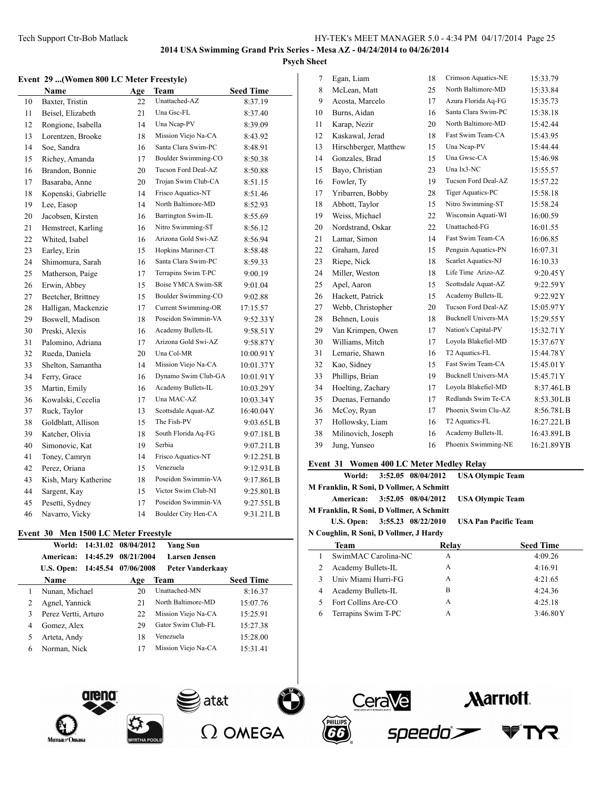#### **Event 29 ...(Women 800 LC Meter Freestyle)**

|    | Name                 | Age | Team                       | <b>Seed Time</b> |
|----|----------------------|-----|----------------------------|------------------|
| 10 | Baxter, Tristin      | 22  | Unattached-AZ              | 8:37.19          |
| 11 | Beisel, Elizabeth    | 21  | Una Gsc-FL                 | 8:37.40          |
| 12 | Rongione, Isabella   | 14  | Una Ncap-PV                | 8:39.09          |
| 13 | Lorentzen, Brooke    | 18  | Mission Viejo Na-CA        | 8:43.92          |
| 14 | Soe, Sandra          | 16  | Santa Clara Swim-PC        | 8:48.91          |
| 15 | Richey, Amanda       | 17  | Boulder Swimming-CO        | 8:50.38          |
| 16 | Brandon, Bonnie      | 20  | Tucson Ford Deal-AZ        | 8:50.88          |
| 17 | Basaraba, Anne       | 20  | Trojan Swim Club-CA        | 8:51.15          |
| 18 | Kopenski, Gabrielle  | 14  | Frisco Aquatics-NT         | 8:51.46          |
| 19 | Lee, Easop           | 14  | North Baltimore-MD         | 8:52.93          |
| 20 | Jacobsen, Kirsten    | 16  | Barrington Swim-IL         | 8:55.69          |
| 21 | Hemstreet, Karling   | 16  | Nitro Swimming-ST          | 8:56.12          |
| 22 | Whited, Isabel       | 16  | Arizona Gold Swi-AZ        | 8:56.94          |
| 23 | Earley, Erin         | 15  | Hopkins Mariner-CT         | 8:58.48          |
| 24 | Shimomura, Sarah     | 16  | Santa Clara Swim-PC        | 8:59.33          |
| 25 | Matherson, Paige     | 17  | Terrapins Swim T-PC        | 9:00.19          |
| 26 | Erwin, Abbey         | 15  | Boise YMCA Swim-SR         | 9:01.04          |
| 27 | Beetcher, Brittney   | 15  | Boulder Swimming-CO        | 9:02.88          |
| 28 | Halligan, Mackenzie  | 17  | <b>Current Swimming-OR</b> | 17:15.57         |
| 29 | Boswell, Madison     | 18  | Poseidon Swimmin-VA        | 9:52.33Y         |
| 30 | Preski, Alexis       | 16  | Academy Bullets-IL         | 9:58.51 Y        |
| 31 | Palomino, Adriana    | 17  | Arizona Gold Swi-AZ        | 9:58.87Y         |
| 32 | Rueda, Daniela       | 20  | Una Col-MR                 | 10:00.91Y        |
| 33 | Shelton, Samantha    | 14  | Mission Viejo Na-CA        | 10:01.37Y        |
| 34 | Ferry, Grace         | 16  | Dynamo Swim Club-GA        | 10:01.91Y        |
| 35 | Martin, Emily        | 16  | Academy Bullets-IL         | 10:03.29Y        |
| 36 | Kowalski, Cecelia    | 17  | Una MAC-AZ                 | 10:03.34Y        |
| 37 | Ruck, Taylor         | 13  | Scottsdale Aquat-AZ        | 16:40.04Y        |
| 38 | Goldblatt, Allison   | 15  | The Fish-PV                | $9:03.65$ LB     |
| 39 | Katcher, Olivia      | 18  | South Florida Aq-FG        | 9:07.18LB        |
| 40 | Simonovic, Kat       | 19  | Serbia                     | 9:07.21 L B      |
| 41 | Toney, Camryn        | 14  | Frisco Aquatics-NT         | 9:12.25LB        |
| 42 | Perez, Oriana        | 15  | Venezuela                  | 9:12.93L B       |
| 43 | Kish, Mary Katherine | 18  | Poseidon Swimmin-VA        | 9:17.86LB        |
| 44 | Sargent, Kay         | 15  | Victor Swim Club-NI        | 9:25.80LB        |
| 45 | Pesetti, Sydney      | 17  | Poseidon Swimmin-VA        | 9:27.55LB        |
| 46 | Navarro, Vicky       | 14  | Boulder City Hen-CA        | 9:31.21LB        |

#### **Event 30 Men 1500 LC Meter Freestyle**

|   | World:               |          | 14:31.02 08/04/2012 | Yang Sun             |                  |
|---|----------------------|----------|---------------------|----------------------|------------------|
|   | American:            | 14:45.29 | 08/21/2004          | <b>Larsen Jensen</b> |                  |
|   | U.S. Open:           |          | 14:45.54 07/06/2008 | Peter Vanderkaav     |                  |
|   | <b>Name</b>          |          | Age                 | Team                 | <b>Seed Time</b> |
|   | Nunan, Michael       |          | 20                  | Unattached-MN        | 8:16.37          |
| 2 | Agnel, Yannick       |          | 21                  | North Baltimore-MD   | 15:07.76         |
| 3 | Perez Vertti, Arturo |          | 22                  | Mission Viejo Na-CA  | 15:25.91         |
| 4 | Gomez, Alex          |          | 29                  | Gator Swim Club-FL   | 15:27.38         |
|   | Arteta, Andy         |          | 18                  | Venezuela            | 15:28.00         |
| 6 | Norman, Nick         |          | 17                  | Mission Viejo Na-CA  | 15:31.41         |
|   |                      |          |                     |                      |                  |



### **Event 31 Women 400 LC Meter Medley Relay**

|                                          |                                 | World: 3:52.05 08/04/2012 USA Olympic Team    |
|------------------------------------------|---------------------------------|-----------------------------------------------|
| M Franklin, R Soni, D Vollmer, A Schmitt |                                 |                                               |
|                                          |                                 | American: 3:52.05 08/04/2012 USA Olympic Team |
| M Franklin, R Soni, D Vollmer, A Schmitt |                                 |                                               |
|                                          | U.S. Open: $3:55.23$ 08/22/2010 | <b>USA Pan Pacific Team</b>                   |
| N Coughlin, R Soni, D Vollmer, J Hardy   |                                 |                                               |
|                                          |                                 | $\sim$ $\sim$                                 |

| Team                | Relay | <b>Seed Time</b> |
|---------------------|-------|------------------|
| SwimMAC Carolina-NC | А     | 4:09.26          |
| Academy Bullets-IL  | А     | 4:16.91          |
| Univ Miami Hurri-FG | А     | 4:21.65          |
| Academy Bullets-IL  | в     | 4:24.36          |
| Fort Collins Are-CO | A     | 4:25.18          |
| Terrapins Swim T-PC | А     | 3:46.80Y         |

speedo`>







at&t∤